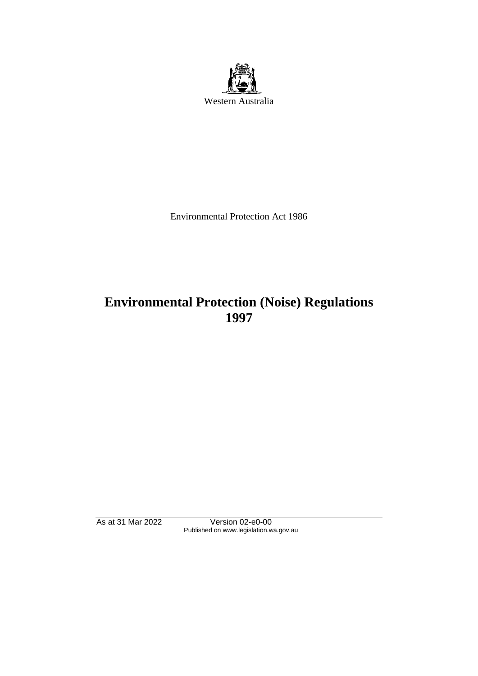

Environmental Protection Act 1986

# **Environmental Protection (Noise) Regulations 1997**

As at 31 Mar 2022 Version 02-e0-00 Published on www.legislation.wa.gov.au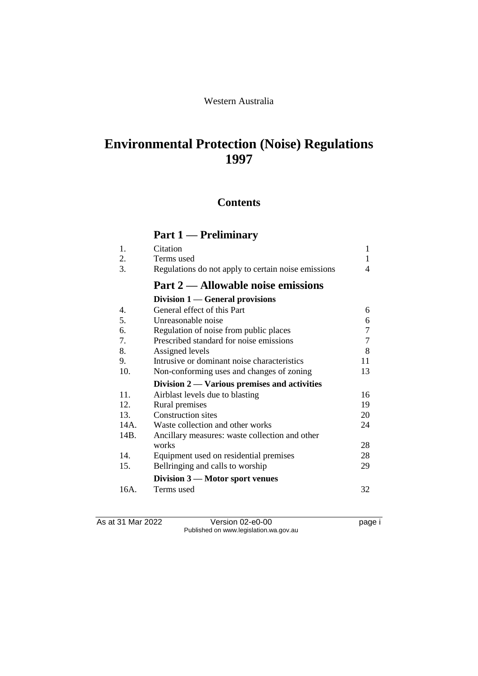#### Western Australia

# **Environmental Protection (Noise) Regulations 1997**

## **Contents**

# **Part 1 — Preliminary**

| 1.               | Citation                                            | 1  |
|------------------|-----------------------------------------------------|----|
| 2.               | Terms used                                          | 1  |
| 3.               | Regulations do not apply to certain noise emissions | 4  |
|                  | Part 2 — Allowable noise emissions                  |    |
|                  | Division $1$ — General provisions                   |    |
| $\overline{4}$ . | General effect of this Part                         | 6  |
| 5.               | Unreasonable noise                                  | 6  |
| 6.               | Regulation of noise from public places              | 7  |
| 7.               | Prescribed standard for noise emissions             | 7  |
| 8.               | Assigned levels                                     | 8  |
| 9.               | Intrusive or dominant noise characteristics         | 11 |
| 10.              | Non-conforming uses and changes of zoning           | 13 |
|                  | Division 2 — Various premises and activities        |    |
| 11.              | Airblast levels due to blasting                     | 16 |
| 12.              | Rural premises                                      | 19 |
| 13.              | <b>Construction sites</b>                           | 20 |
| 14A.             | Waste collection and other works                    | 24 |
| 14B.             | Ancillary measures: waste collection and other      |    |
|                  | works                                               | 28 |
| 14.              | Equipment used on residential premises              | 28 |
| 15.              | Bellringing and calls to worship                    | 29 |
|                  | Division $3$ — Motor sport venues                   |    |
| 16A.             | Terms used                                          | 32 |

As at 31 Mar 2022 Version 02-e0-00 Page i Published on www.legislation.wa.gov.au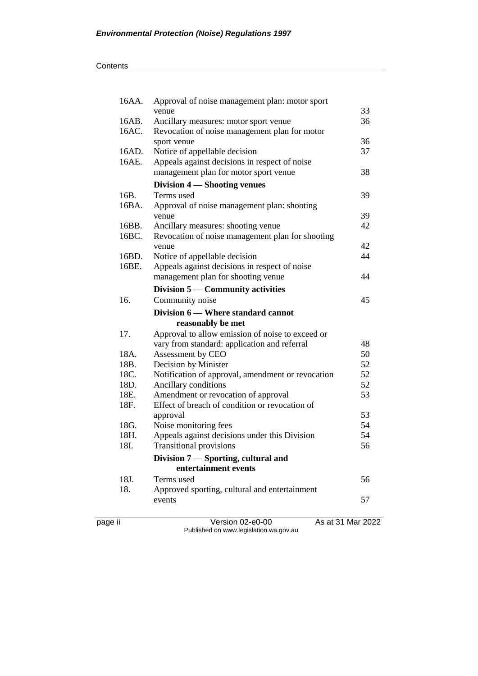| 16AA.   | Approval of noise management plan: motor sport<br>venue | 33                |
|---------|---------------------------------------------------------|-------------------|
| 16AB.   | Ancillary measures: motor sport venue                   | 36                |
| 16AC.   | Revocation of noise management plan for motor           |                   |
|         | sport venue                                             | 36                |
| 16AD.   | Notice of appellable decision                           | 37                |
| 16AE.   | Appeals against decisions in respect of noise           |                   |
|         | management plan for motor sport venue                   | 38                |
|         | Division 4 – Shooting venues                            |                   |
| 16B.    | Terms used                                              | 39                |
| 16BA.   | Approval of noise management plan: shooting             |                   |
|         | venue                                                   | 39                |
| 16BB.   | Ancillary measures: shooting venue                      | 42                |
| 16BC.   | Revocation of noise management plan for shooting        |                   |
|         | venue                                                   | 42                |
| 16BD.   | Notice of appellable decision                           | 44                |
| 16BE.   | Appeals against decisions in respect of noise           |                   |
|         | management plan for shooting venue                      | 44                |
|         | Division 5 — Community activities                       |                   |
| 16.     | Community noise                                         | 45                |
|         | Division 6 – Where standard cannot                      |                   |
|         | reasonably be met                                       |                   |
| 17.     | Approval to allow emission of noise to exceed or        |                   |
|         | vary from standard: application and referral            | 48                |
| 18A.    | Assessment by CEO                                       | 50                |
| 18B.    | Decision by Minister                                    | 52                |
| 18C.    | Notification of approval, amendment or revocation       | 52                |
| 18D.    | Ancillary conditions                                    | 52                |
| 18E.    | Amendment or revocation of approval                     | 53                |
| 18F.    | Effect of breach of condition or revocation of          |                   |
|         | approval                                                | 53                |
| 18G.    | Noise monitoring fees                                   | 54                |
| 18H.    | Appeals against decisions under this Division           | 54                |
| 18I.    | <b>Transitional provisions</b>                          | 56                |
|         | Division 7 - Sporting, cultural and                     |                   |
|         | entertainment events                                    |                   |
| 18J.    | Terms used                                              | 56                |
| 18.     | Approved sporting, cultural and entertainment           |                   |
|         | events                                                  | 57                |
| page ii | Version 02-e0-00                                        | As at 31 Mar 2022 |

Published on www.legislation.wa.gov.au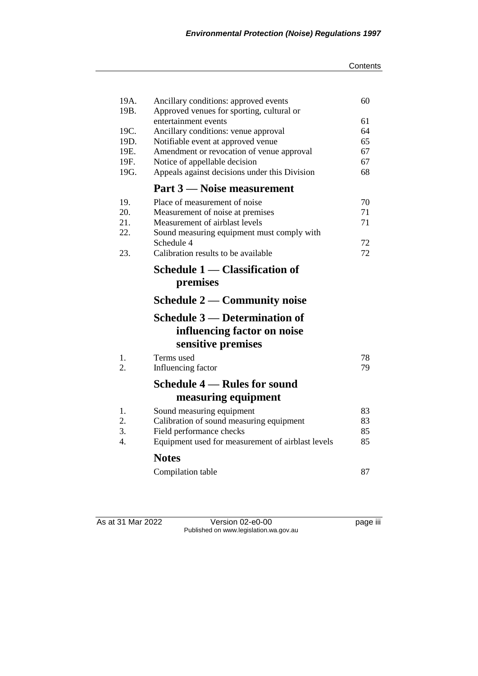| 19A.<br>19B. | Ancillary conditions: approved events<br>Approved venues for sporting, cultural or | 60 |  |
|--------------|------------------------------------------------------------------------------------|----|--|
|              | entertainment events                                                               | 61 |  |
| 19C.         | Ancillary conditions: venue approval                                               |    |  |
| 19D.         | Notifiable event at approved venue                                                 | 65 |  |
| 19E.         | Amendment or revocation of venue approval                                          | 67 |  |
| 19F.         | Notice of appellable decision                                                      | 67 |  |
| 19G.         | Appeals against decisions under this Division                                      | 68 |  |
|              | Part 3 — Noise measurement                                                         |    |  |
| 19.          | Place of measurement of noise                                                      | 70 |  |
| 20.          | Measurement of noise at premises                                                   | 71 |  |
| 21.          | Measurement of airblast levels                                                     | 71 |  |
| 22.          | Sound measuring equipment must comply with                                         |    |  |
|              | Schedule 4                                                                         | 72 |  |
| 23.          | Calibration results to be available                                                | 72 |  |
|              | Schedule 1 - Classification of                                                     |    |  |
|              | premises                                                                           |    |  |
|              | Schedule $2$ — Community noise                                                     |    |  |
|              | <b>Schedule 3 — Determination of</b>                                               |    |  |
|              | influencing factor on noise                                                        |    |  |
|              | sensitive premises                                                                 |    |  |
| 1.           | Terms used                                                                         | 78 |  |
| 2.           | Influencing factor                                                                 | 79 |  |
|              | Schedule 4 – Rules for sound                                                       |    |  |
|              | measuring equipment                                                                |    |  |
| 1.           | Sound measuring equipment                                                          | 83 |  |
| 2.           | Calibration of sound measuring equipment                                           | 83 |  |
| 3.           | Field performance checks                                                           | 85 |  |
| 4.           | Equipment used for measurement of airblast levels                                  | 85 |  |
|              | <b>Notes</b>                                                                       |    |  |
|              | Compilation table                                                                  | 87 |  |

As at 31 Mar 2022 Version 02-e0-00 page iii Published on www.legislation.wa.gov.au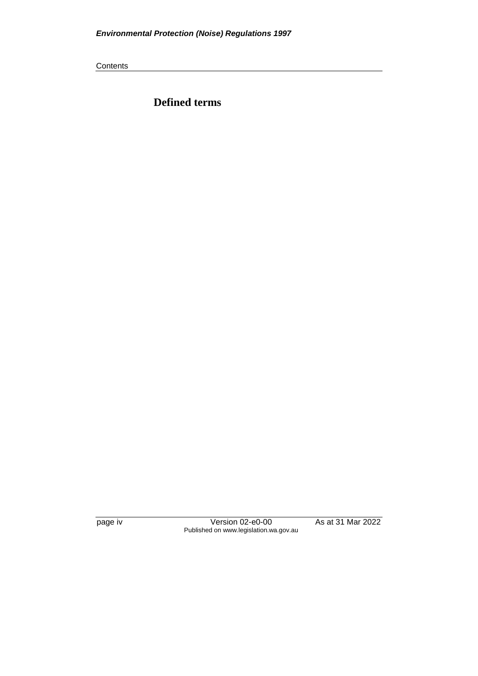**Contents** 

**Defined terms**

page iv Version 02-e0-00 As at 31 Mar 2022 Published on www.legislation.wa.gov.au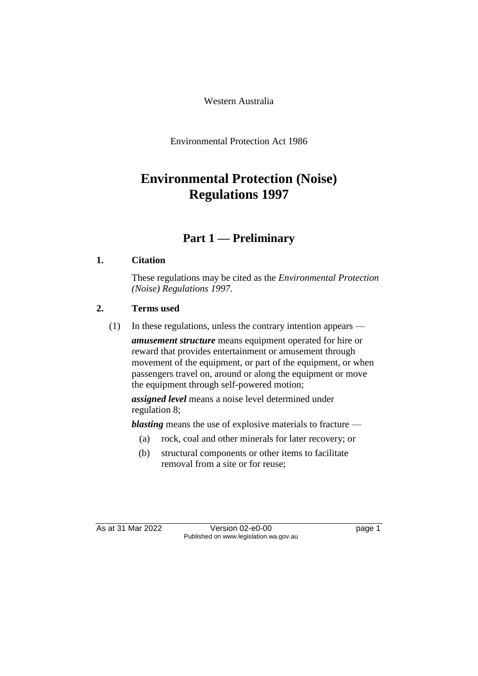Western Australia

Environmental Protection Act 1986

# **Environmental Protection (Noise) Regulations 1997**

## **Part 1 — Preliminary**

### **1. Citation**

These regulations may be cited as the *Environmental Protection (Noise) Regulations 1997*.

### **2. Terms used**

(1) In these regulations, unless the contrary intention appears —

*amusement structure* means equipment operated for hire or reward that provides entertainment or amusement through movement of the equipment, or part of the equipment, or when passengers travel on, around or along the equipment or move the equipment through self-powered motion;

*assigned level* means a noise level determined under regulation 8;

*blasting* means the use of explosive materials to fracture —

- (a) rock, coal and other minerals for later recovery; or
- (b) structural components or other items to facilitate removal from a site or for reuse;

As at 31 Mar 2022 Version 02-e0-00 Page 1 Published on www.legislation.wa.gov.au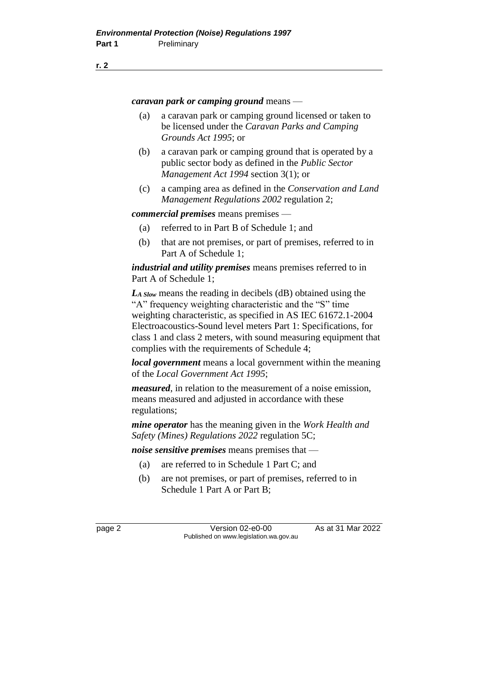#### **r. 2**

*caravan park or camping ground* means —

- (a) a caravan park or camping ground licensed or taken to be licensed under the *Caravan Parks and Camping Grounds Act 1995*; or
- (b) a caravan park or camping ground that is operated by a public sector body as defined in the *Public Sector Management Act 1994* section 3(1); or
- (c) a camping area as defined in the *Conservation and Land Management Regulations 2002* regulation 2;

*commercial premises* means premises —

- (a) referred to in Part B of Schedule 1; and
- (b) that are not premises, or part of premises, referred to in Part A of Schedule 1;

*industrial and utility premises* means premises referred to in Part A of Schedule 1;

*LA Slow* means the reading in decibels (dB) obtained using the "A" frequency weighting characteristic and the "S" time weighting characteristic, as specified in AS IEC 61672.1-2004 Electroacoustics-Sound level meters Part 1: Specifications, for class 1 and class 2 meters, with sound measuring equipment that complies with the requirements of Schedule 4;

*local government* means a local government within the meaning of the *Local Government Act 1995*;

*measured*, in relation to the measurement of a noise emission, means measured and adjusted in accordance with these regulations;

*mine operator* has the meaning given in the *Work Health and Safety (Mines) Regulations 2022* regulation 5C;

*noise sensitive premises* means premises that —

- (a) are referred to in Schedule 1 Part C; and
- (b) are not premises, or part of premises, referred to in Schedule 1 Part A or Part B;

page 2 Version 02-e0-00 As at 31 Mar 2022 Published on www.legislation.wa.gov.au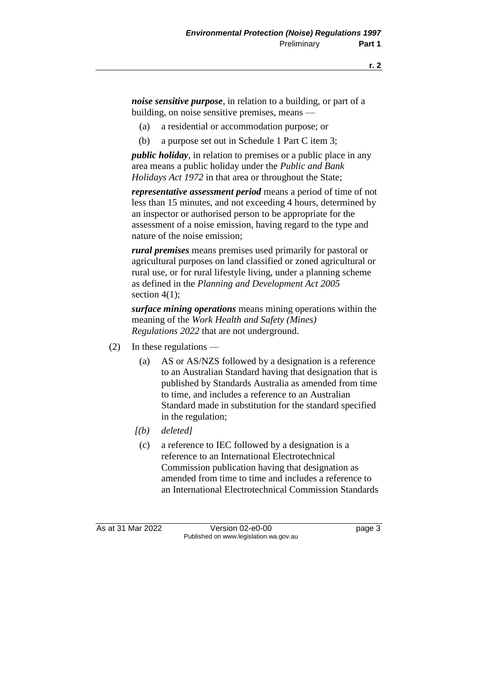*noise sensitive purpose*, in relation to a building, or part of a building, on noise sensitive premises, means —

- (a) a residential or accommodation purpose; or
- (b) a purpose set out in Schedule 1 Part C item 3;

*public holiday*, in relation to premises or a public place in any area means a public holiday under the *Public and Bank Holidays Act 1972* in that area or throughout the State;

*representative assessment period* means a period of time of not less than 15 minutes, and not exceeding 4 hours, determined by an inspector or authorised person to be appropriate for the assessment of a noise emission, having regard to the type and nature of the noise emission;

*rural premises* means premises used primarily for pastoral or agricultural purposes on land classified or zoned agricultural or rural use, or for rural lifestyle living, under a planning scheme as defined in the *Planning and Development Act 2005* section  $4(1)$ ;

*surface mining operations* means mining operations within the meaning of the *Work Health and Safety (Mines) Regulations 2022* that are not underground.

- (2) In these regulations
	- (a) AS or AS/NZS followed by a designation is a reference to an Australian Standard having that designation that is published by Standards Australia as amended from time to time, and includes a reference to an Australian Standard made in substitution for the standard specified in the regulation;
	- *[(b) deleted]*
		- (c) a reference to IEC followed by a designation is a reference to an International Electrotechnical Commission publication having that designation as amended from time to time and includes a reference to an International Electrotechnical Commission Standards

As at 31 Mar 2022 Version 02-e0-00 Page 3 Published on www.legislation.wa.gov.au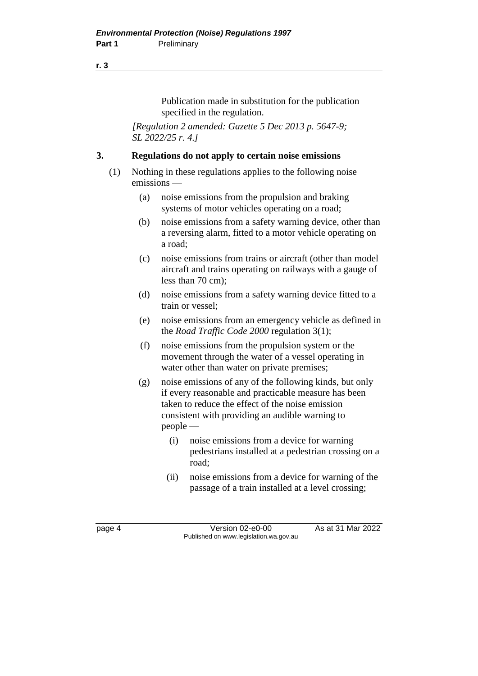#### **r. 3**

Publication made in substitution for the publication specified in the regulation.

*[Regulation 2 amended: Gazette 5 Dec 2013 p. 5647-9; SL 2022/25 r. 4.]*

#### **3. Regulations do not apply to certain noise emissions**

- (1) Nothing in these regulations applies to the following noise emissions —
	- (a) noise emissions from the propulsion and braking systems of motor vehicles operating on a road;
	- (b) noise emissions from a safety warning device, other than a reversing alarm, fitted to a motor vehicle operating on a road;
	- (c) noise emissions from trains or aircraft (other than model aircraft and trains operating on railways with a gauge of less than 70 cm);
	- (d) noise emissions from a safety warning device fitted to a train or vessel;
	- (e) noise emissions from an emergency vehicle as defined in the *Road Traffic Code 2000* regulation 3(1);
	- (f) noise emissions from the propulsion system or the movement through the water of a vessel operating in water other than water on private premises;
	- (g) noise emissions of any of the following kinds, but only if every reasonable and practicable measure has been taken to reduce the effect of the noise emission consistent with providing an audible warning to people —
		- (i) noise emissions from a device for warning pedestrians installed at a pedestrian crossing on a road;
		- (ii) noise emissions from a device for warning of the passage of a train installed at a level crossing;

page 4 Version 02-e0-00 As at 31 Mar 2022 Published on www.legislation.wa.gov.au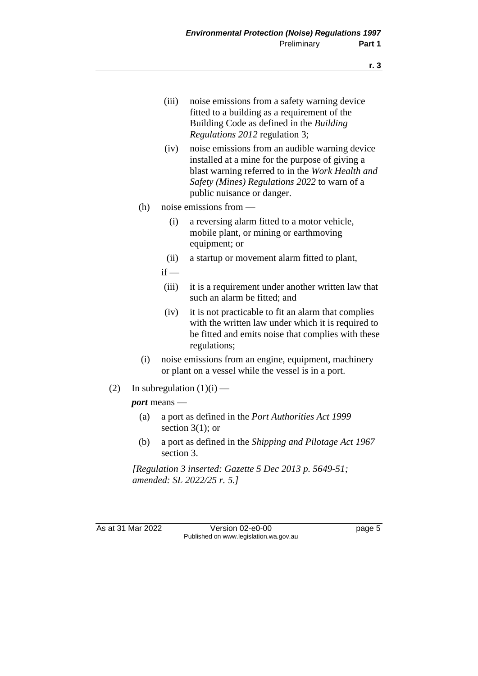- (iii) noise emissions from a safety warning device fitted to a building as a requirement of the Building Code as defined in the *Building Regulations 2012* regulation 3;
- (iv) noise emissions from an audible warning device installed at a mine for the purpose of giving a blast warning referred to in the *Work Health and Safety (Mines) Regulations 2022* to warn of a public nuisance or danger.
- (h) noise emissions from
	- (i) a reversing alarm fitted to a motor vehicle, mobile plant, or mining or earthmoving equipment; or
	- (ii) a startup or movement alarm fitted to plant,
	- $if -$
	- (iii) it is a requirement under another written law that such an alarm be fitted; and
	- (iv) it is not practicable to fit an alarm that complies with the written law under which it is required to be fitted and emits noise that complies with these regulations;
- (i) noise emissions from an engine, equipment, machinery or plant on a vessel while the vessel is in a port.
- (2) In subregulation  $(1)(i)$  —

#### *port* means —

- (a) a port as defined in the *Port Authorities Act 1999* section  $3(1)$ ; or
- (b) a port as defined in the *Shipping and Pilotage Act 1967* section 3.

*[Regulation 3 inserted: Gazette 5 Dec 2013 p. 5649-51; amended: SL 2022/25 r. 5.]*

As at 31 Mar 2022 Version 02-e0-00 Page 5 Published on www.legislation.wa.gov.au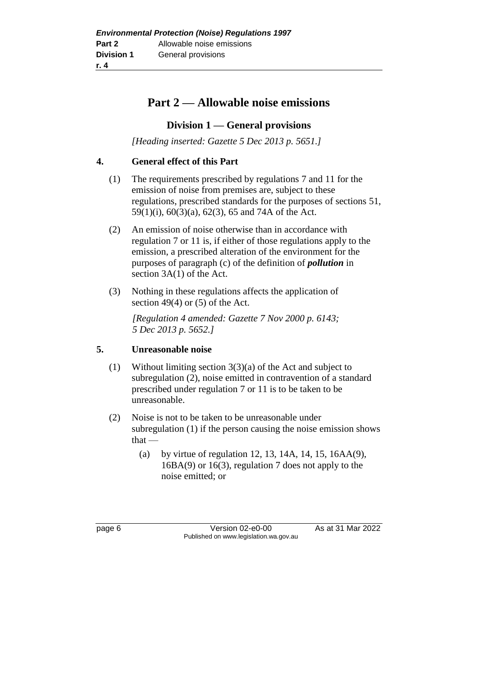## **Part 2 — Allowable noise emissions**

### **Division 1 — General provisions**

*[Heading inserted: Gazette 5 Dec 2013 p. 5651.]*

#### **4. General effect of this Part**

- (1) The requirements prescribed by regulations 7 and 11 for the emission of noise from premises are, subject to these regulations, prescribed standards for the purposes of sections 51, 59(1)(i), 60(3)(a), 62(3), 65 and 74A of the Act.
- (2) An emission of noise otherwise than in accordance with regulation 7 or 11 is, if either of those regulations apply to the emission, a prescribed alteration of the environment for the purposes of paragraph (c) of the definition of *pollution* in section 3A(1) of the Act.
- (3) Nothing in these regulations affects the application of section 49(4) or (5) of the Act.

*[Regulation 4 amended: Gazette 7 Nov 2000 p. 6143; 5 Dec 2013 p. 5652.]*

## **5. Unreasonable noise**

- (1) Without limiting section 3(3)(a) of the Act and subject to subregulation (2), noise emitted in contravention of a standard prescribed under regulation 7 or 11 is to be taken to be unreasonable.
- (2) Noise is not to be taken to be unreasonable under subregulation (1) if the person causing the noise emission shows that —
	- (a) by virtue of regulation 12, 13, 14A, 14, 15, 16AA(9), 16BA(9) or 16(3), regulation 7 does not apply to the noise emitted; or

page 6 Version 02-e0-00 As at 31 Mar 2022 Published on www.legislation.wa.gov.au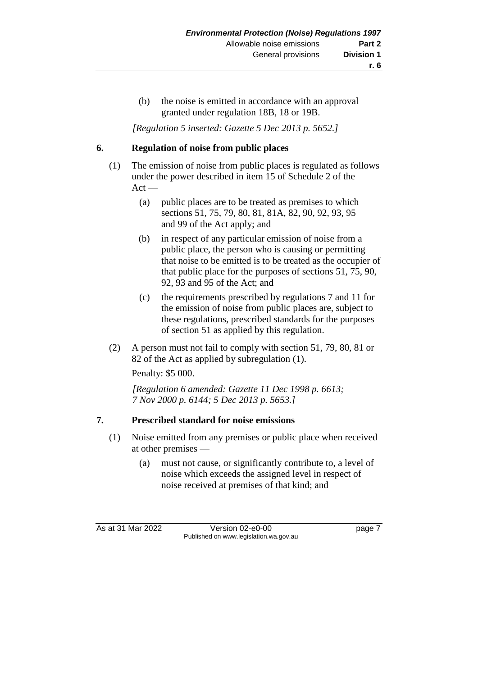(b) the noise is emitted in accordance with an approval granted under regulation 18B, 18 or 19B.

*[Regulation 5 inserted: Gazette 5 Dec 2013 p. 5652.]*

#### **6. Regulation of noise from public places**

- (1) The emission of noise from public places is regulated as follows under the power described in item 15 of Schedule 2 of the  $Act -$ 
	- (a) public places are to be treated as premises to which sections 51, 75, 79, 80, 81, 81A, 82, 90, 92, 93, 95 and 99 of the Act apply; and
	- (b) in respect of any particular emission of noise from a public place, the person who is causing or permitting that noise to be emitted is to be treated as the occupier of that public place for the purposes of sections 51, 75, 90, 92, 93 and 95 of the Act; and
	- (c) the requirements prescribed by regulations 7 and 11 for the emission of noise from public places are, subject to these regulations, prescribed standards for the purposes of section 51 as applied by this regulation.
- (2) A person must not fail to comply with section 51, 79, 80, 81 or 82 of the Act as applied by subregulation (1).

Penalty: \$5 000.

*[Regulation 6 amended: Gazette 11 Dec 1998 p. 6613; 7 Nov 2000 p. 6144; 5 Dec 2013 p. 5653.]*

#### **7. Prescribed standard for noise emissions**

- (1) Noise emitted from any premises or public place when received at other premises —
	- (a) must not cause, or significantly contribute to, a level of noise which exceeds the assigned level in respect of noise received at premises of that kind; and

As at 31 Mar 2022 Version 02-e0-00 Page 7 Published on www.legislation.wa.gov.au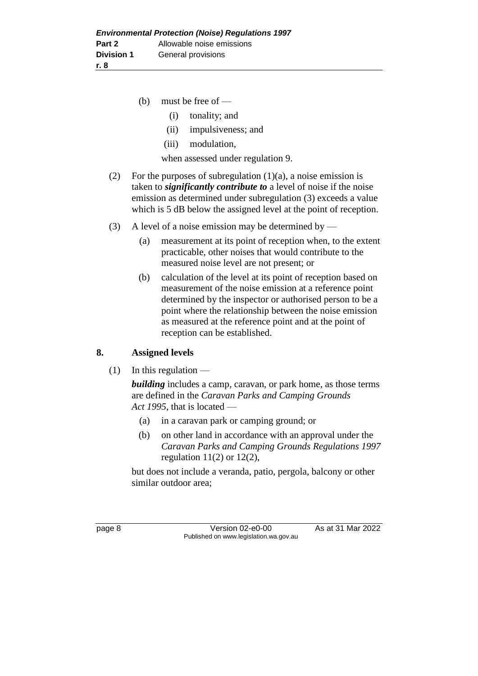- (b) must be free of
	- (i) tonality; and
	- (ii) impulsiveness; and
	- (iii) modulation,

when assessed under regulation 9.

- (2) For the purposes of subregulation  $(1)(a)$ , a noise emission is taken to *significantly contribute to* a level of noise if the noise emission as determined under subregulation (3) exceeds a value which is 5 dB below the assigned level at the point of reception.
- (3) A level of a noise emission may be determined by
	- (a) measurement at its point of reception when, to the extent practicable, other noises that would contribute to the measured noise level are not present; or
	- (b) calculation of the level at its point of reception based on measurement of the noise emission at a reference point determined by the inspector or authorised person to be a point where the relationship between the noise emission as measured at the reference point and at the point of reception can be established.

#### **8. Assigned levels**

 $(1)$  In this regulation —

*building* includes a camp, caravan, or park home, as those terms are defined in the *Caravan Parks and Camping Grounds Act 1995*, that is located —

- (a) in a caravan park or camping ground; or
- (b) on other land in accordance with an approval under the *Caravan Parks and Camping Grounds Regulations 1997* regulation  $11(2)$  or  $12(2)$ ,

but does not include a veranda, patio, pergola, balcony or other similar outdoor area;

page 8 **Version 02-e0-00** As at 31 Mar 2022 Published on www.legislation.wa.gov.au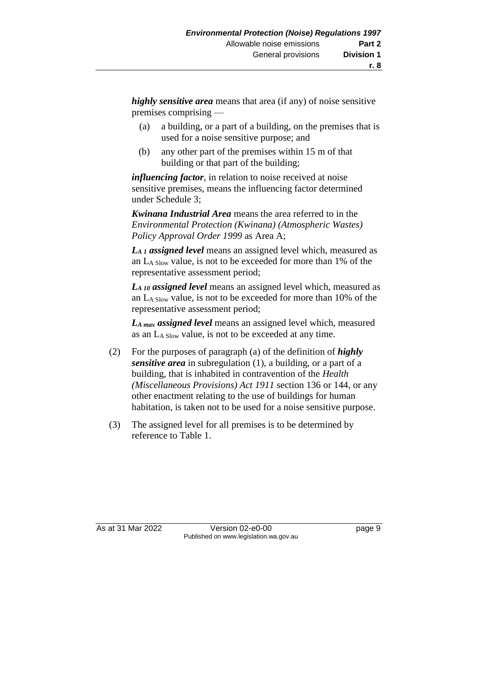*highly sensitive area* means that area (if any) of noise sensitive premises comprising —

- (a) a building, or a part of a building, on the premises that is used for a noise sensitive purpose; and
- (b) any other part of the premises within 15 m of that building or that part of the building;

*influencing factor*, in relation to noise received at noise sensitive premises, means the influencing factor determined under Schedule 3;

*Kwinana Industrial Area* means the area referred to in the *Environmental Protection (Kwinana) (Atmospheric Wastes) Policy Approval Order 1999* as Area A;

*LA 1 assigned level* means an assigned level which, measured as an LA Slow value, is not to be exceeded for more than 1% of the representative assessment period;

*LA 10 assigned level* means an assigned level which, measured as an LA Slow value, is not to be exceeded for more than 10% of the representative assessment period;

*LA max assigned level* means an assigned level which, measured as an LA Slow value, is not to be exceeded at any time.

- (2) For the purposes of paragraph (a) of the definition of *highly sensitive area* in subregulation (1), a building, or a part of a building, that is inhabited in contravention of the *Health (Miscellaneous Provisions) Act 1911* section 136 or 144, or any other enactment relating to the use of buildings for human habitation, is taken not to be used for a noise sensitive purpose.
- (3) The assigned level for all premises is to be determined by reference to Table 1.

As at 31 Mar 2022 Version 02-e0-00 Page 9 Published on www.legislation.wa.gov.au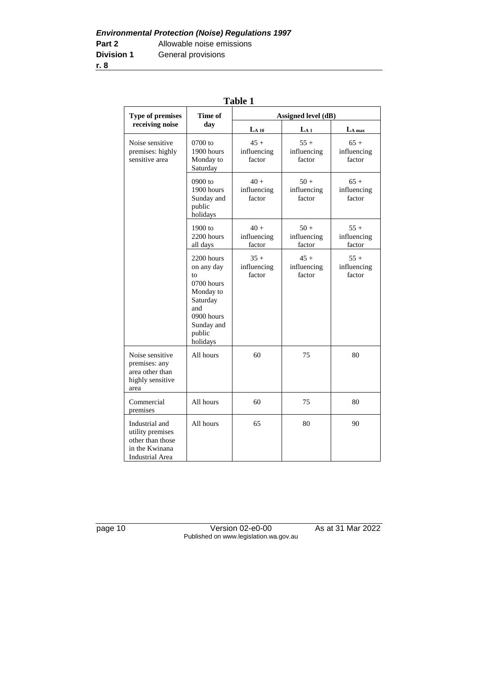|                                                                                                    |                                                                                                                                | 1 анс 1                         |                                 |                                 |
|----------------------------------------------------------------------------------------------------|--------------------------------------------------------------------------------------------------------------------------------|---------------------------------|---------------------------------|---------------------------------|
| <b>Type of premises</b>                                                                            | Time of<br>Assigned level (dB)                                                                                                 |                                 |                                 |                                 |
| receiving noise                                                                                    | day                                                                                                                            | $LA 10$                         | La 1                            | $L_A$ max                       |
| Noise sensitive<br>premises: highly<br>sensitive area                                              | $0700$ to<br>1900 hours<br>Monday to<br>Saturday                                                                               | $45 +$<br>influencing<br>factor | $55+$<br>influencing<br>factor  | $65+$<br>influencing<br>factor  |
|                                                                                                    | 0900 to<br>1900 hours<br>Sunday and<br>public<br>holidays                                                                      | $40 +$<br>influencing<br>factor | $50 +$<br>influencing<br>factor | $65+$<br>influencing<br>factor  |
|                                                                                                    | $1900$ to<br>2200 hours<br>all days                                                                                            | $40 +$<br>influencing<br>factor | $50+$<br>influencing<br>factor  | $55+$<br>influencing<br>factor  |
|                                                                                                    | 2200 hours<br>on any day<br>to<br>0700 hours<br>Monday to<br>Saturday<br>and<br>0900 hours<br>Sunday and<br>public<br>holidays | $35 +$<br>influencing<br>factor | $45 +$<br>influencing<br>factor | $55 +$<br>influencing<br>factor |
| Noise sensitive<br>premises: any<br>area other than<br>highly sensitive<br>area                    | All hours                                                                                                                      | 60                              | 75                              | 80                              |
| Commercial<br>premises                                                                             | All hours                                                                                                                      | 60                              | 75                              | 80                              |
| Industrial and<br>utility premises<br>other than those<br>in the Kwinana<br><b>Industrial Area</b> | All hours                                                                                                                      | 65                              | 80                              | 90                              |

| L<br>., |  |
|---------|--|
|---------|--|

page 10 Version 02-e0-00 As at 31 Mar 2022 Published on www.legislation.wa.gov.au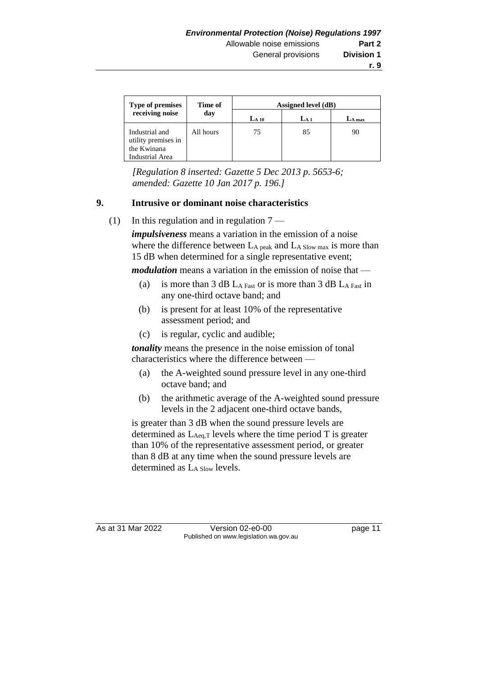| <b>Type of premises</b>                                                        | Time of<br>day | Assigned level (dB) |                |          |
|--------------------------------------------------------------------------------|----------------|---------------------|----------------|----------|
| receiving noise                                                                |                | $_{\rm La\,10}$     | $_{\rm La\,1}$ | $LA$ max |
| Industrial and<br>utility premises in<br>the Kwinana<br><b>Industrial Area</b> | All hours      | 75                  | 85             | 90       |

*[Regulation 8 inserted: Gazette 5 Dec 2013 p. 5653-6; amended: Gazette 10 Jan 2017 p. 196.]*

#### **9. Intrusive or dominant noise characteristics**

(1) In this regulation and in regulation  $7 -$ 

*impulsiveness* means a variation in the emission of a noise where the difference between  $L_A$  peak and  $L_A$  Slow max is more than 15 dB when determined for a single representative event;

*modulation* means a variation in the emission of noise that —

- (a) is more than  $3$  dB L<sub>A Fast</sub> or is more than  $3$  dB L<sub>A Fast</sub> in any one-third octave band; and
- (b) is present for at least 10% of the representative assessment period; and
- (c) is regular, cyclic and audible;

*tonality* means the presence in the noise emission of tonal characteristics where the difference between —

- (a) the A-weighted sound pressure level in any one-third octave band; and
- (b) the arithmetic average of the A-weighted sound pressure levels in the 2 adjacent one-third octave bands,

is greater than 3 dB when the sound pressure levels are determined as  $L_{Aeq,T}$  levels where the time period T is greater than 10% of the representative assessment period, or greater than 8 dB at any time when the sound pressure levels are determined as  $L_{A}$  Slow levels.

As at 31 Mar 2022 Version 02-e0-00 Page 11 Published on www.legislation.wa.gov.au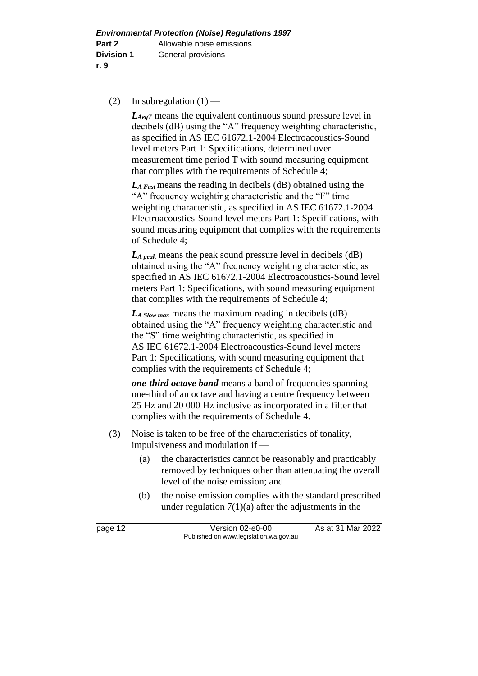#### (2) In subregulation  $(1)$  —

*LAeqT* means the equivalent continuous sound pressure level in decibels (dB) using the "A" frequency weighting characteristic, as specified in AS IEC 61672.1-2004 Electroacoustics-Sound level meters Part 1: Specifications, determined over measurement time period T with sound measuring equipment that complies with the requirements of Schedule 4;

*LA Fast* means the reading in decibels (dB) obtained using the "A" frequency weighting characteristic and the "F" time weighting characteristic, as specified in AS IEC 61672.1-2004 Electroacoustics-Sound level meters Part 1: Specifications, with sound measuring equipment that complies with the requirements of Schedule 4;

*LA peak* means the peak sound pressure level in decibels (dB) obtained using the "A" frequency weighting characteristic, as specified in AS IEC 61672.1-2004 Electroacoustics-Sound level meters Part 1: Specifications, with sound measuring equipment that complies with the requirements of Schedule 4;

*LA Slow max* means the maximum reading in decibels (dB) obtained using the "A" frequency weighting characteristic and the "S" time weighting characteristic, as specified in AS IEC 61672.1-2004 Electroacoustics-Sound level meters Part 1: Specifications, with sound measuring equipment that complies with the requirements of Schedule 4;

*one-third octave band* means a band of frequencies spanning one-third of an octave and having a centre frequency between 25 Hz and 20 000 Hz inclusive as incorporated in a filter that complies with the requirements of Schedule 4.

- (3) Noise is taken to be free of the characteristics of tonality, impulsiveness and modulation if —
	- (a) the characteristics cannot be reasonably and practicably removed by techniques other than attenuating the overall level of the noise emission; and
	- (b) the noise emission complies with the standard prescribed under regulation  $7(1)(a)$  after the adjustments in the

page 12 Version 02-e0-00 As at 31 Mar 2022 Published on www.legislation.wa.gov.au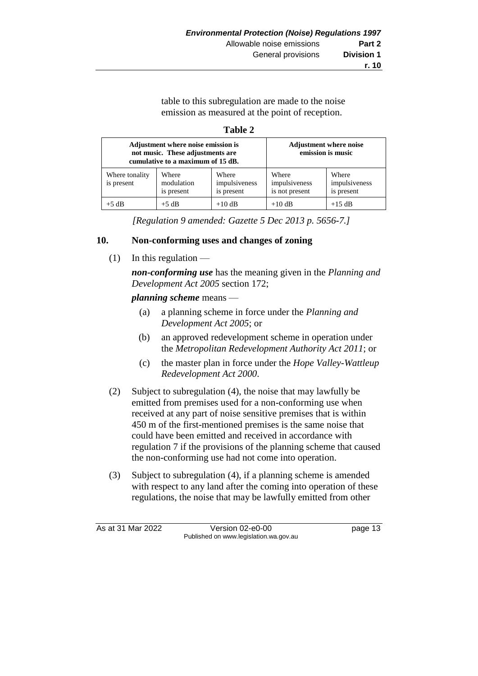table to this subregulation are made to the noise emission as measured at the point of reception.

#### **Table 2**

| Adjustment where noise emission is<br>not music. These adjustments are<br>cumulative to a maximum of 15 dB. |                                   |                                      | <b>Adjustment where noise</b><br>emission is music |                                      |
|-------------------------------------------------------------------------------------------------------------|-----------------------------------|--------------------------------------|----------------------------------------------------|--------------------------------------|
| Where tonality<br>is present                                                                                | Where<br>modulation<br>is present | Where<br>impulsiveness<br>is present | Where<br>impulsiveness<br>is not present           | Where<br>impulsiveness<br>is present |
| $+5$ dB                                                                                                     | $+5$ dB                           | $+10$ dB                             | $+10$ dB                                           | $+15$ dB                             |

*[Regulation 9 amended: Gazette 5 Dec 2013 p. 5656-7.]*

#### **10. Non-conforming uses and changes of zoning**

 $(1)$  In this regulation —

*non-conforming use* has the meaning given in the *Planning and Development Act 2005* section 172;

#### *planning scheme* means —

- (a) a planning scheme in force under the *Planning and Development Act 2005*; or
- (b) an approved redevelopment scheme in operation under the *Metropolitan Redevelopment Authority Act 2011*; or
- (c) the master plan in force under the *Hope Valley-Wattleup Redevelopment Act 2000*.
- (2) Subject to subregulation (4), the noise that may lawfully be emitted from premises used for a non-conforming use when received at any part of noise sensitive premises that is within 450 m of the first-mentioned premises is the same noise that could have been emitted and received in accordance with regulation 7 if the provisions of the planning scheme that caused the non-conforming use had not come into operation.
- (3) Subject to subregulation (4), if a planning scheme is amended with respect to any land after the coming into operation of these regulations, the noise that may be lawfully emitted from other

As at 31 Mar 2022 Version 02-e0-00 page 13 Published on www.legislation.wa.gov.au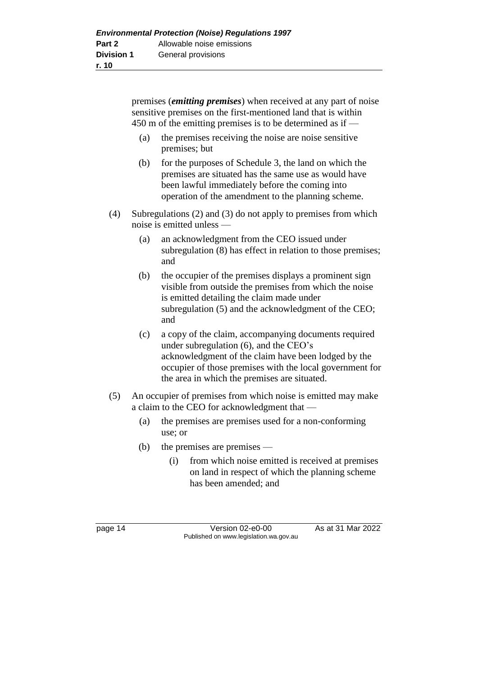premises (*emitting premises*) when received at any part of noise sensitive premises on the first-mentioned land that is within 450 m of the emitting premises is to be determined as if —

- (a) the premises receiving the noise are noise sensitive premises; but
- (b) for the purposes of Schedule 3, the land on which the premises are situated has the same use as would have been lawful immediately before the coming into operation of the amendment to the planning scheme.
- (4) Subregulations (2) and (3) do not apply to premises from which noise is emitted unless —
	- (a) an acknowledgment from the CEO issued under subregulation (8) has effect in relation to those premises; and
	- (b) the occupier of the premises displays a prominent sign visible from outside the premises from which the noise is emitted detailing the claim made under subregulation (5) and the acknowledgment of the CEO; and
	- (c) a copy of the claim, accompanying documents required under subregulation (6), and the CEO's acknowledgment of the claim have been lodged by the occupier of those premises with the local government for the area in which the premises are situated.
- (5) An occupier of premises from which noise is emitted may make a claim to the CEO for acknowledgment that —
	- (a) the premises are premises used for a non-conforming use; or
	- (b) the premises are premises
		- (i) from which noise emitted is received at premises on land in respect of which the planning scheme has been amended; and

page 14 Version 02-e0-00 As at 31 Mar 2022 Published on www.legislation.wa.gov.au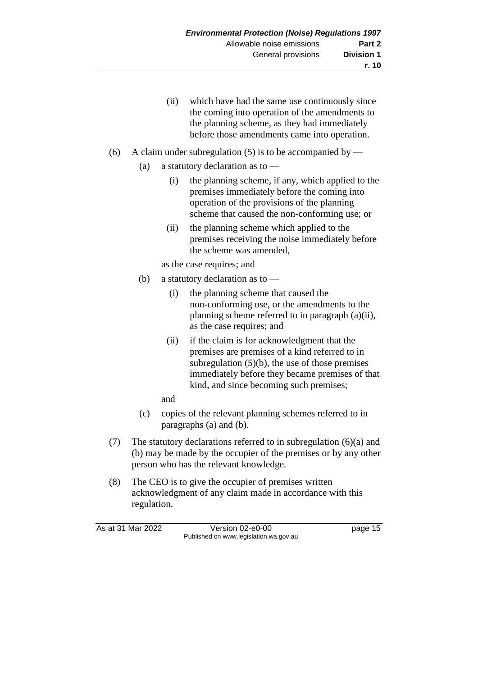- (ii) which have had the same use continuously since the coming into operation of the amendments to the planning scheme, as they had immediately before those amendments came into operation.
- (6) A claim under subregulation (5) is to be accompanied by
	- (a) a statutory declaration as to
		- (i) the planning scheme, if any, which applied to the premises immediately before the coming into operation of the provisions of the planning scheme that caused the non-conforming use; or
		- (ii) the planning scheme which applied to the premises receiving the noise immediately before the scheme was amended,

as the case requires; and

- (b) a statutory declaration as to
	- (i) the planning scheme that caused the non-conforming use, or the amendments to the planning scheme referred to in paragraph (a)(ii), as the case requires; and
	- (ii) if the claim is for acknowledgment that the premises are premises of a kind referred to in subregulation  $(5)(b)$ , the use of those premises immediately before they became premises of that kind, and since becoming such premises;
	- and
- (c) copies of the relevant planning schemes referred to in paragraphs (a) and (b).
- (7) The statutory declarations referred to in subregulation (6)(a) and (b) may be made by the occupier of the premises or by any other person who has the relevant knowledge.
- (8) The CEO is to give the occupier of premises written acknowledgment of any claim made in accordance with this regulation.

As at 31 Mar 2022 Version 02-e0-00 Page 15 Published on www.legislation.wa.gov.au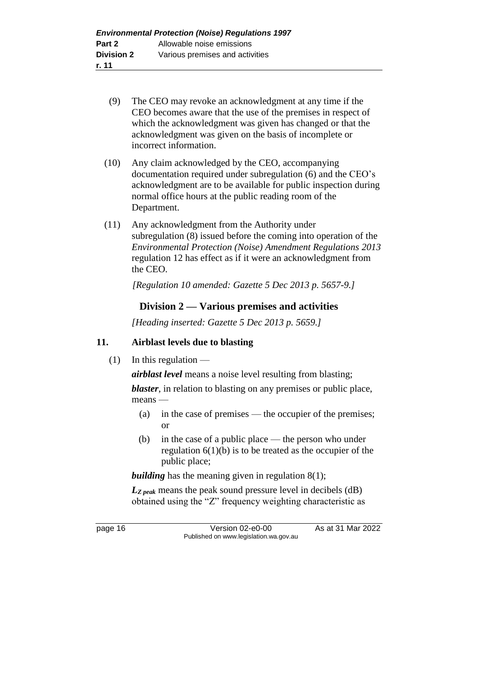- (9) The CEO may revoke an acknowledgment at any time if the CEO becomes aware that the use of the premises in respect of which the acknowledgment was given has changed or that the acknowledgment was given on the basis of incomplete or incorrect information.
- (10) Any claim acknowledged by the CEO, accompanying documentation required under subregulation (6) and the CEO's acknowledgment are to be available for public inspection during normal office hours at the public reading room of the Department.
- (11) Any acknowledgment from the Authority under subregulation (8) issued before the coming into operation of the *Environmental Protection (Noise) Amendment Regulations 2013* regulation 12 has effect as if it were an acknowledgment from the CEO.

*[Regulation 10 amended: Gazette 5 Dec 2013 p. 5657-9.]*

### **Division 2 — Various premises and activities**

*[Heading inserted: Gazette 5 Dec 2013 p. 5659.]*

#### **11. Airblast levels due to blasting**

 $(1)$  In this regulation —

*airblast level* means a noise level resulting from blasting;

*blaster*, in relation to blasting on any premises or public place, means —

- (a) in the case of premises the occupier of the premises; or
- (b) in the case of a public place the person who under regulation  $6(1)(b)$  is to be treated as the occupier of the public place;

*building* has the meaning given in regulation 8(1);

*LZ peak* means the peak sound pressure level in decibels (dB) obtained using the "Z" frequency weighting characteristic as

page 16 Version 02-e0-00 As at 31 Mar 2022 Published on www.legislation.wa.gov.au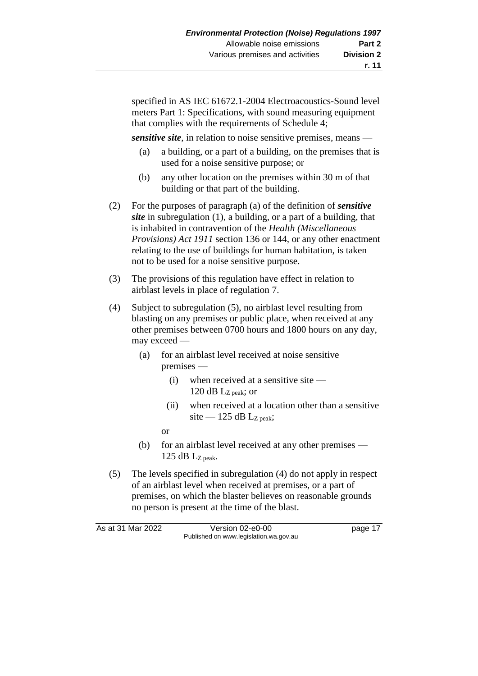specified in AS IEC 61672.1-2004 Electroacoustics-Sound level meters Part 1: Specifications, with sound measuring equipment that complies with the requirements of Schedule 4;

*sensitive site*, in relation to noise sensitive premises, means —

- (a) a building, or a part of a building, on the premises that is used for a noise sensitive purpose; or
- (b) any other location on the premises within 30 m of that building or that part of the building.
- (2) For the purposes of paragraph (a) of the definition of *sensitive site* in subregulation (1), a building, or a part of a building, that is inhabited in contravention of the *Health (Miscellaneous Provisions) Act 1911* section 136 or 144, or any other enactment relating to the use of buildings for human habitation, is taken not to be used for a noise sensitive purpose.
- (3) The provisions of this regulation have effect in relation to airblast levels in place of regulation 7.
- (4) Subject to subregulation (5), no airblast level resulting from blasting on any premises or public place, when received at any other premises between 0700 hours and 1800 hours on any day, may exceed —
	- (a) for an airblast level received at noise sensitive premises —
		- (i) when received at a sensitive site 120 dB Lz peak; or
		- (ii) when received at a location other than a sensitive site — 125 dB  $L_{Z\text{ peak}}$ ;

or

- (b) for an airblast level received at any other premises 125 dB LZ peak.
- (5) The levels specified in subregulation (4) do not apply in respect of an airblast level when received at premises, or a part of premises, on which the blaster believes on reasonable grounds no person is present at the time of the blast.

| As at 31 Mar 2022 | Version 02-e0-00                       | page 17 |
|-------------------|----------------------------------------|---------|
|                   | Published on www.legislation.wa.gov.au |         |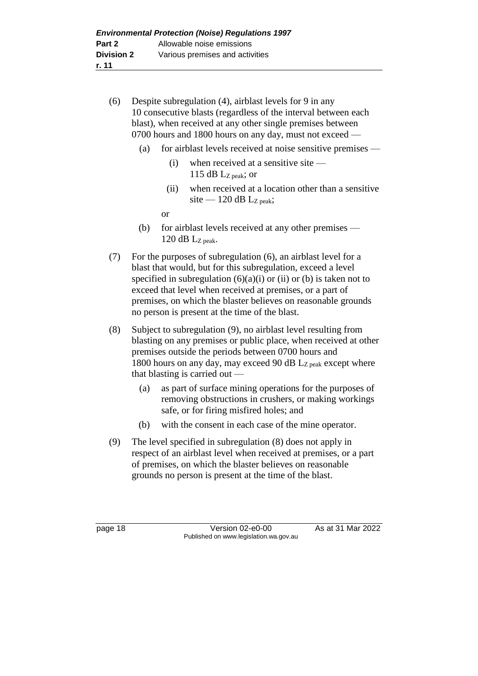- (6) Despite subregulation (4), airblast levels for 9 in any 10 consecutive blasts (regardless of the interval between each blast), when received at any other single premises between 0700 hours and 1800 hours on any day, must not exceed —
	- (a) for airblast levels received at noise sensitive premises
		- (i) when received at a sensitive site 115 dB  $L_{Z\text{ peak}}$ ; or
		- (ii) when received at a location other than a sensitive site — 120 dB  $L_{Z \text{ peak}}$ ;

or

- (b) for airblast levels received at any other premises 120 dB  $L_{Z\,peak}$ .
- (7) For the purposes of subregulation (6), an airblast level for a blast that would, but for this subregulation, exceed a level specified in subregulation  $(6)(a)(i)$  or (ii) or (b) is taken not to exceed that level when received at premises, or a part of premises, on which the blaster believes on reasonable grounds no person is present at the time of the blast.
- (8) Subject to subregulation (9), no airblast level resulting from blasting on any premises or public place, when received at other premises outside the periods between 0700 hours and 1800 hours on any day, may exceed 90 dB LZ peak except where that blasting is carried out —
	- (a) as part of surface mining operations for the purposes of removing obstructions in crushers, or making workings safe, or for firing misfired holes; and
	- (b) with the consent in each case of the mine operator.
- (9) The level specified in subregulation (8) does not apply in respect of an airblast level when received at premises, or a part of premises, on which the blaster believes on reasonable grounds no person is present at the time of the blast.

page 18 Version 02-e0-00 As at 31 Mar 2022 Published on www.legislation.wa.gov.au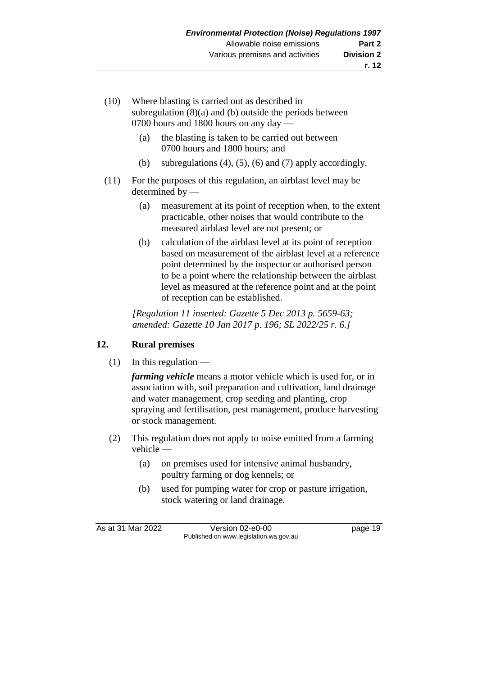- (10) Where blasting is carried out as described in subregulation (8)(a) and (b) outside the periods between 0700 hours and 1800 hours on any day —
	- (a) the blasting is taken to be carried out between 0700 hours and 1800 hours; and
	- (b) subregulations  $(4)$ ,  $(5)$ ,  $(6)$  and  $(7)$  apply accordingly.
- (11) For the purposes of this regulation, an airblast level may be determined by —
	- (a) measurement at its point of reception when, to the extent practicable, other noises that would contribute to the measured airblast level are not present; or
	- (b) calculation of the airblast level at its point of reception based on measurement of the airblast level at a reference point determined by the inspector or authorised person to be a point where the relationship between the airblast level as measured at the reference point and at the point of reception can be established.

*[Regulation 11 inserted: Gazette 5 Dec 2013 p. 5659-63; amended: Gazette 10 Jan 2017 p. 196; SL 2022/25 r. 6.]*

## **12. Rural premises**

 $(1)$  In this regulation —

*farming vehicle* means a motor vehicle which is used for, or in association with, soil preparation and cultivation, land drainage and water management, crop seeding and planting, crop spraying and fertilisation, pest management, produce harvesting or stock management.

- (2) This regulation does not apply to noise emitted from a farming vehicle —
	- (a) on premises used for intensive animal husbandry, poultry farming or dog kennels; or
	- (b) used for pumping water for crop or pasture irrigation, stock watering or land drainage.

As at 31 Mar 2022 Version 02-e0-00 page 19 Published on www.legislation.wa.gov.au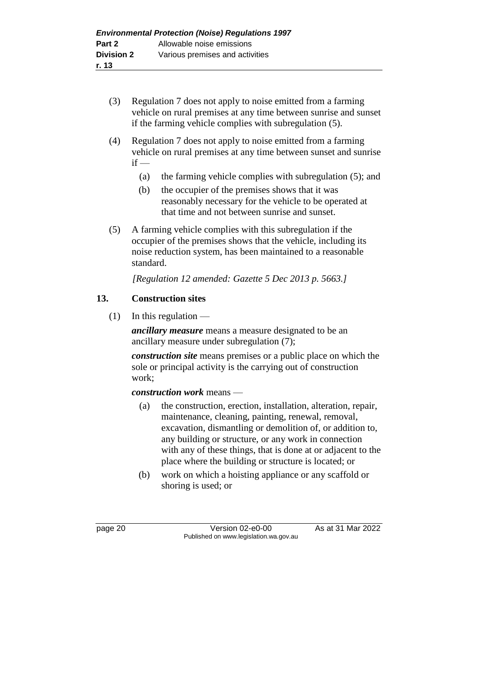- (3) Regulation 7 does not apply to noise emitted from a farming vehicle on rural premises at any time between sunrise and sunset if the farming vehicle complies with subregulation (5).
- (4) Regulation 7 does not apply to noise emitted from a farming vehicle on rural premises at any time between sunset and sunrise  $if -$ 
	- (a) the farming vehicle complies with subregulation (5); and
	- (b) the occupier of the premises shows that it was reasonably necessary for the vehicle to be operated at that time and not between sunrise and sunset.
- (5) A farming vehicle complies with this subregulation if the occupier of the premises shows that the vehicle, including its noise reduction system, has been maintained to a reasonable standard.

*[Regulation 12 amended: Gazette 5 Dec 2013 p. 5663.]*

## **13. Construction sites**

 $(1)$  In this regulation —

*ancillary measure* means a measure designated to be an ancillary measure under subregulation (7);

*construction site* means premises or a public place on which the sole or principal activity is the carrying out of construction work;

*construction work* means —

- (a) the construction, erection, installation, alteration, repair, maintenance, cleaning, painting, renewal, removal, excavation, dismantling or demolition of, or addition to, any building or structure, or any work in connection with any of these things, that is done at or adjacent to the place where the building or structure is located; or
- (b) work on which a hoisting appliance or any scaffold or shoring is used; or

page 20 Version 02-e0-00 As at 31 Mar 2022 Published on www.legislation.wa.gov.au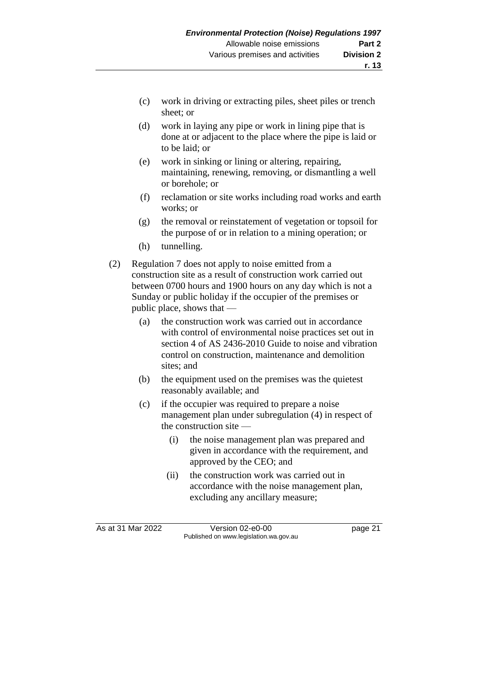- (c) work in driving or extracting piles, sheet piles or trench sheet; or
- (d) work in laying any pipe or work in lining pipe that is done at or adjacent to the place where the pipe is laid or to be laid; or
- (e) work in sinking or lining or altering, repairing, maintaining, renewing, removing, or dismantling a well or borehole; or
- (f) reclamation or site works including road works and earth works; or
- (g) the removal or reinstatement of vegetation or topsoil for the purpose of or in relation to a mining operation; or
- (h) tunnelling.
- (2) Regulation 7 does not apply to noise emitted from a construction site as a result of construction work carried out between 0700 hours and 1900 hours on any day which is not a Sunday or public holiday if the occupier of the premises or public place, shows that —
	- (a) the construction work was carried out in accordance with control of environmental noise practices set out in section 4 of AS 2436-2010 Guide to noise and vibration control on construction, maintenance and demolition sites; and
	- (b) the equipment used on the premises was the quietest reasonably available; and
	- (c) if the occupier was required to prepare a noise management plan under subregulation (4) in respect of the construction site —
		- (i) the noise management plan was prepared and given in accordance with the requirement, and approved by the CEO; and
		- (ii) the construction work was carried out in accordance with the noise management plan, excluding any ancillary measure;

As at 31 Mar 2022 Version 02-e0-00 page 21 Published on www.legislation.wa.gov.au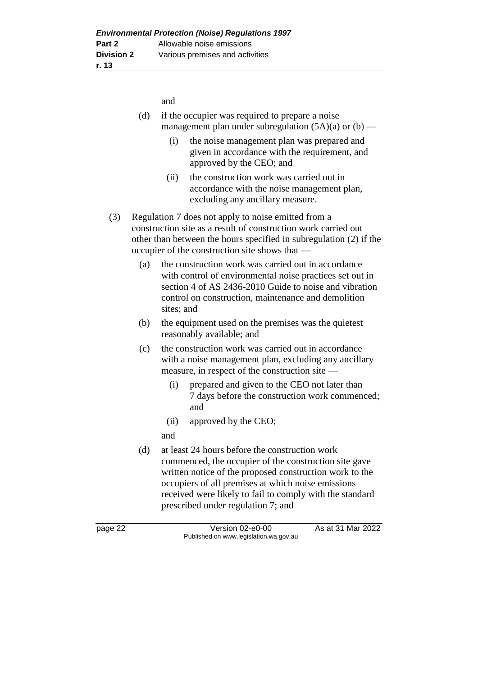and

- (d) if the occupier was required to prepare a noise management plan under subregulation  $(5A)(a)$  or  $(b)$  —
	- (i) the noise management plan was prepared and given in accordance with the requirement, and approved by the CEO; and
	- (ii) the construction work was carried out in accordance with the noise management plan, excluding any ancillary measure.
- (3) Regulation 7 does not apply to noise emitted from a construction site as a result of construction work carried out other than between the hours specified in subregulation (2) if the occupier of the construction site shows that —
	- (a) the construction work was carried out in accordance with control of environmental noise practices set out in section 4 of AS 2436-2010 Guide to noise and vibration control on construction, maintenance and demolition sites; and
	- (b) the equipment used on the premises was the quietest reasonably available; and
	- (c) the construction work was carried out in accordance with a noise management plan, excluding any ancillary measure, in respect of the construction site —
		- (i) prepared and given to the CEO not later than 7 days before the construction work commenced; and
		- (ii) approved by the CEO;

and

(d) at least 24 hours before the construction work commenced, the occupier of the construction site gave written notice of the proposed construction work to the occupiers of all premises at which noise emissions received were likely to fail to comply with the standard prescribed under regulation 7; and

page 22 Version 02-e0-00 As at 31 Mar 2022 Published on www.legislation.wa.gov.au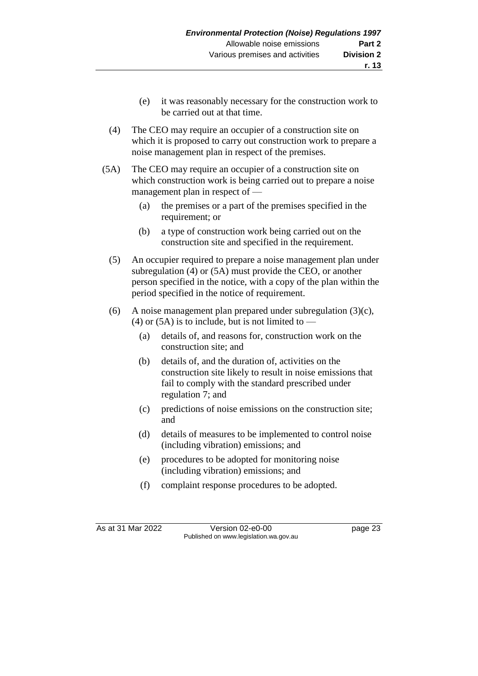- (e) it was reasonably necessary for the construction work to be carried out at that time.
- (4) The CEO may require an occupier of a construction site on which it is proposed to carry out construction work to prepare a noise management plan in respect of the premises.
- (5A) The CEO may require an occupier of a construction site on which construction work is being carried out to prepare a noise management plan in respect of —
	- (a) the premises or a part of the premises specified in the requirement; or
	- (b) a type of construction work being carried out on the construction site and specified in the requirement.
	- (5) An occupier required to prepare a noise management plan under subregulation (4) or (5A) must provide the CEO, or another person specified in the notice, with a copy of the plan within the period specified in the notice of requirement.
	- (6) A noise management plan prepared under subregulation  $(3)(c)$ , (4) or (5A) is to include, but is not limited to —
		- (a) details of, and reasons for, construction work on the construction site; and
		- (b) details of, and the duration of, activities on the construction site likely to result in noise emissions that fail to comply with the standard prescribed under regulation 7; and
		- (c) predictions of noise emissions on the construction site; and
		- (d) details of measures to be implemented to control noise (including vibration) emissions; and
		- (e) procedures to be adopted for monitoring noise (including vibration) emissions; and
		- (f) complaint response procedures to be adopted.

As at 31 Mar 2022 Version 02-e0-00 Page 23 Published on www.legislation.wa.gov.au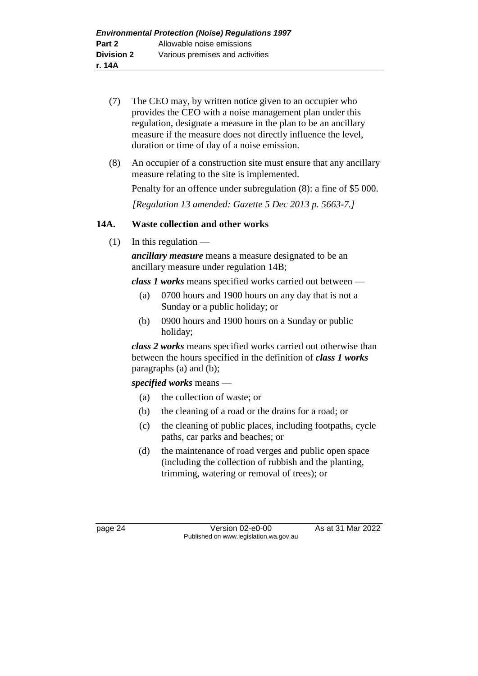- (7) The CEO may, by written notice given to an occupier who provides the CEO with a noise management plan under this regulation, designate a measure in the plan to be an ancillary measure if the measure does not directly influence the level, duration or time of day of a noise emission.
- (8) An occupier of a construction site must ensure that any ancillary measure relating to the site is implemented.

Penalty for an offence under subregulation (8): a fine of \$5 000.

*[Regulation 13 amended: Gazette 5 Dec 2013 p. 5663-7.]*

#### **14A. Waste collection and other works**

 $(1)$  In this regulation —

*ancillary measure* means a measure designated to be an ancillary measure under regulation 14B;

*class 1 works* means specified works carried out between —

- (a) 0700 hours and 1900 hours on any day that is not a Sunday or a public holiday; or
- (b) 0900 hours and 1900 hours on a Sunday or public holiday;

*class 2 works* means specified works carried out otherwise than between the hours specified in the definition of *class 1 works*  paragraphs (a) and (b);

*specified works* means —

- (a) the collection of waste; or
- (b) the cleaning of a road or the drains for a road; or
- (c) the cleaning of public places, including footpaths, cycle paths, car parks and beaches; or
- (d) the maintenance of road verges and public open space (including the collection of rubbish and the planting, trimming, watering or removal of trees); or

page 24 Version 02-e0-00 As at 31 Mar 2022 Published on www.legislation.wa.gov.au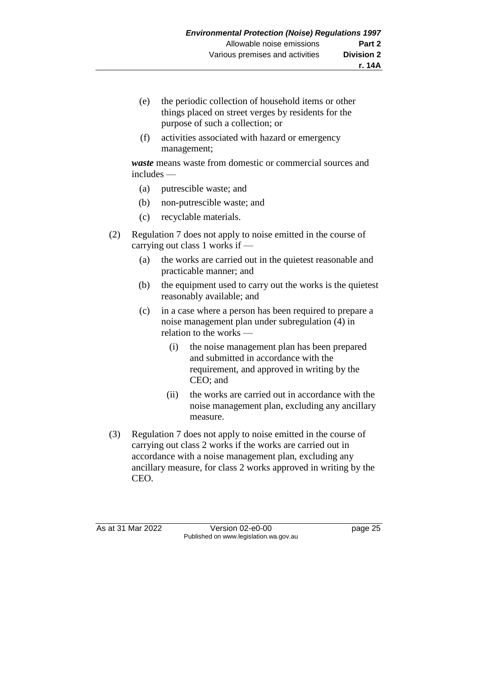- (e) the periodic collection of household items or other things placed on street verges by residents for the purpose of such a collection; or
- (f) activities associated with hazard or emergency management;

*waste* means waste from domestic or commercial sources and includes —

- (a) putrescible waste; and
- (b) non-putrescible waste; and
- (c) recyclable materials.
- (2) Regulation 7 does not apply to noise emitted in the course of carrying out class 1 works if —
	- (a) the works are carried out in the quietest reasonable and practicable manner; and
	- (b) the equipment used to carry out the works is the quietest reasonably available; and
	- (c) in a case where a person has been required to prepare a noise management plan under subregulation (4) in relation to the works —
		- (i) the noise management plan has been prepared and submitted in accordance with the requirement, and approved in writing by the CEO; and
		- (ii) the works are carried out in accordance with the noise management plan, excluding any ancillary measure.
- (3) Regulation 7 does not apply to noise emitted in the course of carrying out class 2 works if the works are carried out in accordance with a noise management plan, excluding any ancillary measure, for class 2 works approved in writing by the CEO.

As at 31 Mar 2022 Version 02-e0-00 Page 25 Published on www.legislation.wa.gov.au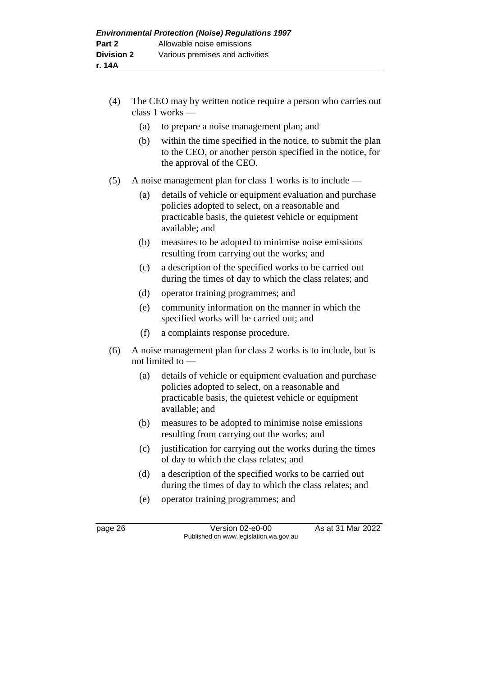- (4) The CEO may by written notice require a person who carries out class 1 works —
	- (a) to prepare a noise management plan; and
	- (b) within the time specified in the notice, to submit the plan to the CEO, or another person specified in the notice, for the approval of the CEO.
- (5) A noise management plan for class 1 works is to include
	- (a) details of vehicle or equipment evaluation and purchase policies adopted to select, on a reasonable and practicable basis, the quietest vehicle or equipment available; and
	- (b) measures to be adopted to minimise noise emissions resulting from carrying out the works; and
	- (c) a description of the specified works to be carried out during the times of day to which the class relates; and
	- (d) operator training programmes; and
	- (e) community information on the manner in which the specified works will be carried out; and
	- (f) a complaints response procedure.
- (6) A noise management plan for class 2 works is to include, but is not limited to —
	- (a) details of vehicle or equipment evaluation and purchase policies adopted to select, on a reasonable and practicable basis, the quietest vehicle or equipment available; and
	- (b) measures to be adopted to minimise noise emissions resulting from carrying out the works; and
	- (c) justification for carrying out the works during the times of day to which the class relates; and
	- (d) a description of the specified works to be carried out during the times of day to which the class relates; and
	- (e) operator training programmes; and

page 26 Version 02-e0-00 As at 31 Mar 2022 Published on www.legislation.wa.gov.au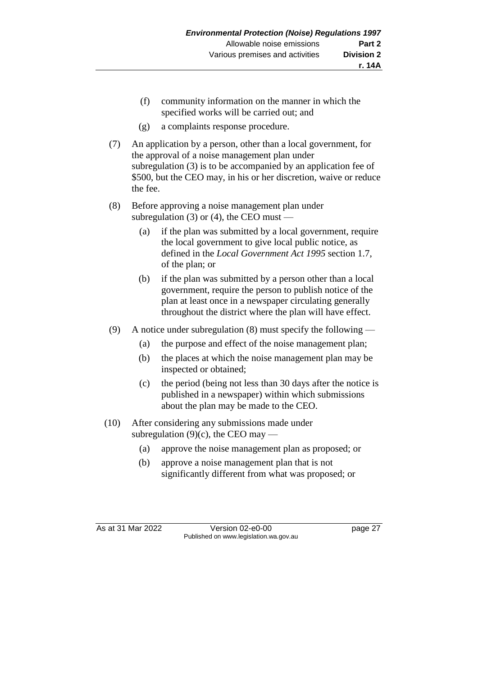- (f) community information on the manner in which the specified works will be carried out; and
- (g) a complaints response procedure.
- (7) An application by a person, other than a local government, for the approval of a noise management plan under subregulation (3) is to be accompanied by an application fee of \$500, but the CEO may, in his or her discretion, waive or reduce the fee.
- (8) Before approving a noise management plan under subregulation (3) or (4), the CEO must —
	- (a) if the plan was submitted by a local government, require the local government to give local public notice, as defined in the *Local Government Act 1995* section 1.7, of the plan; or
	- (b) if the plan was submitted by a person other than a local government, require the person to publish notice of the plan at least once in a newspaper circulating generally throughout the district where the plan will have effect.
- (9) A notice under subregulation (8) must specify the following
	- (a) the purpose and effect of the noise management plan;
	- (b) the places at which the noise management plan may be inspected or obtained;
	- (c) the period (being not less than 30 days after the notice is published in a newspaper) within which submissions about the plan may be made to the CEO.
- (10) After considering any submissions made under subregulation  $(9)(c)$ , the CEO may —
	- (a) approve the noise management plan as proposed; or
	- (b) approve a noise management plan that is not significantly different from what was proposed; or

As at 31 Mar 2022 Version 02-e0-00 page 27 Published on www.legislation.wa.gov.au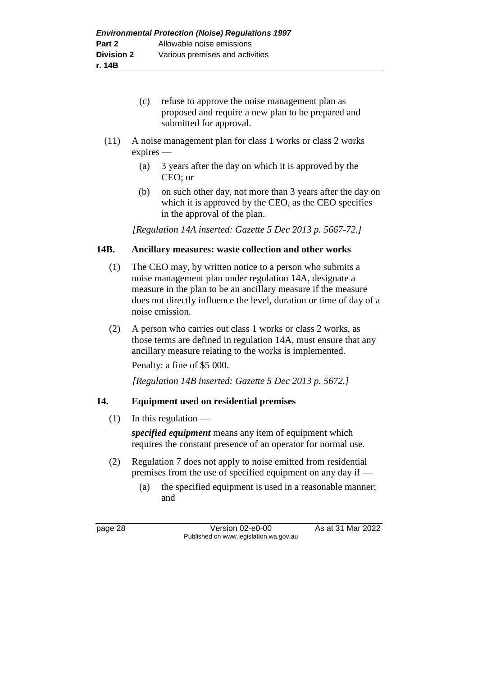- (c) refuse to approve the noise management plan as proposed and require a new plan to be prepared and submitted for approval.
- (11) A noise management plan for class 1 works or class 2 works expires —
	- (a) 3 years after the day on which it is approved by the CEO; or
	- (b) on such other day, not more than 3 years after the day on which it is approved by the CEO, as the CEO specifies in the approval of the plan.

*[Regulation 14A inserted: Gazette 5 Dec 2013 p. 5667-72.]*

#### **14B. Ancillary measures: waste collection and other works**

- (1) The CEO may, by written notice to a person who submits a noise management plan under regulation 14A, designate a measure in the plan to be an ancillary measure if the measure does not directly influence the level, duration or time of day of a noise emission.
- (2) A person who carries out class 1 works or class 2 works, as those terms are defined in regulation 14A, must ensure that any ancillary measure relating to the works is implemented.

Penalty: a fine of \$5 000.

*[Regulation 14B inserted: Gazette 5 Dec 2013 p. 5672.]*

#### **14. Equipment used on residential premises**

#### $(1)$  In this regulation —

*specified equipment* means any item of equipment which requires the constant presence of an operator for normal use.

- (2) Regulation 7 does not apply to noise emitted from residential premises from the use of specified equipment on any day if —
	- (a) the specified equipment is used in a reasonable manner; and

page 28 Version 02-e0-00 As at 31 Mar 2022 Published on www.legislation.wa.gov.au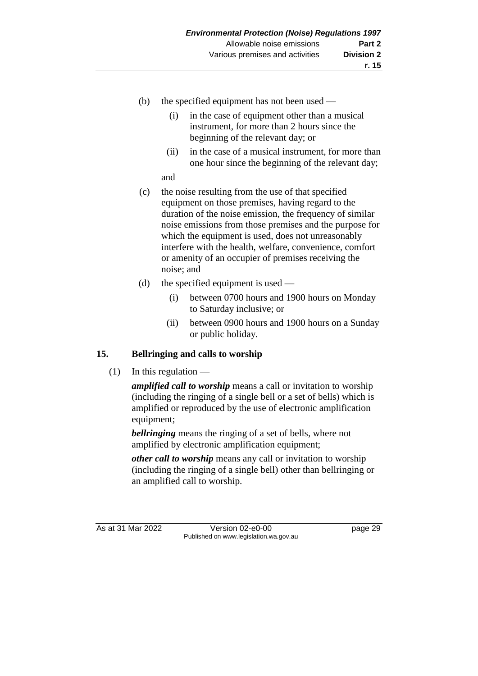- (b) the specified equipment has not been used
	- (i) in the case of equipment other than a musical instrument, for more than 2 hours since the beginning of the relevant day; or
	- (ii) in the case of a musical instrument, for more than one hour since the beginning of the relevant day;

and

- (c) the noise resulting from the use of that specified equipment on those premises, having regard to the duration of the noise emission, the frequency of similar noise emissions from those premises and the purpose for which the equipment is used, does not unreasonably interfere with the health, welfare, convenience, comfort or amenity of an occupier of premises receiving the noise; and
- (d) the specified equipment is used
	- (i) between 0700 hours and 1900 hours on Monday to Saturday inclusive; or
	- (ii) between 0900 hours and 1900 hours on a Sunday or public holiday.

#### **15. Bellringing and calls to worship**

 $(1)$  In this regulation —

*amplified call to worship* means a call or invitation to worship (including the ringing of a single bell or a set of bells) which is amplified or reproduced by the use of electronic amplification equipment;

*bellringing* means the ringing of a set of bells, where not amplified by electronic amplification equipment;

*other call to worship* means any call or invitation to worship (including the ringing of a single bell) other than bellringing or an amplified call to worship.

As at 31 Mar 2022 Version 02-e0-00 page 29 Published on www.legislation.wa.gov.au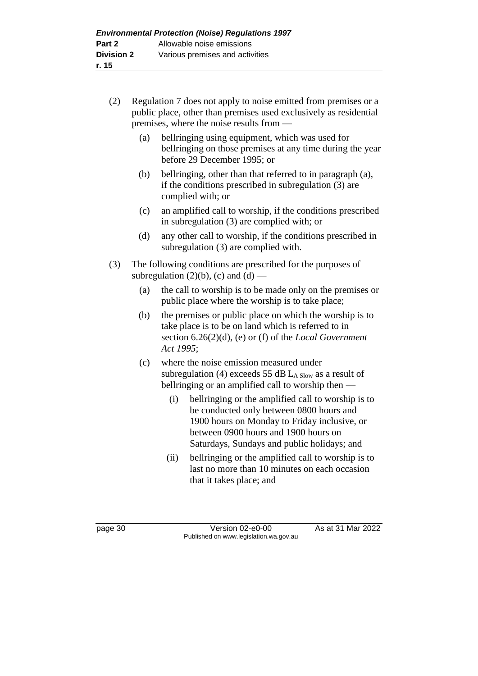- (2) Regulation 7 does not apply to noise emitted from premises or a public place, other than premises used exclusively as residential premises, where the noise results from —
	- (a) bellringing using equipment, which was used for bellringing on those premises at any time during the year before 29 December 1995; or
	- (b) bellringing, other than that referred to in paragraph (a), if the conditions prescribed in subregulation (3) are complied with; or
	- (c) an amplified call to worship, if the conditions prescribed in subregulation (3) are complied with; or
	- (d) any other call to worship, if the conditions prescribed in subregulation (3) are complied with.
- (3) The following conditions are prescribed for the purposes of subregulation  $(2)(b)$ ,  $(c)$  and  $(d)$  —
	- (a) the call to worship is to be made only on the premises or public place where the worship is to take place;
	- (b) the premises or public place on which the worship is to take place is to be on land which is referred to in section 6.26(2)(d), (e) or (f) of the *Local Government Act 1995*;
	- (c) where the noise emission measured under subregulation (4) exceeds 55 dB  $L_{A}$  Slow as a result of bellringing or an amplified call to worship then —
		- (i) bellringing or the amplified call to worship is to be conducted only between 0800 hours and 1900 hours on Monday to Friday inclusive, or between 0900 hours and 1900 hours on Saturdays, Sundays and public holidays; and
		- (ii) bellringing or the amplified call to worship is to last no more than 10 minutes on each occasion that it takes place; and

page 30 Version 02-e0-00 As at 31 Mar 2022 Published on www.legislation.wa.gov.au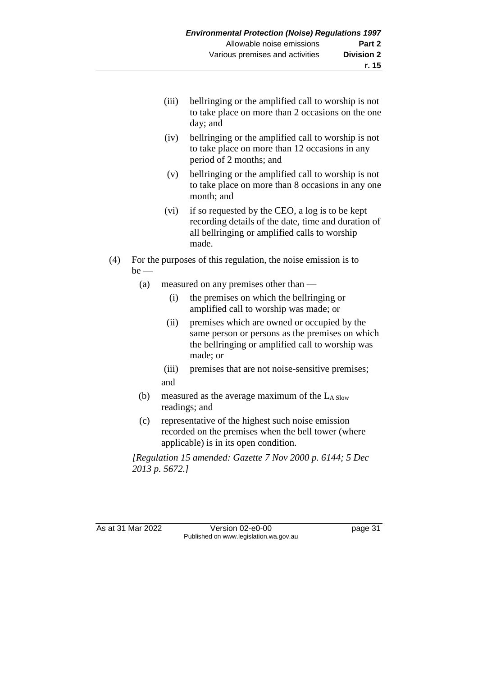- (iii) bellringing or the amplified call to worship is not to take place on more than 2 occasions on the one day; and
- (iv) bellringing or the amplified call to worship is not to take place on more than 12 occasions in any period of 2 months; and
- (v) bellringing or the amplified call to worship is not to take place on more than 8 occasions in any one month; and
- (vi) if so requested by the CEO, a log is to be kept recording details of the date, time and duration of all bellringing or amplified calls to worship made.
- (4) For the purposes of this regulation, the noise emission is to  $be$  —
	- (a) measured on any premises other than
		- (i) the premises on which the bellringing or amplified call to worship was made; or
		- (ii) premises which are owned or occupied by the same person or persons as the premises on which the bellringing or amplified call to worship was made; or
		- (iii) premises that are not noise-sensitive premises; and
	- (b) measured as the average maximum of the  $L_{A \text{ Slow}}$ readings; and
	- (c) representative of the highest such noise emission recorded on the premises when the bell tower (where applicable) is in its open condition.

*[Regulation 15 amended: Gazette 7 Nov 2000 p. 6144; 5 Dec 2013 p. 5672.]*

As at 31 Mar 2022 Version 02-e0-00 page 31 Published on www.legislation.wa.gov.au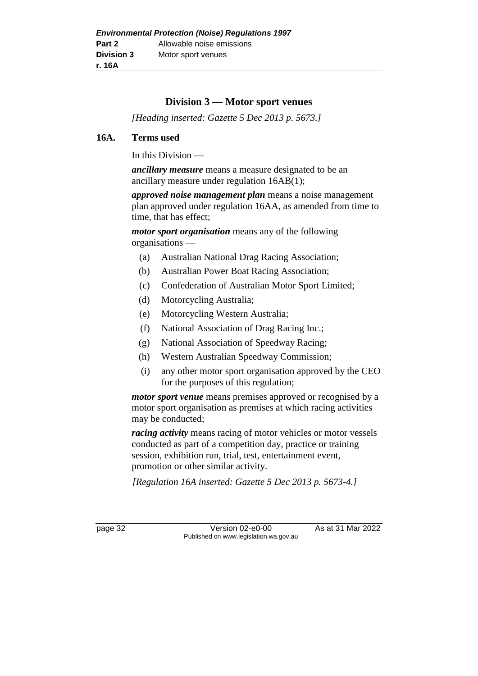# **Division 3 — Motor sport venues**

*[Heading inserted: Gazette 5 Dec 2013 p. 5673.]*

#### **16A. Terms used**

In this Division —

*ancillary measure* means a measure designated to be an ancillary measure under regulation 16AB(1);

*approved noise management plan* means a noise management plan approved under regulation 16AA, as amended from time to time, that has effect;

*motor sport organisation* means any of the following organisations —

- (a) Australian National Drag Racing Association;
- (b) Australian Power Boat Racing Association;
- (c) Confederation of Australian Motor Sport Limited;
- (d) Motorcycling Australia;
- (e) Motorcycling Western Australia;
- (f) National Association of Drag Racing Inc.;
- (g) National Association of Speedway Racing;
- (h) Western Australian Speedway Commission;
- (i) any other motor sport organisation approved by the CEO for the purposes of this regulation;

*motor sport venue* means premises approved or recognised by a motor sport organisation as premises at which racing activities may be conducted;

*racing activity* means racing of motor vehicles or motor vessels conducted as part of a competition day, practice or training session, exhibition run, trial, test, entertainment event, promotion or other similar activity.

*[Regulation 16A inserted: Gazette 5 Dec 2013 p. 5673-4.]*

page 32 Version 02-e0-00 As at 31 Mar 2022 Published on www.legislation.wa.gov.au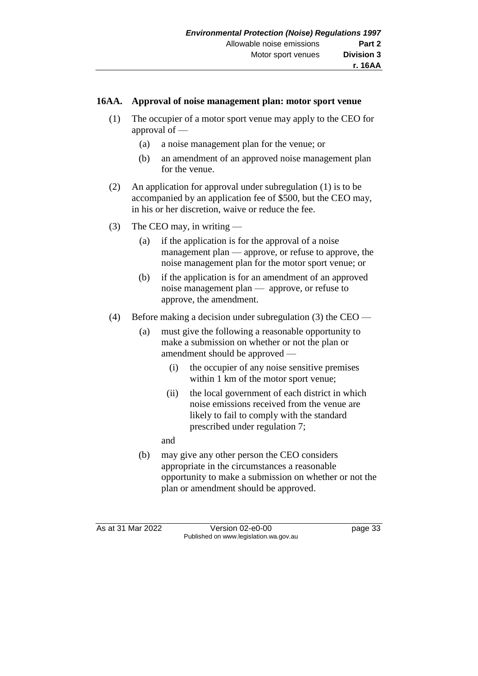#### **16AA. Approval of noise management plan: motor sport venue**

- (1) The occupier of a motor sport venue may apply to the CEO for approval of —
	- (a) a noise management plan for the venue; or
	- (b) an amendment of an approved noise management plan for the venue.
- (2) An application for approval under subregulation (1) is to be accompanied by an application fee of \$500, but the CEO may, in his or her discretion, waive or reduce the fee.
- (3) The CEO may, in writing
	- (a) if the application is for the approval of a noise management plan — approve, or refuse to approve, the noise management plan for the motor sport venue; or
	- (b) if the application is for an amendment of an approved noise management plan — approve, or refuse to approve, the amendment.
- (4) Before making a decision under subregulation (3) the CEO
	- (a) must give the following a reasonable opportunity to make a submission on whether or not the plan or amendment should be approved —
		- (i) the occupier of any noise sensitive premises within 1 km of the motor sport venue;
		- (ii) the local government of each district in which noise emissions received from the venue are likely to fail to comply with the standard prescribed under regulation 7;

and

(b) may give any other person the CEO considers appropriate in the circumstances a reasonable opportunity to make a submission on whether or not the plan or amendment should be approved.

As at 31 Mar 2022 Version 02-e0-00 page 33 Published on www.legislation.wa.gov.au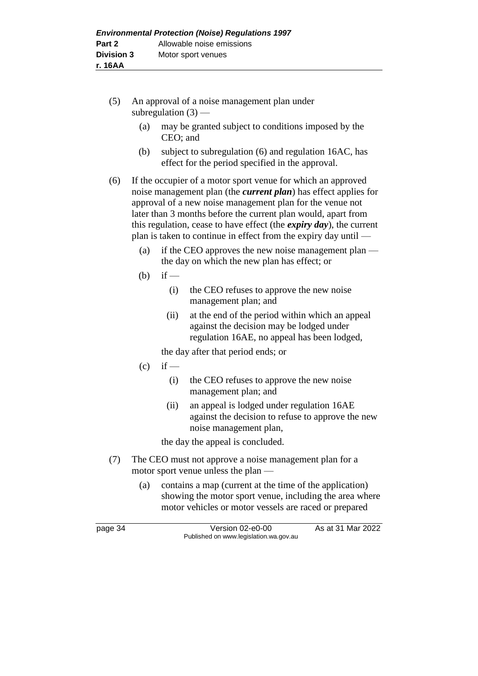- (5) An approval of a noise management plan under subregulation  $(3)$  —
	- (a) may be granted subject to conditions imposed by the CEO; and
	- (b) subject to subregulation (6) and regulation 16AC, has effect for the period specified in the approval.

(6) If the occupier of a motor sport venue for which an approved noise management plan (the *current plan*) has effect applies for approval of a new noise management plan for the venue not later than 3 months before the current plan would, apart from this regulation, cease to have effect (the *expiry day*), the current plan is taken to continue in effect from the expiry day until —

- (a) if the CEO approves the new noise management plan the day on which the new plan has effect; or
- $(b)$  if
	- (i) the CEO refuses to approve the new noise management plan; and
	- (ii) at the end of the period within which an appeal against the decision may be lodged under regulation 16AE, no appeal has been lodged,
	- the day after that period ends; or
- $(c)$  if
	- (i) the CEO refuses to approve the new noise management plan; and
	- (ii) an appeal is lodged under regulation 16AE against the decision to refuse to approve the new noise management plan,

the day the appeal is concluded.

- (7) The CEO must not approve a noise management plan for a motor sport venue unless the plan —
	- (a) contains a map (current at the time of the application) showing the motor sport venue, including the area where motor vehicles or motor vessels are raced or prepared

page 34 Version 02-e0-00 As at 31 Mar 2022 Published on www.legislation.wa.gov.au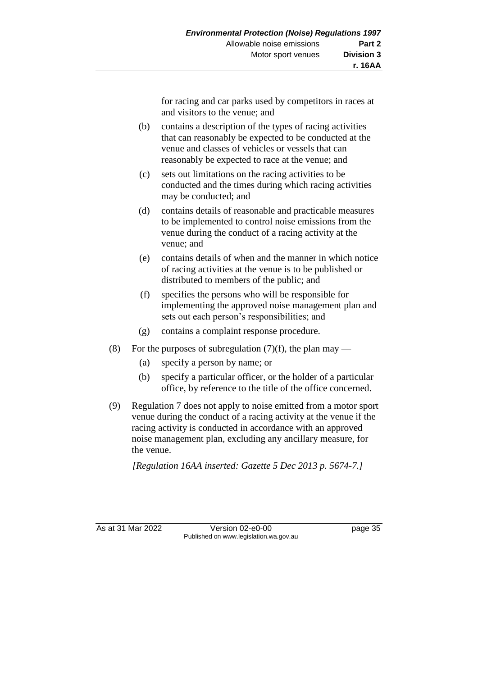for racing and car parks used by competitors in races at and visitors to the venue; and

- (b) contains a description of the types of racing activities that can reasonably be expected to be conducted at the venue and classes of vehicles or vessels that can reasonably be expected to race at the venue; and
- (c) sets out limitations on the racing activities to be conducted and the times during which racing activities may be conducted; and
- (d) contains details of reasonable and practicable measures to be implemented to control noise emissions from the venue during the conduct of a racing activity at the venue; and
- (e) contains details of when and the manner in which notice of racing activities at the venue is to be published or distributed to members of the public; and
- (f) specifies the persons who will be responsible for implementing the approved noise management plan and sets out each person's responsibilities; and
- (g) contains a complaint response procedure.
- (8) For the purposes of subregulation  $(7)(f)$ , the plan may
	- (a) specify a person by name; or
	- (b) specify a particular officer, or the holder of a particular office, by reference to the title of the office concerned.
- (9) Regulation 7 does not apply to noise emitted from a motor sport venue during the conduct of a racing activity at the venue if the racing activity is conducted in accordance with an approved noise management plan, excluding any ancillary measure, for the venue.

*[Regulation 16AA inserted: Gazette 5 Dec 2013 p. 5674-7.]*

As at 31 Mar 2022 Version 02-e0-00 page 35 Published on www.legislation.wa.gov.au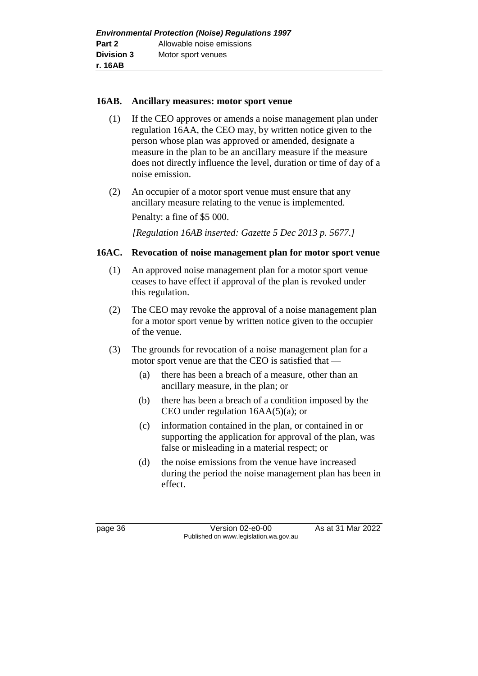#### **16AB. Ancillary measures: motor sport venue**

- (1) If the CEO approves or amends a noise management plan under regulation 16AA, the CEO may, by written notice given to the person whose plan was approved or amended, designate a measure in the plan to be an ancillary measure if the measure does not directly influence the level, duration or time of day of a noise emission.
- (2) An occupier of a motor sport venue must ensure that any ancillary measure relating to the venue is implemented. Penalty: a fine of \$5 000.

*[Regulation 16AB inserted: Gazette 5 Dec 2013 p. 5677.]*

# **16AC. Revocation of noise management plan for motor sport venue**

- (1) An approved noise management plan for a motor sport venue ceases to have effect if approval of the plan is revoked under this regulation.
- (2) The CEO may revoke the approval of a noise management plan for a motor sport venue by written notice given to the occupier of the venue.
- (3) The grounds for revocation of a noise management plan for a motor sport venue are that the CEO is satisfied that —
	- (a) there has been a breach of a measure, other than an ancillary measure, in the plan; or
	- (b) there has been a breach of a condition imposed by the CEO under regulation 16AA(5)(a); or
	- (c) information contained in the plan, or contained in or supporting the application for approval of the plan, was false or misleading in a material respect; or
	- (d) the noise emissions from the venue have increased during the period the noise management plan has been in effect.

page 36 Version 02-e0-00 As at 31 Mar 2022 Published on www.legislation.wa.gov.au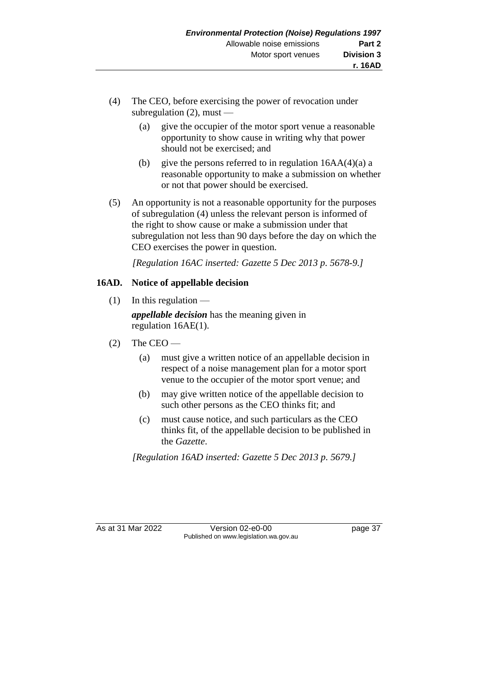- (4) The CEO, before exercising the power of revocation under subregulation  $(2)$ , must —
	- (a) give the occupier of the motor sport venue a reasonable opportunity to show cause in writing why that power should not be exercised; and
	- (b) give the persons referred to in regulation  $16AA(4)(a)$  a reasonable opportunity to make a submission on whether or not that power should be exercised.
- (5) An opportunity is not a reasonable opportunity for the purposes of subregulation (4) unless the relevant person is informed of the right to show cause or make a submission under that subregulation not less than 90 days before the day on which the CEO exercises the power in question.

*[Regulation 16AC inserted: Gazette 5 Dec 2013 p. 5678-9.]*

# **16AD. Notice of appellable decision**

 $(1)$  In this regulation —

*appellable decision* has the meaning given in regulation 16AE(1).

- $(2)$  The CEO
	- (a) must give a written notice of an appellable decision in respect of a noise management plan for a motor sport venue to the occupier of the motor sport venue; and
	- (b) may give written notice of the appellable decision to such other persons as the CEO thinks fit; and
	- (c) must cause notice, and such particulars as the CEO thinks fit, of the appellable decision to be published in the *Gazette*.

*[Regulation 16AD inserted: Gazette 5 Dec 2013 p. 5679.]*

As at 31 Mar 2022 Version 02-e0-00 page 37 Published on www.legislation.wa.gov.au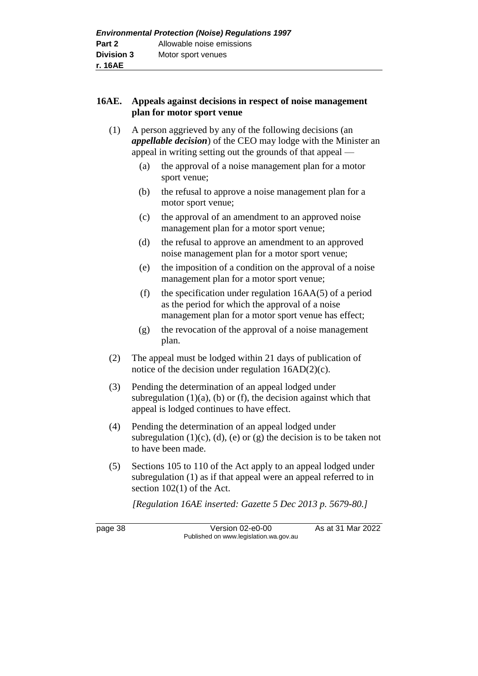#### **16AE. Appeals against decisions in respect of noise management plan for motor sport venue**

- (1) A person aggrieved by any of the following decisions (an *appellable decision*) of the CEO may lodge with the Minister an appeal in writing setting out the grounds of that appeal —
	- (a) the approval of a noise management plan for a motor sport venue;
	- (b) the refusal to approve a noise management plan for a motor sport venue;
	- (c) the approval of an amendment to an approved noise management plan for a motor sport venue;
	- (d) the refusal to approve an amendment to an approved noise management plan for a motor sport venue;
	- (e) the imposition of a condition on the approval of a noise management plan for a motor sport venue;
	- (f) the specification under regulation  $16AA(5)$  of a period as the period for which the approval of a noise management plan for a motor sport venue has effect;
	- (g) the revocation of the approval of a noise management plan.
- (2) The appeal must be lodged within 21 days of publication of notice of the decision under regulation 16AD(2)(c).
- (3) Pending the determination of an appeal lodged under subregulation  $(1)(a)$ ,  $(b)$  or  $(f)$ , the decision against which that appeal is lodged continues to have effect.
- (4) Pending the determination of an appeal lodged under subregulation  $(1)(c)$ ,  $(d)$ ,  $(e)$  or  $(g)$  the decision is to be taken not to have been made.
- (5) Sections 105 to 110 of the Act apply to an appeal lodged under subregulation (1) as if that appeal were an appeal referred to in section 102(1) of the Act.

*[Regulation 16AE inserted: Gazette 5 Dec 2013 p. 5679-80.]*

page 38 Version 02-e0-00 As at 31 Mar 2022 Published on www.legislation.wa.gov.au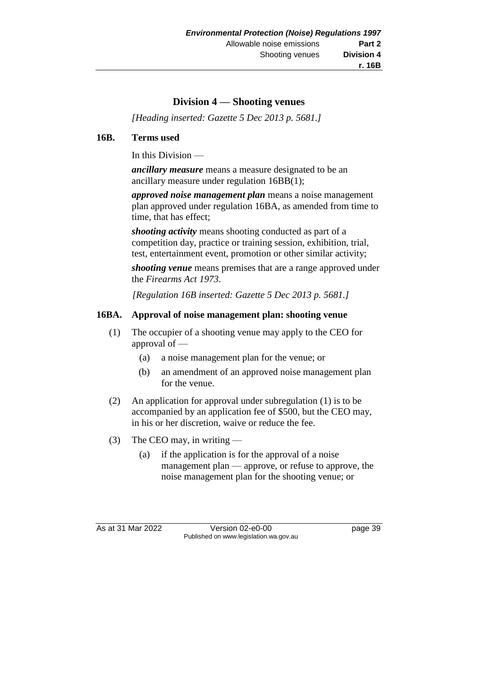# **Division 4 — Shooting venues**

*[Heading inserted: Gazette 5 Dec 2013 p. 5681.]*

#### **16B. Terms used**

In this Division —

*ancillary measure* means a measure designated to be an ancillary measure under regulation 16BB(1);

*approved noise management plan* means a noise management plan approved under regulation 16BA, as amended from time to time, that has effect;

*shooting activity* means shooting conducted as part of a competition day, practice or training session, exhibition, trial, test, entertainment event, promotion or other similar activity;

*shooting venue* means premises that are a range approved under the *Firearms Act 1973*.

*[Regulation 16B inserted: Gazette 5 Dec 2013 p. 5681.]*

#### **16BA. Approval of noise management plan: shooting venue**

- (1) The occupier of a shooting venue may apply to the CEO for approval of —
	- (a) a noise management plan for the venue; or
	- (b) an amendment of an approved noise management plan for the venue.
- (2) An application for approval under subregulation (1) is to be accompanied by an application fee of \$500, but the CEO may, in his or her discretion, waive or reduce the fee.
- (3) The CEO may, in writing
	- (a) if the application is for the approval of a noise management plan — approve, or refuse to approve, the noise management plan for the shooting venue; or

As at 31 Mar 2022 Version 02-e0-00 page 39 Published on www.legislation.wa.gov.au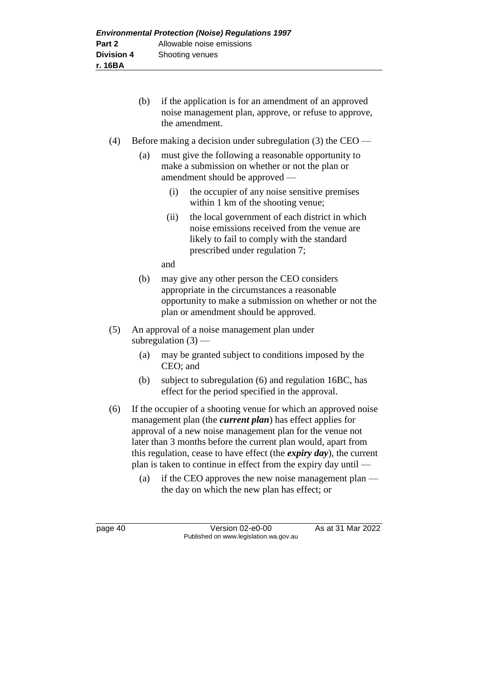- (b) if the application is for an amendment of an approved noise management plan, approve, or refuse to approve, the amendment.
- (4) Before making a decision under subregulation (3) the CEO
	- (a) must give the following a reasonable opportunity to make a submission on whether or not the plan or amendment should be approved —
		- (i) the occupier of any noise sensitive premises within 1 km of the shooting venue;
		- (ii) the local government of each district in which noise emissions received from the venue are likely to fail to comply with the standard prescribed under regulation 7;

and

- (b) may give any other person the CEO considers appropriate in the circumstances a reasonable opportunity to make a submission on whether or not the plan or amendment should be approved.
- (5) An approval of a noise management plan under subregulation  $(3)$  -
	- (a) may be granted subject to conditions imposed by the CEO; and
	- (b) subject to subregulation (6) and regulation 16BC, has effect for the period specified in the approval.
- (6) If the occupier of a shooting venue for which an approved noise management plan (the *current plan*) has effect applies for approval of a new noise management plan for the venue not later than 3 months before the current plan would, apart from this regulation, cease to have effect (the *expiry day*), the current plan is taken to continue in effect from the expiry day until —
	- (a) if the CEO approves the new noise management plan the day on which the new plan has effect; or

page 40 Version 02-e0-00 As at 31 Mar 2022 Published on www.legislation.wa.gov.au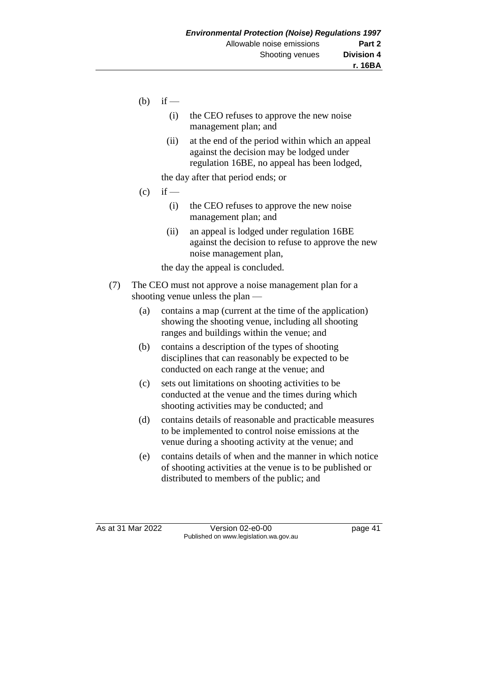- $(b)$  if
	- (i) the CEO refuses to approve the new noise management plan; and
	- (ii) at the end of the period within which an appeal against the decision may be lodged under regulation 16BE, no appeal has been lodged,

the day after that period ends; or

- $(c)$  if
	- (i) the CEO refuses to approve the new noise management plan; and
	- (ii) an appeal is lodged under regulation 16BE against the decision to refuse to approve the new noise management plan,

the day the appeal is concluded.

- (7) The CEO must not approve a noise management plan for a shooting venue unless the plan —
	- (a) contains a map (current at the time of the application) showing the shooting venue, including all shooting ranges and buildings within the venue; and
	- (b) contains a description of the types of shooting disciplines that can reasonably be expected to be conducted on each range at the venue; and
	- (c) sets out limitations on shooting activities to be conducted at the venue and the times during which shooting activities may be conducted; and
	- (d) contains details of reasonable and practicable measures to be implemented to control noise emissions at the venue during a shooting activity at the venue; and
	- (e) contains details of when and the manner in which notice of shooting activities at the venue is to be published or distributed to members of the public; and

As at 31 Mar 2022 Version 02-e0-00 page 41 Published on www.legislation.wa.gov.au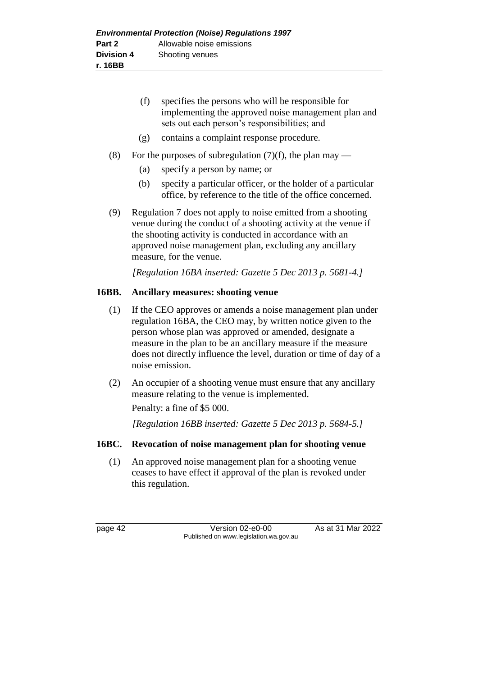- (f) specifies the persons who will be responsible for implementing the approved noise management plan and sets out each person's responsibilities; and
- (g) contains a complaint response procedure.
- (8) For the purposes of subregulation  $(7)(f)$ , the plan may
	- (a) specify a person by name; or
	- (b) specify a particular officer, or the holder of a particular office, by reference to the title of the office concerned.
- (9) Regulation 7 does not apply to noise emitted from a shooting venue during the conduct of a shooting activity at the venue if the shooting activity is conducted in accordance with an approved noise management plan, excluding any ancillary measure, for the venue.

*[Regulation 16BA inserted: Gazette 5 Dec 2013 p. 5681-4.]*

#### **16BB. Ancillary measures: shooting venue**

- (1) If the CEO approves or amends a noise management plan under regulation 16BA, the CEO may, by written notice given to the person whose plan was approved or amended, designate a measure in the plan to be an ancillary measure if the measure does not directly influence the level, duration or time of day of a noise emission.
- (2) An occupier of a shooting venue must ensure that any ancillary measure relating to the venue is implemented. Penalty: a fine of \$5 000.

*[Regulation 16BB inserted: Gazette 5 Dec 2013 p. 5684-5.]*

# **16BC. Revocation of noise management plan for shooting venue**

(1) An approved noise management plan for a shooting venue ceases to have effect if approval of the plan is revoked under this regulation.

page 42 Version 02-e0-00 As at 31 Mar 2022 Published on www.legislation.wa.gov.au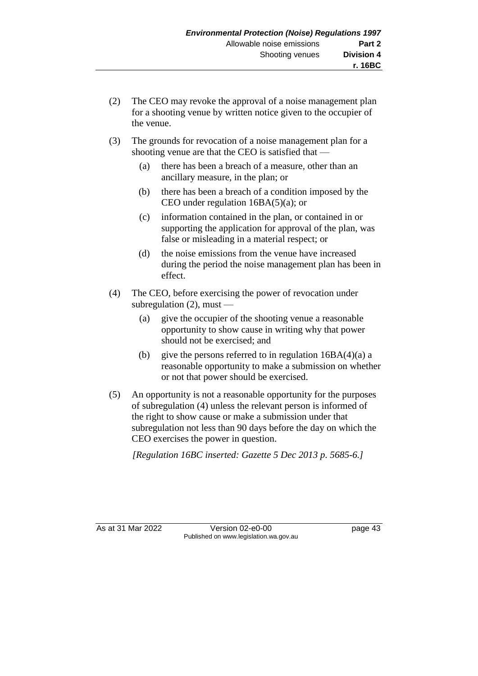- (2) The CEO may revoke the approval of a noise management plan for a shooting venue by written notice given to the occupier of the venue.
- (3) The grounds for revocation of a noise management plan for a shooting venue are that the CEO is satisfied that —
	- (a) there has been a breach of a measure, other than an ancillary measure, in the plan; or
	- (b) there has been a breach of a condition imposed by the CEO under regulation 16BA(5)(a); or
	- (c) information contained in the plan, or contained in or supporting the application for approval of the plan, was false or misleading in a material respect; or
	- (d) the noise emissions from the venue have increased during the period the noise management plan has been in effect.
- (4) The CEO, before exercising the power of revocation under subregulation  $(2)$ , must –
	- (a) give the occupier of the shooting venue a reasonable opportunity to show cause in writing why that power should not be exercised; and
	- (b) give the persons referred to in regulation  $16BA(4)(a)$  a reasonable opportunity to make a submission on whether or not that power should be exercised.
- (5) An opportunity is not a reasonable opportunity for the purposes of subregulation (4) unless the relevant person is informed of the right to show cause or make a submission under that subregulation not less than 90 days before the day on which the CEO exercises the power in question.

*[Regulation 16BC inserted: Gazette 5 Dec 2013 p. 5685-6.]*

As at 31 Mar 2022 Version 02-e0-00 page 43 Published on www.legislation.wa.gov.au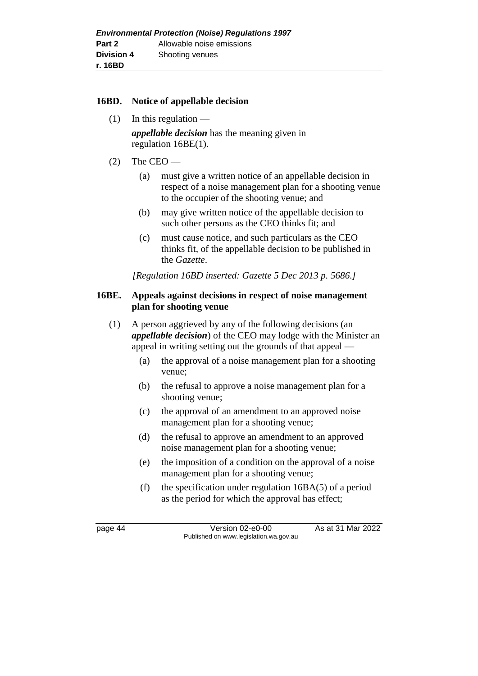#### **16BD. Notice of appellable decision**

 $(1)$  In this regulation —

*appellable decision* has the meaning given in regulation 16BE(1).

- $(2)$  The CEO
	- (a) must give a written notice of an appellable decision in respect of a noise management plan for a shooting venue to the occupier of the shooting venue; and
	- (b) may give written notice of the appellable decision to such other persons as the CEO thinks fit; and
	- (c) must cause notice, and such particulars as the CEO thinks fit, of the appellable decision to be published in the *Gazette*.

*[Regulation 16BD inserted: Gazette 5 Dec 2013 p. 5686.]*

#### **16BE. Appeals against decisions in respect of noise management plan for shooting venue**

- (1) A person aggrieved by any of the following decisions (an *appellable decision*) of the CEO may lodge with the Minister an appeal in writing setting out the grounds of that appeal —
	- (a) the approval of a noise management plan for a shooting venue;
	- (b) the refusal to approve a noise management plan for a shooting venue;
	- (c) the approval of an amendment to an approved noise management plan for a shooting venue;
	- (d) the refusal to approve an amendment to an approved noise management plan for a shooting venue;
	- (e) the imposition of a condition on the approval of a noise management plan for a shooting venue;
	- (f) the specification under regulation 16BA(5) of a period as the period for which the approval has effect;

page 44 Version 02-e0-00 As at 31 Mar 2022 Published on www.legislation.wa.gov.au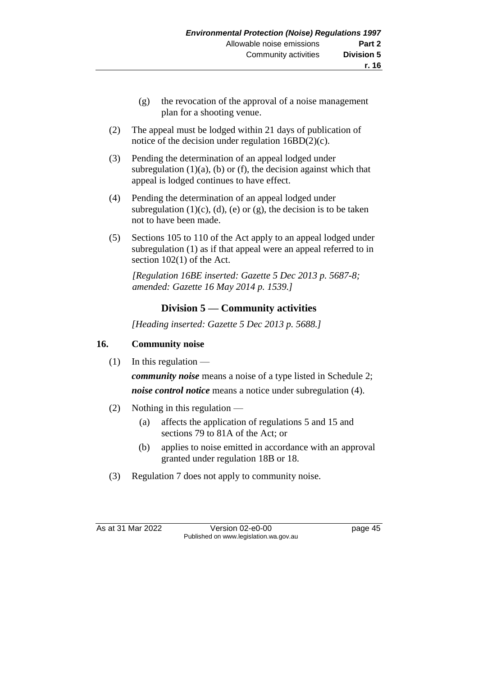- (g) the revocation of the approval of a noise management plan for a shooting venue.
- (2) The appeal must be lodged within 21 days of publication of notice of the decision under regulation 16BD(2)(c).
- (3) Pending the determination of an appeal lodged under subregulation  $(1)(a)$ ,  $(b)$  or  $(f)$ , the decision against which that appeal is lodged continues to have effect.
- (4) Pending the determination of an appeal lodged under subregulation  $(1)(c)$ ,  $(d)$ ,  $(e)$  or  $(g)$ , the decision is to be taken not to have been made.
- (5) Sections 105 to 110 of the Act apply to an appeal lodged under subregulation (1) as if that appeal were an appeal referred to in section 102(1) of the Act.

*[Regulation 16BE inserted: Gazette 5 Dec 2013 p. 5687-8; amended: Gazette 16 May 2014 p. 1539.]*

# **Division 5 — Community activities**

*[Heading inserted: Gazette 5 Dec 2013 p. 5688.]*

# **16. Community noise**

 $(1)$  In this regulation —

*community noise* means a noise of a type listed in Schedule 2; *noise control notice* means a notice under subregulation (4).

- (2) Nothing in this regulation
	- (a) affects the application of regulations 5 and 15 and sections 79 to 81A of the Act; or
	- (b) applies to noise emitted in accordance with an approval granted under regulation 18B or 18.
- (3) Regulation 7 does not apply to community noise.

As at 31 Mar 2022 Version 02-e0-00 Page 45 Published on www.legislation.wa.gov.au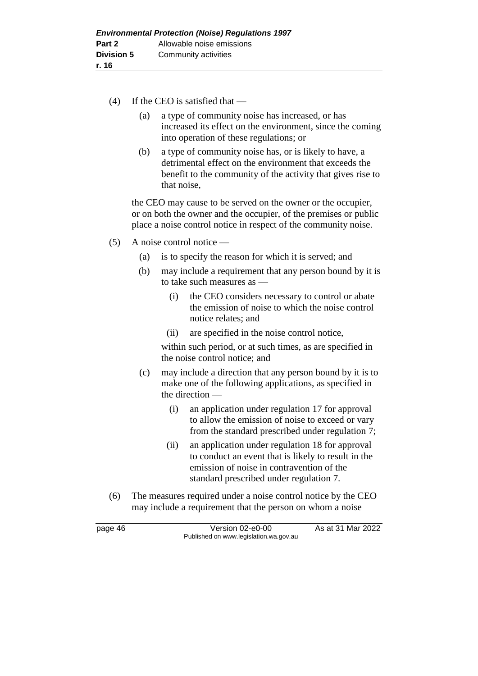- (4) If the CEO is satisfied that
	- (a) a type of community noise has increased, or has increased its effect on the environment, since the coming into operation of these regulations; or
	- (b) a type of community noise has, or is likely to have, a detrimental effect on the environment that exceeds the benefit to the community of the activity that gives rise to that noise,

the CEO may cause to be served on the owner or the occupier, or on both the owner and the occupier, of the premises or public place a noise control notice in respect of the community noise.

- (5) A noise control notice
	- (a) is to specify the reason for which it is served; and
	- (b) may include a requirement that any person bound by it is to take such measures as —
		- (i) the CEO considers necessary to control or abate the emission of noise to which the noise control notice relates; and
		- (ii) are specified in the noise control notice,

within such period, or at such times, as are specified in the noise control notice; and

- (c) may include a direction that any person bound by it is to make one of the following applications, as specified in the direction —
	- (i) an application under regulation 17 for approval to allow the emission of noise to exceed or vary from the standard prescribed under regulation 7;
	- (ii) an application under regulation 18 for approval to conduct an event that is likely to result in the emission of noise in contravention of the standard prescribed under regulation 7.
- (6) The measures required under a noise control notice by the CEO may include a requirement that the person on whom a noise

page 46 Version 02-e0-00 As at 31 Mar 2022 Published on www.legislation.wa.gov.au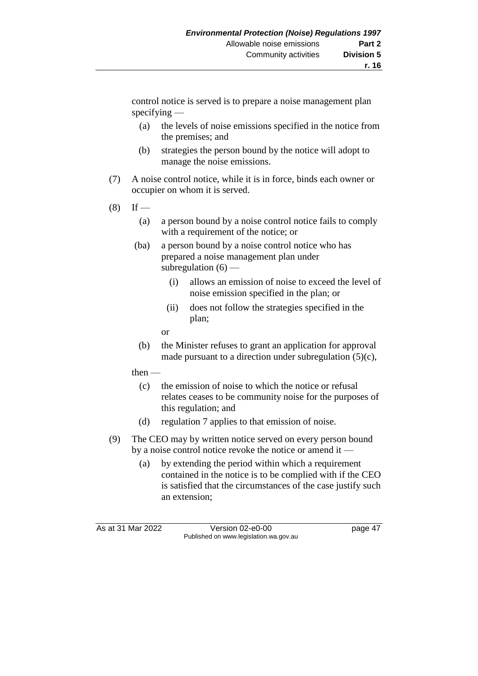control notice is served is to prepare a noise management plan specifying —

- (a) the levels of noise emissions specified in the notice from the premises; and
- (b) strategies the person bound by the notice will adopt to manage the noise emissions.
- (7) A noise control notice, while it is in force, binds each owner or occupier on whom it is served.
- $(8)$  If
	- (a) a person bound by a noise control notice fails to comply with a requirement of the notice; or
	- (ba) a person bound by a noise control notice who has prepared a noise management plan under subregulation  $(6)$  —
		- (i) allows an emission of noise to exceed the level of noise emission specified in the plan; or
		- (ii) does not follow the strategies specified in the plan;
		- or
	- (b) the Minister refuses to grant an application for approval made pursuant to a direction under subregulation (5)(c),
	- then
		- (c) the emission of noise to which the notice or refusal relates ceases to be community noise for the purposes of this regulation; and
		- (d) regulation 7 applies to that emission of noise.
- (9) The CEO may by written notice served on every person bound by a noise control notice revoke the notice or amend it —
	- (a) by extending the period within which a requirement contained in the notice is to be complied with if the CEO is satisfied that the circumstances of the case justify such an extension;

As at 31 Mar 2022 Version 02-e0-00 page 47 Published on www.legislation.wa.gov.au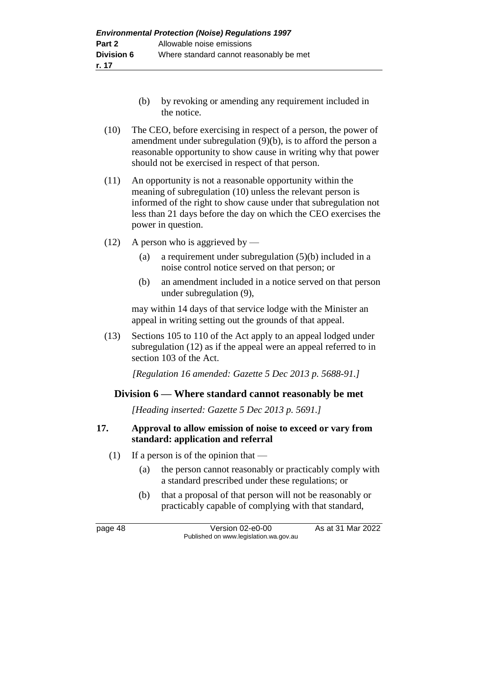- (b) by revoking or amending any requirement included in the notice.
- (10) The CEO, before exercising in respect of a person, the power of amendment under subregulation (9)(b), is to afford the person a reasonable opportunity to show cause in writing why that power should not be exercised in respect of that person.
- (11) An opportunity is not a reasonable opportunity within the meaning of subregulation (10) unless the relevant person is informed of the right to show cause under that subregulation not less than 21 days before the day on which the CEO exercises the power in question.
- (12) A person who is aggrieved by
	- (a) a requirement under subregulation (5)(b) included in a noise control notice served on that person; or
	- (b) an amendment included in a notice served on that person under subregulation (9),

may within 14 days of that service lodge with the Minister an appeal in writing setting out the grounds of that appeal.

(13) Sections 105 to 110 of the Act apply to an appeal lodged under subregulation (12) as if the appeal were an appeal referred to in section 103 of the Act.

*[Regulation 16 amended: Gazette 5 Dec 2013 p. 5688-91.]*

# **Division 6 — Where standard cannot reasonably be met**

*[Heading inserted: Gazette 5 Dec 2013 p. 5691.]*

#### **17. Approval to allow emission of noise to exceed or vary from standard: application and referral**

- (1) If a person is of the opinion that  $-$ 
	- (a) the person cannot reasonably or practicably comply with a standard prescribed under these regulations; or
	- (b) that a proposal of that person will not be reasonably or practicably capable of complying with that standard,

page 48 Version 02-e0-00 As at 31 Mar 2022 Published on www.legislation.wa.gov.au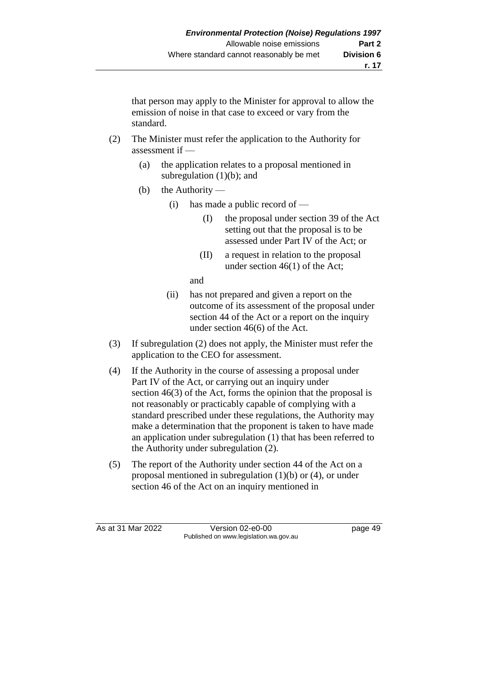that person may apply to the Minister for approval to allow the emission of noise in that case to exceed or vary from the standard.

- (2) The Minister must refer the application to the Authority for assessment if —
	- (a) the application relates to a proposal mentioned in subregulation  $(1)(b)$ ; and
	- (b) the Authority
		- (i) has made a public record of  $-$ 
			- (I) the proposal under section 39 of the Act setting out that the proposal is to be assessed under Part IV of the Act; or
			- (II) a request in relation to the proposal under section 46(1) of the Act;

and

- (ii) has not prepared and given a report on the outcome of its assessment of the proposal under section 44 of the Act or a report on the inquiry under section 46(6) of the Act.
- (3) If subregulation (2) does not apply, the Minister must refer the application to the CEO for assessment.
- (4) If the Authority in the course of assessing a proposal under Part IV of the Act, or carrying out an inquiry under section 46(3) of the Act, forms the opinion that the proposal is not reasonably or practicably capable of complying with a standard prescribed under these regulations, the Authority may make a determination that the proponent is taken to have made an application under subregulation (1) that has been referred to the Authority under subregulation (2).
- (5) The report of the Authority under section 44 of the Act on a proposal mentioned in subregulation (1)(b) or (4), or under section 46 of the Act on an inquiry mentioned in

As at 31 Mar 2022 Version 02-e0-00 page 49 Published on www.legislation.wa.gov.au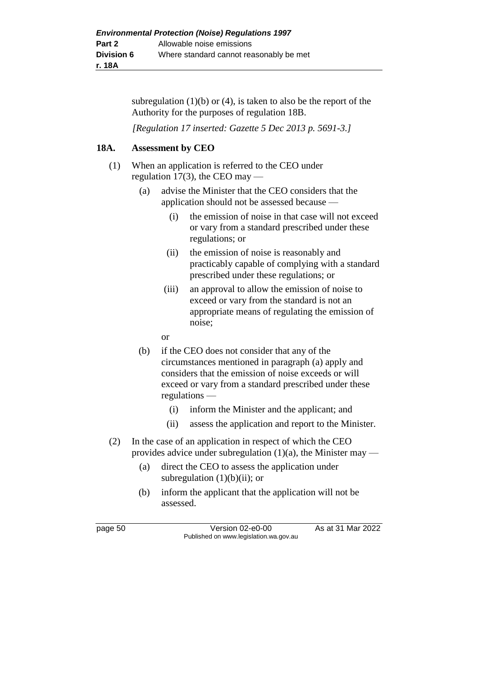subregulation  $(1)(b)$  or  $(4)$ , is taken to also be the report of the Authority for the purposes of regulation 18B.

*[Regulation 17 inserted: Gazette 5 Dec 2013 p. 5691-3.]*

# **18A. Assessment by CEO**

- (1) When an application is referred to the CEO under regulation 17(3), the CEO may —
	- (a) advise the Minister that the CEO considers that the application should not be assessed because —
		- (i) the emission of noise in that case will not exceed or vary from a standard prescribed under these regulations; or
		- (ii) the emission of noise is reasonably and practicably capable of complying with a standard prescribed under these regulations; or
		- (iii) an approval to allow the emission of noise to exceed or vary from the standard is not an appropriate means of regulating the emission of noise;
		- or
	- (b) if the CEO does not consider that any of the circumstances mentioned in paragraph (a) apply and considers that the emission of noise exceeds or will exceed or vary from a standard prescribed under these regulations —
		- (i) inform the Minister and the applicant; and
		- (ii) assess the application and report to the Minister.
- (2) In the case of an application in respect of which the CEO provides advice under subregulation  $(1)(a)$ , the Minister may —
	- (a) direct the CEO to assess the application under subregulation  $(1)(b)(ii)$ ; or
	- (b) inform the applicant that the application will not be assessed.

page 50 Version 02-e0-00 As at 31 Mar 2022 Published on www.legislation.wa.gov.au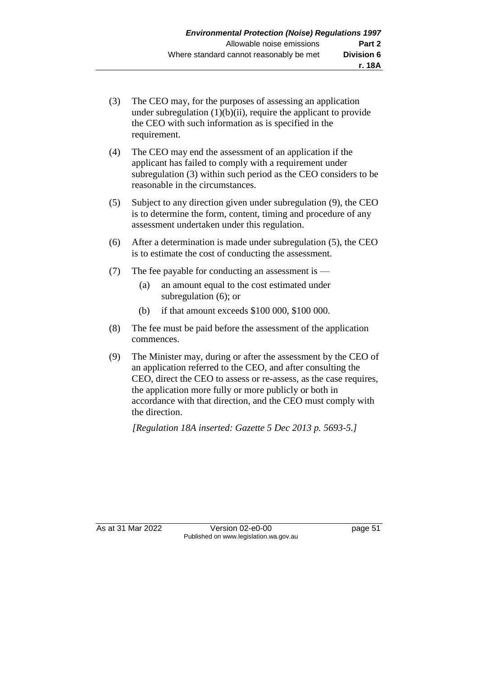- (3) The CEO may, for the purposes of assessing an application under subregulation  $(1)(b)(ii)$ , require the applicant to provide the CEO with such information as is specified in the requirement.
- (4) The CEO may end the assessment of an application if the applicant has failed to comply with a requirement under subregulation (3) within such period as the CEO considers to be reasonable in the circumstances.
- (5) Subject to any direction given under subregulation (9), the CEO is to determine the form, content, timing and procedure of any assessment undertaken under this regulation.
- (6) After a determination is made under subregulation (5), the CEO is to estimate the cost of conducting the assessment.
- (7) The fee payable for conducting an assessment is
	- (a) an amount equal to the cost estimated under subregulation (6); or
	- (b) if that amount exceeds \$100 000, \$100 000.
- (8) The fee must be paid before the assessment of the application commences.
- (9) The Minister may, during or after the assessment by the CEO of an application referred to the CEO, and after consulting the CEO, direct the CEO to assess or re-assess, as the case requires, the application more fully or more publicly or both in accordance with that direction, and the CEO must comply with the direction.

*[Regulation 18A inserted: Gazette 5 Dec 2013 p. 5693-5.]*

As at 31 Mar 2022 Version 02-e0-00 page 51 Published on www.legislation.wa.gov.au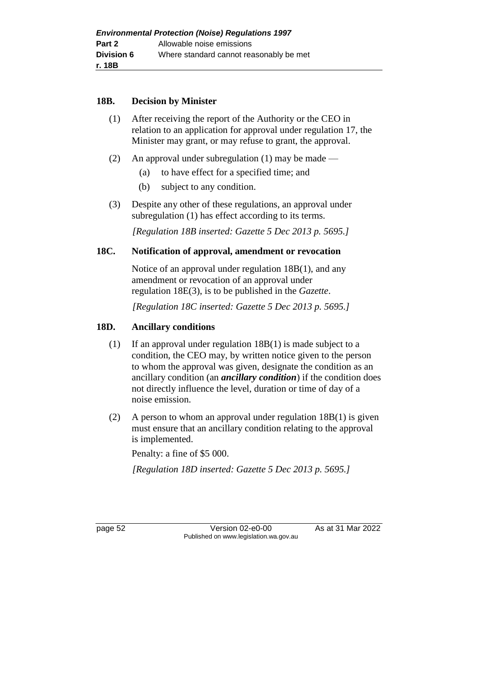#### **18B. Decision by Minister**

- (1) After receiving the report of the Authority or the CEO in relation to an application for approval under regulation 17, the Minister may grant, or may refuse to grant, the approval.
- (2) An approval under subregulation (1) may be made
	- (a) to have effect for a specified time; and
	- (b) subject to any condition.
- (3) Despite any other of these regulations, an approval under subregulation (1) has effect according to its terms.

*[Regulation 18B inserted: Gazette 5 Dec 2013 p. 5695.]*

#### **18C. Notification of approval, amendment or revocation**

Notice of an approval under regulation 18B(1), and any amendment or revocation of an approval under regulation 18E(3), is to be published in the *Gazette*.

*[Regulation 18C inserted: Gazette 5 Dec 2013 p. 5695.]*

# **18D. Ancillary conditions**

- (1) If an approval under regulation 18B(1) is made subject to a condition, the CEO may, by written notice given to the person to whom the approval was given, designate the condition as an ancillary condition (an *ancillary condition*) if the condition does not directly influence the level, duration or time of day of a noise emission.
- (2) A person to whom an approval under regulation 18B(1) is given must ensure that an ancillary condition relating to the approval is implemented.

Penalty: a fine of \$5 000.

*[Regulation 18D inserted: Gazette 5 Dec 2013 p. 5695.]*

page 52 Version 02-e0-00 As at 31 Mar 2022 Published on www.legislation.wa.gov.au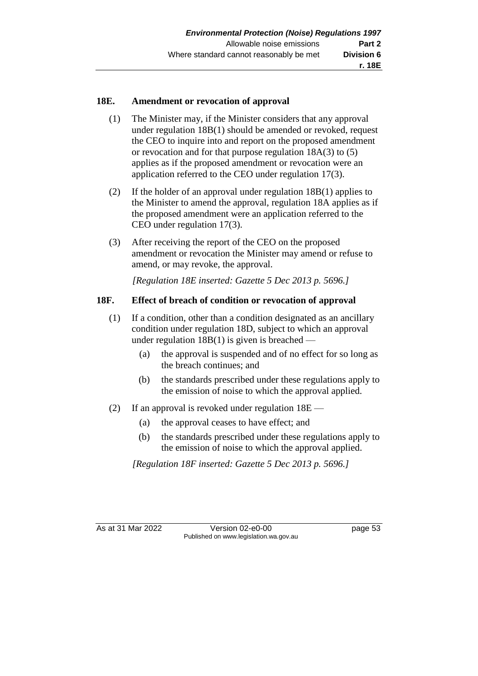### **18E. Amendment or revocation of approval**

- (1) The Minister may, if the Minister considers that any approval under regulation 18B(1) should be amended or revoked, request the CEO to inquire into and report on the proposed amendment or revocation and for that purpose regulation 18A(3) to (5) applies as if the proposed amendment or revocation were an application referred to the CEO under regulation 17(3).
- (2) If the holder of an approval under regulation 18B(1) applies to the Minister to amend the approval, regulation 18A applies as if the proposed amendment were an application referred to the CEO under regulation 17(3).
- (3) After receiving the report of the CEO on the proposed amendment or revocation the Minister may amend or refuse to amend, or may revoke, the approval.

*[Regulation 18E inserted: Gazette 5 Dec 2013 p. 5696.]*

# **18F. Effect of breach of condition or revocation of approval**

- (1) If a condition, other than a condition designated as an ancillary condition under regulation 18D, subject to which an approval under regulation  $18B(1)$  is given is breached —
	- (a) the approval is suspended and of no effect for so long as the breach continues; and
	- (b) the standards prescribed under these regulations apply to the emission of noise to which the approval applied.
- (2) If an approval is revoked under regulation 18E
	- (a) the approval ceases to have effect; and
	- (b) the standards prescribed under these regulations apply to the emission of noise to which the approval applied.

*[Regulation 18F inserted: Gazette 5 Dec 2013 p. 5696.]*

As at 31 Mar 2022 Version 02-e0-00 page 53 Published on www.legislation.wa.gov.au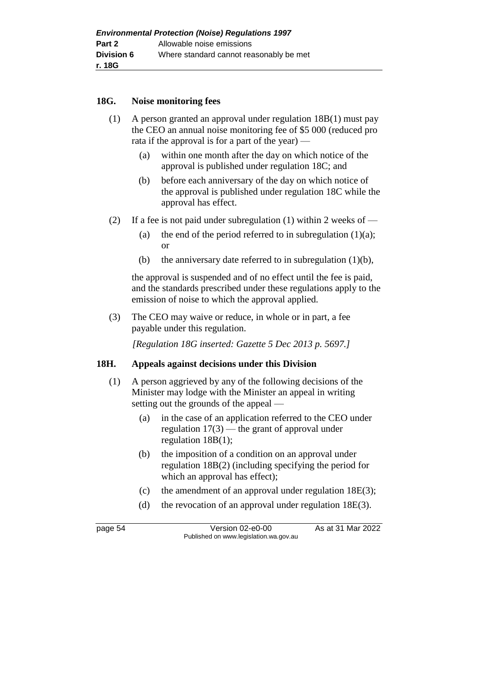#### **18G. Noise monitoring fees**

- (1) A person granted an approval under regulation 18B(1) must pay the CEO an annual noise monitoring fee of \$5 000 (reduced pro rata if the approval is for a part of the year) —
	- (a) within one month after the day on which notice of the approval is published under regulation 18C; and
	- (b) before each anniversary of the day on which notice of the approval is published under regulation 18C while the approval has effect.
- (2) If a fee is not paid under subregulation (1) within 2 weeks of
	- (a) the end of the period referred to in subregulation  $(1)(a)$ ; or
	- (b) the anniversary date referred to in subregulation  $(1)(b)$ ,

the approval is suspended and of no effect until the fee is paid, and the standards prescribed under these regulations apply to the emission of noise to which the approval applied.

(3) The CEO may waive or reduce, in whole or in part, a fee payable under this regulation.

*[Regulation 18G inserted: Gazette 5 Dec 2013 p. 5697.]*

#### **18H. Appeals against decisions under this Division**

- (1) A person aggrieved by any of the following decisions of the Minister may lodge with the Minister an appeal in writing setting out the grounds of the appeal —
	- (a) in the case of an application referred to the CEO under regulation 17(3) — the grant of approval under regulation 18B(1);
	- (b) the imposition of a condition on an approval under regulation 18B(2) (including specifying the period for which an approval has effect);
	- (c) the amendment of an approval under regulation 18E(3);
	- (d) the revocation of an approval under regulation 18E(3).

page 54 Version 02-e0-00 As at 31 Mar 2022 Published on www.legislation.wa.gov.au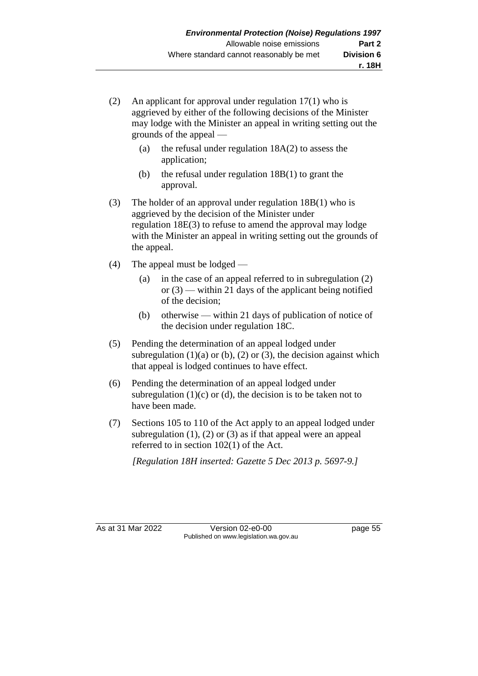- (2) An applicant for approval under regulation 17(1) who is aggrieved by either of the following decisions of the Minister may lodge with the Minister an appeal in writing setting out the grounds of the appeal —
	- (a) the refusal under regulation 18A(2) to assess the application;
	- (b) the refusal under regulation 18B(1) to grant the approval.
- (3) The holder of an approval under regulation 18B(1) who is aggrieved by the decision of the Minister under regulation 18E(3) to refuse to amend the approval may lodge with the Minister an appeal in writing setting out the grounds of the appeal.
- (4) The appeal must be lodged
	- (a) in the case of an appeal referred to in subregulation (2) or  $(3)$  — within 21 days of the applicant being notified of the decision;
	- (b) otherwise within 21 days of publication of notice of the decision under regulation 18C.
- (5) Pending the determination of an appeal lodged under subregulation  $(1)(a)$  or  $(b)$ ,  $(2)$  or  $(3)$ , the decision against which that appeal is lodged continues to have effect.
- (6) Pending the determination of an appeal lodged under subregulation  $(1)(c)$  or  $(d)$ , the decision is to be taken not to have been made.
- (7) Sections 105 to 110 of the Act apply to an appeal lodged under subregulation  $(1)$ ,  $(2)$  or  $(3)$  as if that appeal were an appeal referred to in section 102(1) of the Act.

*[Regulation 18H inserted: Gazette 5 Dec 2013 p. 5697-9.]*

As at 31 Mar 2022 Version 02-e0-00 page 55 Published on www.legislation.wa.gov.au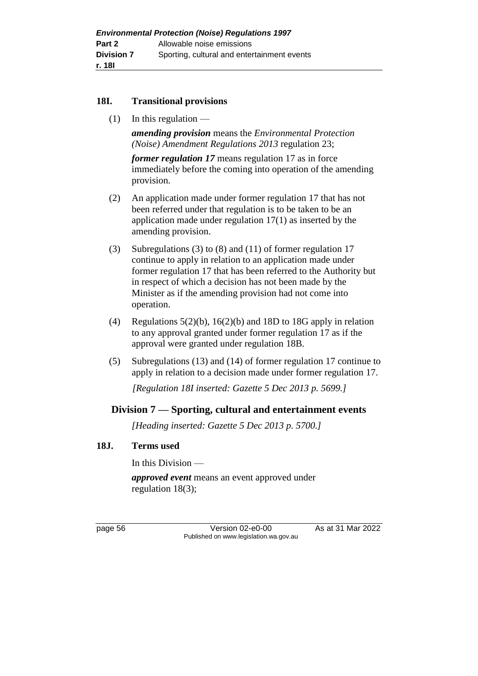# **18I. Transitional provisions**

 $(1)$  In this regulation —

*amending provision* means the *Environmental Protection (Noise) Amendment Regulations 2013* regulation 23;

*former regulation 17* means regulation 17 as in force immediately before the coming into operation of the amending provision.

- (2) An application made under former regulation 17 that has not been referred under that regulation is to be taken to be an application made under regulation 17(1) as inserted by the amending provision.
- (3) Subregulations (3) to (8) and (11) of former regulation 17 continue to apply in relation to an application made under former regulation 17 that has been referred to the Authority but in respect of which a decision has not been made by the Minister as if the amending provision had not come into operation.
- (4) Regulations  $5(2)(b)$ ,  $16(2)(b)$  and 18D to 18G apply in relation to any approval granted under former regulation 17 as if the approval were granted under regulation 18B.
- (5) Subregulations (13) and (14) of former regulation 17 continue to apply in relation to a decision made under former regulation 17.

*[Regulation 18I inserted: Gazette 5 Dec 2013 p. 5699.]*

# **Division 7 — Sporting, cultural and entertainment events**

*[Heading inserted: Gazette 5 Dec 2013 p. 5700.]*

# **18J. Terms used**

In this Division —

*approved event* means an event approved under regulation 18(3);

page 56 Version 02-e0-00 As at 31 Mar 2022 Published on www.legislation.wa.gov.au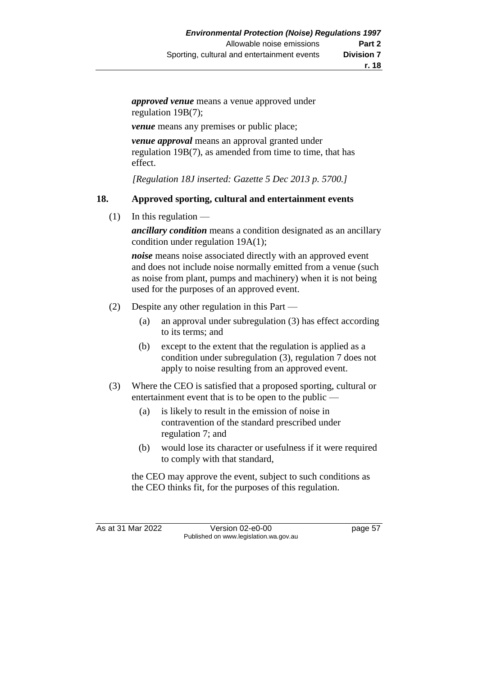*approved venue* means a venue approved under regulation 19B(7);

*venue* means any premises or public place;

*venue approval* means an approval granted under regulation 19B(7), as amended from time to time, that has effect.

*[Regulation 18J inserted: Gazette 5 Dec 2013 p. 5700.]*

# **18. Approved sporting, cultural and entertainment events**

 $(1)$  In this regulation —

*ancillary condition* means a condition designated as an ancillary condition under regulation 19A(1);

*noise* means noise associated directly with an approved event and does not include noise normally emitted from a venue (such as noise from plant, pumps and machinery) when it is not being used for the purposes of an approved event.

- (2) Despite any other regulation in this Part
	- (a) an approval under subregulation (3) has effect according to its terms; and
	- (b) except to the extent that the regulation is applied as a condition under subregulation (3), regulation 7 does not apply to noise resulting from an approved event.
- (3) Where the CEO is satisfied that a proposed sporting, cultural or entertainment event that is to be open to the public —
	- (a) is likely to result in the emission of noise in contravention of the standard prescribed under regulation 7; and
	- (b) would lose its character or usefulness if it were required to comply with that standard,

the CEO may approve the event, subject to such conditions as the CEO thinks fit, for the purposes of this regulation.

As at 31 Mar 2022 Version 02-e0-00 page 57 Published on www.legislation.wa.gov.au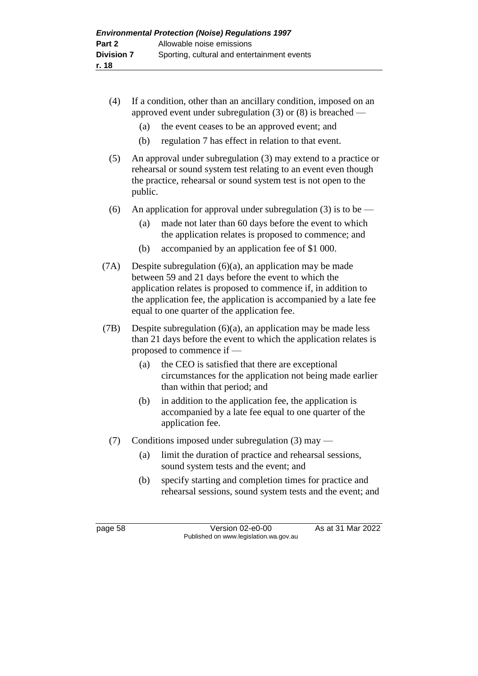- (4) If a condition, other than an ancillary condition, imposed on an approved event under subregulation (3) or (8) is breached —
	- (a) the event ceases to be an approved event; and
	- (b) regulation 7 has effect in relation to that event.
- (5) An approval under subregulation (3) may extend to a practice or rehearsal or sound system test relating to an event even though the practice, rehearsal or sound system test is not open to the public.
- (6) An application for approval under subregulation (3) is to be
	- (a) made not later than 60 days before the event to which the application relates is proposed to commence; and
	- (b) accompanied by an application fee of \$1 000.
- (7A) Despite subregulation (6)(a), an application may be made between 59 and 21 days before the event to which the application relates is proposed to commence if, in addition to the application fee, the application is accompanied by a late fee equal to one quarter of the application fee.
- (7B) Despite subregulation (6)(a), an application may be made less than 21 days before the event to which the application relates is proposed to commence if —
	- (a) the CEO is satisfied that there are exceptional circumstances for the application not being made earlier than within that period; and
	- (b) in addition to the application fee, the application is accompanied by a late fee equal to one quarter of the application fee.
	- (7) Conditions imposed under subregulation (3) may
		- (a) limit the duration of practice and rehearsal sessions, sound system tests and the event; and
		- (b) specify starting and completion times for practice and rehearsal sessions, sound system tests and the event; and

page 58 Version 02-e0-00 As at 31 Mar 2022 Published on www.legislation.wa.gov.au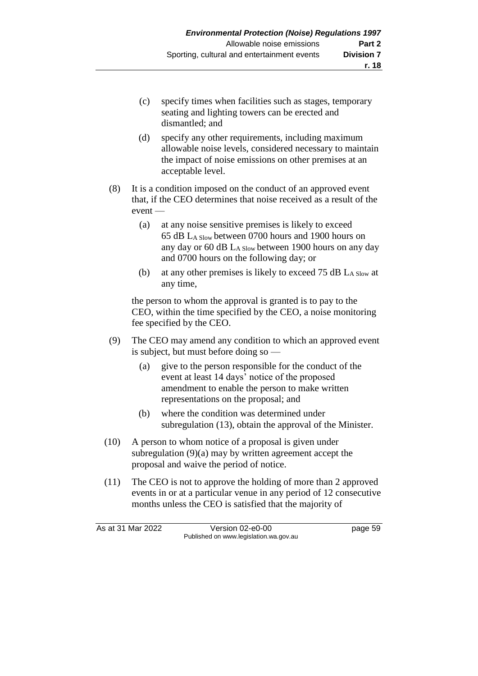- (c) specify times when facilities such as stages, temporary seating and lighting towers can be erected and dismantled; and
- (d) specify any other requirements, including maximum allowable noise levels, considered necessary to maintain the impact of noise emissions on other premises at an acceptable level.
- (8) It is a condition imposed on the conduct of an approved event that, if the CEO determines that noise received as a result of the event —
	- (a) at any noise sensitive premises is likely to exceed 65 dB LA Slow between 0700 hours and 1900 hours on any day or 60 dB LA Slow between 1900 hours on any day and 0700 hours on the following day; or
	- (b) at any other premises is likely to exceed 75 dB  $L_{A}$  Slow at any time,

the person to whom the approval is granted is to pay to the CEO, within the time specified by the CEO, a noise monitoring fee specified by the CEO.

- (9) The CEO may amend any condition to which an approved event is subject, but must before doing so —
	- (a) give to the person responsible for the conduct of the event at least 14 days' notice of the proposed amendment to enable the person to make written representations on the proposal; and
	- (b) where the condition was determined under subregulation (13), obtain the approval of the Minister.
- (10) A person to whom notice of a proposal is given under subregulation (9)(a) may by written agreement accept the proposal and waive the period of notice.
- (11) The CEO is not to approve the holding of more than 2 approved events in or at a particular venue in any period of 12 consecutive months unless the CEO is satisfied that the majority of

As at 31 Mar 2022 Version 02-e0-00 page 59 Published on www.legislation.wa.gov.au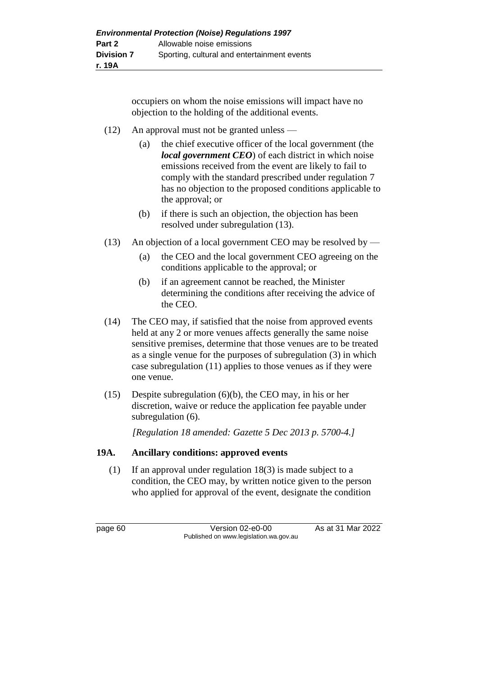occupiers on whom the noise emissions will impact have no objection to the holding of the additional events.

- (12) An approval must not be granted unless
	- (a) the chief executive officer of the local government (the *local government CEO*) of each district in which noise emissions received from the event are likely to fail to comply with the standard prescribed under regulation 7 has no objection to the proposed conditions applicable to the approval; or
	- (b) if there is such an objection, the objection has been resolved under subregulation (13).
- (13) An objection of a local government CEO may be resolved by
	- (a) the CEO and the local government CEO agreeing on the conditions applicable to the approval; or
	- (b) if an agreement cannot be reached, the Minister determining the conditions after receiving the advice of the CEO.
- (14) The CEO may, if satisfied that the noise from approved events held at any 2 or more venues affects generally the same noise sensitive premises, determine that those venues are to be treated as a single venue for the purposes of subregulation (3) in which case subregulation (11) applies to those venues as if they were one venue.
- (15) Despite subregulation (6)(b), the CEO may, in his or her discretion, waive or reduce the application fee payable under subregulation (6).

*[Regulation 18 amended: Gazette 5 Dec 2013 p. 5700-4.]*

# **19A. Ancillary conditions: approved events**

(1) If an approval under regulation 18(3) is made subject to a condition, the CEO may, by written notice given to the person who applied for approval of the event, designate the condition

page 60 Version 02-e0-00 As at 31 Mar 2022 Published on www.legislation.wa.gov.au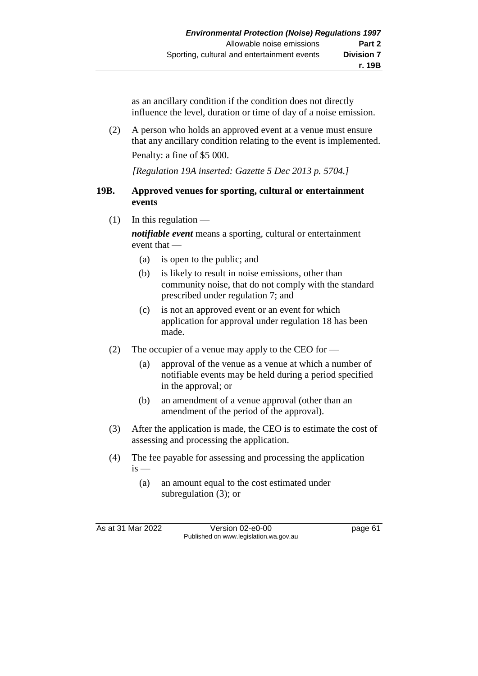as an ancillary condition if the condition does not directly influence the level, duration or time of day of a noise emission.

(2) A person who holds an approved event at a venue must ensure that any ancillary condition relating to the event is implemented. Penalty: a fine of \$5 000.

*[Regulation 19A inserted: Gazette 5 Dec 2013 p. 5704.]*

#### **19B. Approved venues for sporting, cultural or entertainment events**

 $(1)$  In this regulation —

*notifiable event* means a sporting, cultural or entertainment event that —

- (a) is open to the public; and
- (b) is likely to result in noise emissions, other than community noise, that do not comply with the standard prescribed under regulation 7; and
- (c) is not an approved event or an event for which application for approval under regulation 18 has been made.
- (2) The occupier of a venue may apply to the CEO for
	- (a) approval of the venue as a venue at which a number of notifiable events may be held during a period specified in the approval; or
	- (b) an amendment of a venue approval (other than an amendment of the period of the approval).
- (3) After the application is made, the CEO is to estimate the cost of assessing and processing the application.
- (4) The fee payable for assessing and processing the application  $is -$ 
	- (a) an amount equal to the cost estimated under subregulation (3); or

As at 31 Mar 2022 Version 02-e0-00 page 61 Published on www.legislation.wa.gov.au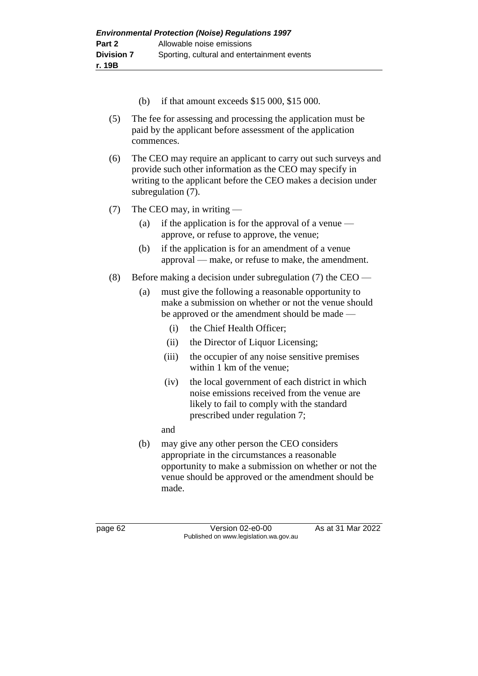- (b) if that amount exceeds \$15 000, \$15 000.
- (5) The fee for assessing and processing the application must be paid by the applicant before assessment of the application commences.
- (6) The CEO may require an applicant to carry out such surveys and provide such other information as the CEO may specify in writing to the applicant before the CEO makes a decision under subregulation (7).
- (7) The CEO may, in writing
	- (a) if the application is for the approval of a venue  $$ approve, or refuse to approve, the venue;
	- (b) if the application is for an amendment of a venue approval — make, or refuse to make, the amendment.
- (8) Before making a decision under subregulation (7) the CEO
	- (a) must give the following a reasonable opportunity to make a submission on whether or not the venue should be approved or the amendment should be made —
		- (i) the Chief Health Officer;
		- (ii) the Director of Liquor Licensing;
		- (iii) the occupier of any noise sensitive premises within 1 km of the venue;
		- (iv) the local government of each district in which noise emissions received from the venue are likely to fail to comply with the standard prescribed under regulation 7;
		- and
	- (b) may give any other person the CEO considers appropriate in the circumstances a reasonable opportunity to make a submission on whether or not the venue should be approved or the amendment should be made.

page 62 Version 02-e0-00 As at 31 Mar 2022 Published on www.legislation.wa.gov.au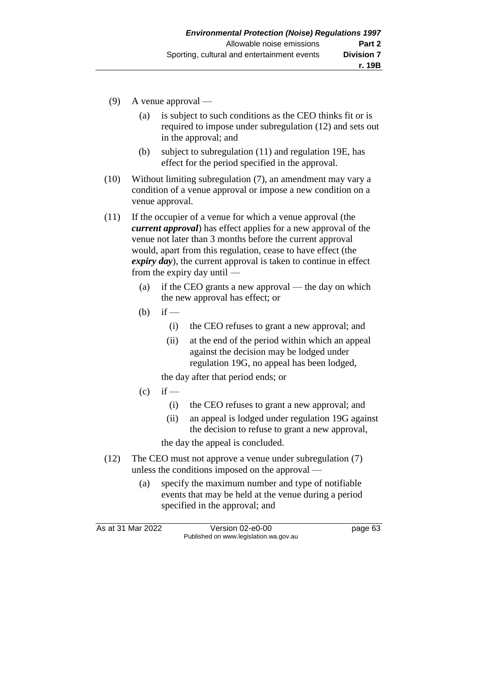- (9) A venue approval
	- (a) is subject to such conditions as the CEO thinks fit or is required to impose under subregulation (12) and sets out in the approval; and
	- (b) subject to subregulation (11) and regulation 19E, has effect for the period specified in the approval.
- (10) Without limiting subregulation (7), an amendment may vary a condition of a venue approval or impose a new condition on a venue approval.
- (11) If the occupier of a venue for which a venue approval (the *current approval*) has effect applies for a new approval of the venue not later than 3 months before the current approval would, apart from this regulation, cease to have effect (the *expiry day*), the current approval is taken to continue in effect from the expiry day until —
	- (a) if the CEO grants a new approval the day on which the new approval has effect; or
	- $(b)$  if
		- (i) the CEO refuses to grant a new approval; and
		- (ii) at the end of the period within which an appeal against the decision may be lodged under regulation 19G, no appeal has been lodged,

the day after that period ends; or

- $(c)$  if
	- (i) the CEO refuses to grant a new approval; and
	- (ii) an appeal is lodged under regulation 19G against the decision to refuse to grant a new approval,

the day the appeal is concluded.

- (12) The CEO must not approve a venue under subregulation (7) unless the conditions imposed on the approval —
	- (a) specify the maximum number and type of notifiable events that may be held at the venue during a period specified in the approval; and

As at 31 Mar 2022 Version 02-e0-00 Page 63 Published on www.legislation.wa.gov.au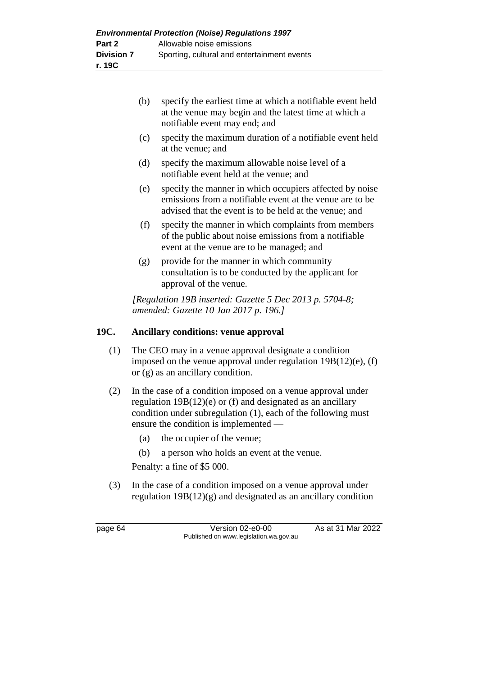| (b) | specify the earliest time at which a notifiable event held |
|-----|------------------------------------------------------------|
|     | at the venue may begin and the latest time at which a      |
|     | notifiable event may end; and                              |

- (c) specify the maximum duration of a notifiable event held at the venue; and
- (d) specify the maximum allowable noise level of a notifiable event held at the venue; and
- (e) specify the manner in which occupiers affected by noise emissions from a notifiable event at the venue are to be advised that the event is to be held at the venue; and
- (f) specify the manner in which complaints from members of the public about noise emissions from a notifiable event at the venue are to be managed; and
- (g) provide for the manner in which community consultation is to be conducted by the applicant for approval of the venue.

*[Regulation 19B inserted: Gazette 5 Dec 2013 p. 5704-8; amended: Gazette 10 Jan 2017 p. 196.]*

# **19C. Ancillary conditions: venue approval**

- (1) The CEO may in a venue approval designate a condition imposed on the venue approval under regulation 19B(12)(e), (f) or (g) as an ancillary condition.
- (2) In the case of a condition imposed on a venue approval under regulation 19B(12)(e) or (f) and designated as an ancillary condition under subregulation (1), each of the following must ensure the condition is implemented —
	- (a) the occupier of the venue;
	- (b) a person who holds an event at the venue.

Penalty: a fine of \$5 000.

(3) In the case of a condition imposed on a venue approval under regulation  $19B(12)(g)$  and designated as an ancillary condition

page 64 Version 02-e0-00 As at 31 Mar 2022 Published on www.legislation.wa.gov.au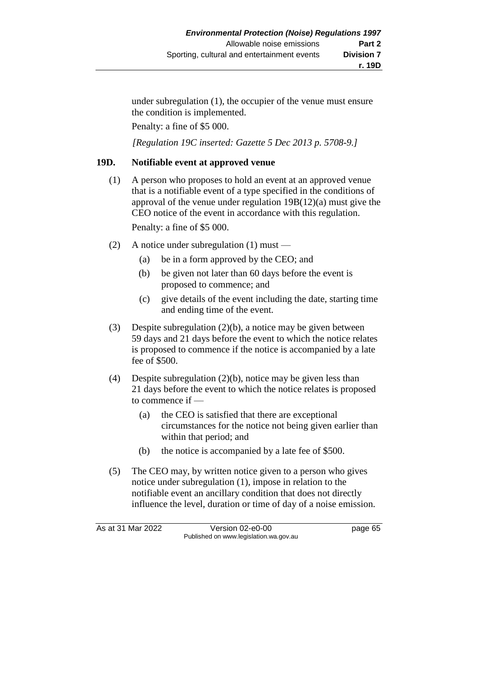under subregulation (1), the occupier of the venue must ensure the condition is implemented.

Penalty: a fine of \$5 000.

*[Regulation 19C inserted: Gazette 5 Dec 2013 p. 5708-9.]*

### **19D. Notifiable event at approved venue**

(1) A person who proposes to hold an event at an approved venue that is a notifiable event of a type specified in the conditions of approval of the venue under regulation 19B(12)(a) must give the CEO notice of the event in accordance with this regulation.

Penalty: a fine of \$5 000.

- (2) A notice under subregulation  $(1)$  must
	- (a) be in a form approved by the CEO; and
	- (b) be given not later than 60 days before the event is proposed to commence; and
	- (c) give details of the event including the date, starting time and ending time of the event.
- (3) Despite subregulation (2)(b), a notice may be given between 59 days and 21 days before the event to which the notice relates is proposed to commence if the notice is accompanied by a late fee of \$500.
- (4) Despite subregulation (2)(b), notice may be given less than 21 days before the event to which the notice relates is proposed to commence if —
	- (a) the CEO is satisfied that there are exceptional circumstances for the notice not being given earlier than within that period; and
	- (b) the notice is accompanied by a late fee of \$500.
- (5) The CEO may, by written notice given to a person who gives notice under subregulation (1), impose in relation to the notifiable event an ancillary condition that does not directly influence the level, duration or time of day of a noise emission.

As at 31 Mar 2022 Version 02-e0-00 page 65 Published on www.legislation.wa.gov.au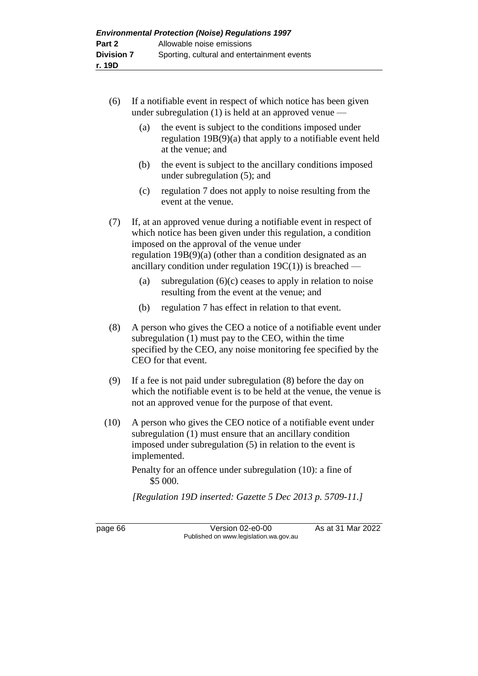- (6) If a notifiable event in respect of which notice has been given under subregulation (1) is held at an approved venue —
	- (a) the event is subject to the conditions imposed under regulation 19B(9)(a) that apply to a notifiable event held at the venue; and
	- (b) the event is subject to the ancillary conditions imposed under subregulation (5); and
	- (c) regulation 7 does not apply to noise resulting from the event at the venue.

(7) If, at an approved venue during a notifiable event in respect of which notice has been given under this regulation, a condition imposed on the approval of the venue under regulation 19B(9)(a) (other than a condition designated as an ancillary condition under regulation  $19C(1)$ ) is breached —

- (a) subregulation  $(6)(c)$  ceases to apply in relation to noise resulting from the event at the venue; and
- (b) regulation 7 has effect in relation to that event.
- (8) A person who gives the CEO a notice of a notifiable event under subregulation (1) must pay to the CEO, within the time specified by the CEO, any noise monitoring fee specified by the CEO for that event.
- (9) If a fee is not paid under subregulation (8) before the day on which the notifiable event is to be held at the venue, the venue is not an approved venue for the purpose of that event.
- (10) A person who gives the CEO notice of a notifiable event under subregulation (1) must ensure that an ancillary condition imposed under subregulation (5) in relation to the event is implemented.
	- Penalty for an offence under subregulation (10): a fine of \$5 000.

*[Regulation 19D inserted: Gazette 5 Dec 2013 p. 5709-11.]*

page 66 Version 02-e0-00 As at 31 Mar 2022 Published on www.legislation.wa.gov.au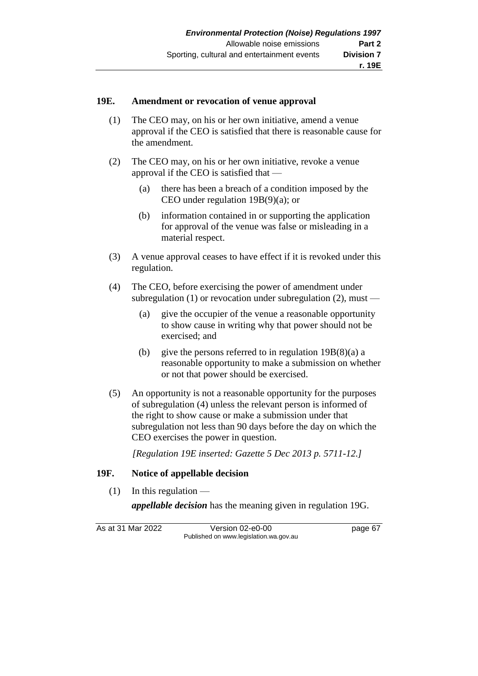## **19E. Amendment or revocation of venue approval**

- (1) The CEO may, on his or her own initiative, amend a venue approval if the CEO is satisfied that there is reasonable cause for the amendment.
- (2) The CEO may, on his or her own initiative, revoke a venue approval if the CEO is satisfied that —
	- (a) there has been a breach of a condition imposed by the CEO under regulation 19B(9)(a); or
	- (b) information contained in or supporting the application for approval of the venue was false or misleading in a material respect.
- (3) A venue approval ceases to have effect if it is revoked under this regulation.
- (4) The CEO, before exercising the power of amendment under subregulation (1) or revocation under subregulation (2), must —
	- (a) give the occupier of the venue a reasonable opportunity to show cause in writing why that power should not be exercised; and
	- (b) give the persons referred to in regulation  $19B(8)(a)$  a reasonable opportunity to make a submission on whether or not that power should be exercised.
- (5) An opportunity is not a reasonable opportunity for the purposes of subregulation (4) unless the relevant person is informed of the right to show cause or make a submission under that subregulation not less than 90 days before the day on which the CEO exercises the power in question.

*[Regulation 19E inserted: Gazette 5 Dec 2013 p. 5711-12.]*

## **19F. Notice of appellable decision**

 $(1)$  In this regulation —

*appellable decision* has the meaning given in regulation 19G.

As at 31 Mar 2022 Version 02-e0-00 page 67 Published on www.legislation.wa.gov.au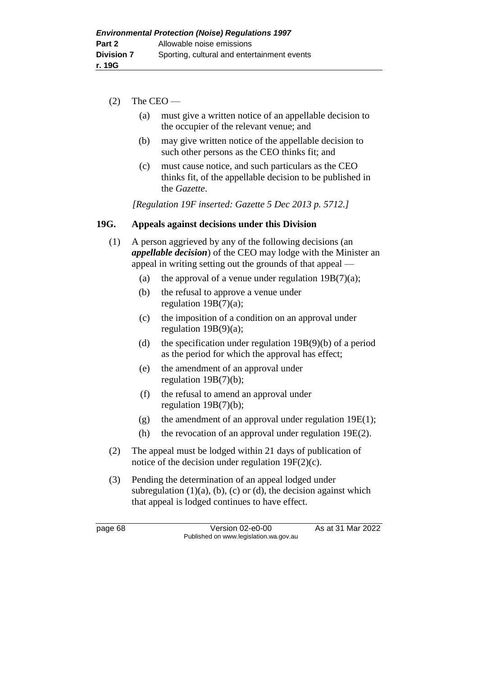- $(2)$  The CEO
	- (a) must give a written notice of an appellable decision to the occupier of the relevant venue; and
	- (b) may give written notice of the appellable decision to such other persons as the CEO thinks fit; and
	- (c) must cause notice, and such particulars as the CEO thinks fit, of the appellable decision to be published in the *Gazette*.

*[Regulation 19F inserted: Gazette 5 Dec 2013 p. 5712.]*

# **19G. Appeals against decisions under this Division**

- (1) A person aggrieved by any of the following decisions (an *appellable decision*) of the CEO may lodge with the Minister an appeal in writing setting out the grounds of that appeal —
	- (a) the approval of a venue under regulation  $19B(7)(a)$ ;
	- (b) the refusal to approve a venue under regulation 19B(7)(a);
	- (c) the imposition of a condition on an approval under regulation 19B(9)(a);
	- (d) the specification under regulation 19B(9)(b) of a period as the period for which the approval has effect;
	- (e) the amendment of an approval under regulation 19B(7)(b);
	- (f) the refusal to amend an approval under regulation 19B(7)(b);
	- (g) the amendment of an approval under regulation  $19E(1)$ ;
	- (h) the revocation of an approval under regulation 19E(2).
- (2) The appeal must be lodged within 21 days of publication of notice of the decision under regulation 19F(2)(c).
- (3) Pending the determination of an appeal lodged under subregulation  $(1)(a)$ ,  $(b)$ ,  $(c)$  or  $(d)$ , the decision against which that appeal is lodged continues to have effect.

page 68 Version 02-e0-00 As at 31 Mar 2022 Published on www.legislation.wa.gov.au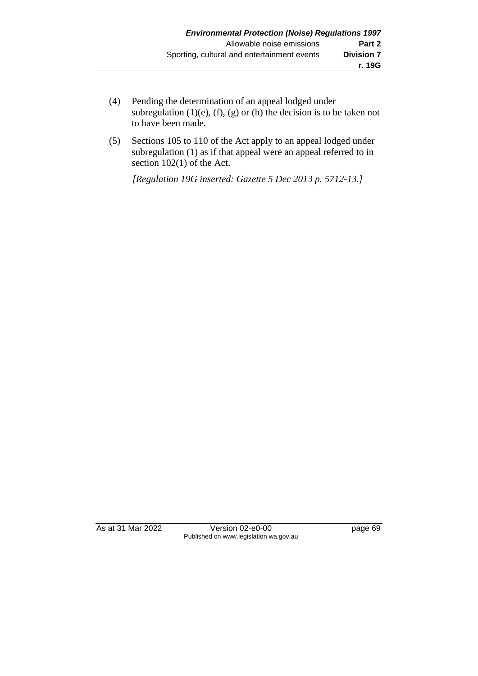- (4) Pending the determination of an appeal lodged under subregulation (1)(e), (f), (g) or (h) the decision is to be taken not to have been made.
- (5) Sections 105 to 110 of the Act apply to an appeal lodged under subregulation (1) as if that appeal were an appeal referred to in section 102(1) of the Act.

*[Regulation 19G inserted: Gazette 5 Dec 2013 p. 5712-13.]*

As at 31 Mar 2022 Version 02-e0-00 Page 69 Published on www.legislation.wa.gov.au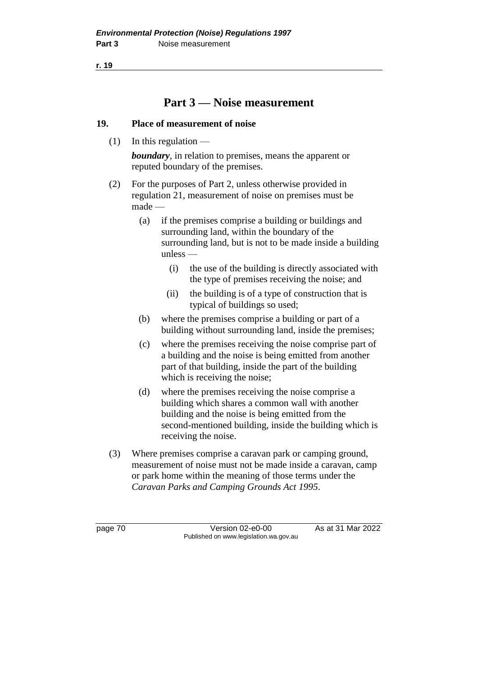**r. 19**

# **Part 3 — Noise measurement**

# **19. Place of measurement of noise**

 $(1)$  In this regulation —

*boundary*, in relation to premises, means the apparent or reputed boundary of the premises.

- (2) For the purposes of Part 2, unless otherwise provided in regulation 21, measurement of noise on premises must be made —
	- (a) if the premises comprise a building or buildings and surrounding land, within the boundary of the surrounding land, but is not to be made inside a building unless —
		- (i) the use of the building is directly associated with the type of premises receiving the noise; and
		- (ii) the building is of a type of construction that is typical of buildings so used;
	- (b) where the premises comprise a building or part of a building without surrounding land, inside the premises;
	- (c) where the premises receiving the noise comprise part of a building and the noise is being emitted from another part of that building, inside the part of the building which is receiving the noise;
	- (d) where the premises receiving the noise comprise a building which shares a common wall with another building and the noise is being emitted from the second-mentioned building, inside the building which is receiving the noise.
- (3) Where premises comprise a caravan park or camping ground, measurement of noise must not be made inside a caravan, camp or park home within the meaning of those terms under the *Caravan Parks and Camping Grounds Act 1995*.

page 70 Version 02-e0-00 As at 31 Mar 2022 Published on www.legislation.wa.gov.au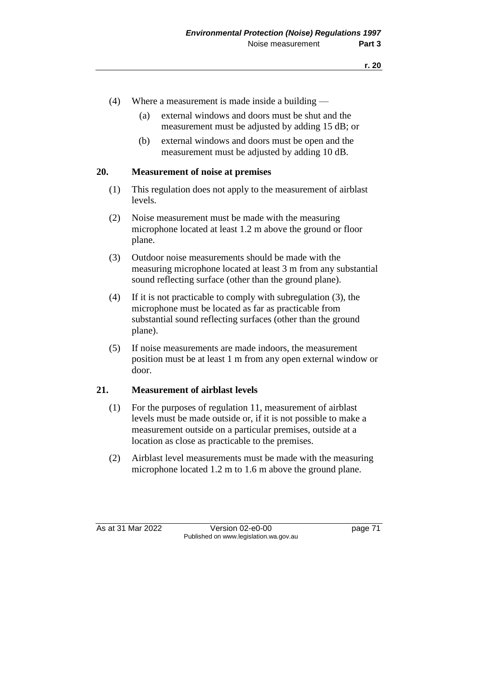- (4) Where a measurement is made inside a building
	- (a) external windows and doors must be shut and the measurement must be adjusted by adding 15 dB; or
	- (b) external windows and doors must be open and the measurement must be adjusted by adding 10 dB.

## **20. Measurement of noise at premises**

- (1) This regulation does not apply to the measurement of airblast levels.
- (2) Noise measurement must be made with the measuring microphone located at least 1.2 m above the ground or floor plane.
- (3) Outdoor noise measurements should be made with the measuring microphone located at least 3 m from any substantial sound reflecting surface (other than the ground plane).
- (4) If it is not practicable to comply with subregulation (3), the microphone must be located as far as practicable from substantial sound reflecting surfaces (other than the ground plane).
- (5) If noise measurements are made indoors, the measurement position must be at least 1 m from any open external window or door.

## **21. Measurement of airblast levels**

- (1) For the purposes of regulation 11, measurement of airblast levels must be made outside or, if it is not possible to make a measurement outside on a particular premises, outside at a location as close as practicable to the premises.
- (2) Airblast level measurements must be made with the measuring microphone located 1.2 m to 1.6 m above the ground plane.

As at 31 Mar 2022 Version 02-e0-00 page 71 Published on www.legislation.wa.gov.au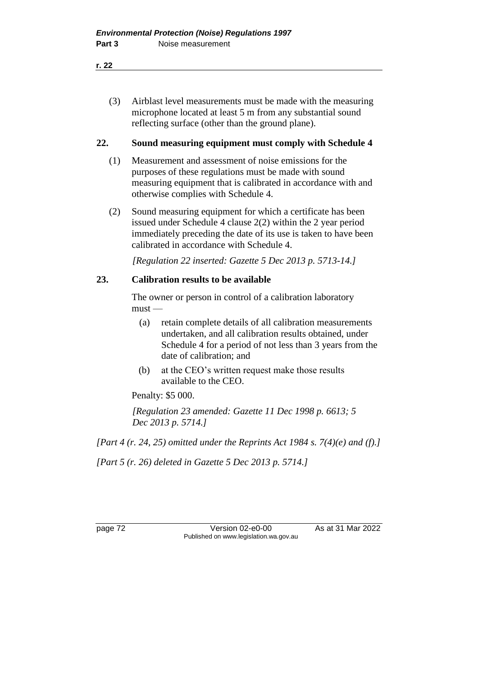(3) Airblast level measurements must be made with the measuring microphone located at least 5 m from any substantial sound reflecting surface (other than the ground plane).

## **22. Sound measuring equipment must comply with Schedule 4**

- (1) Measurement and assessment of noise emissions for the purposes of these regulations must be made with sound measuring equipment that is calibrated in accordance with and otherwise complies with Schedule 4.
- (2) Sound measuring equipment for which a certificate has been issued under Schedule 4 clause 2(2) within the 2 year period immediately preceding the date of its use is taken to have been calibrated in accordance with Schedule 4.

*[Regulation 22 inserted: Gazette 5 Dec 2013 p. 5713-14.]*

# **23. Calibration results to be available**

The owner or person in control of a calibration laboratory  $must -$ 

- (a) retain complete details of all calibration measurements undertaken, and all calibration results obtained, under Schedule 4 for a period of not less than 3 years from the date of calibration; and
- (b) at the CEO's written request make those results available to the CEO.

Penalty: \$5 000.

*[Regulation 23 amended: Gazette 11 Dec 1998 p. 6613; 5 Dec 2013 p. 5714.]*

*[Part 4 (r. 24, 25) omitted under the Reprints Act 1984 s. 7(4)(e) and (f).]*

*[Part 5 (r. 26) deleted in Gazette 5 Dec 2013 p. 5714.]*

page 72 Version 02-e0-00 As at 31 Mar 2022 Published on www.legislation.wa.gov.au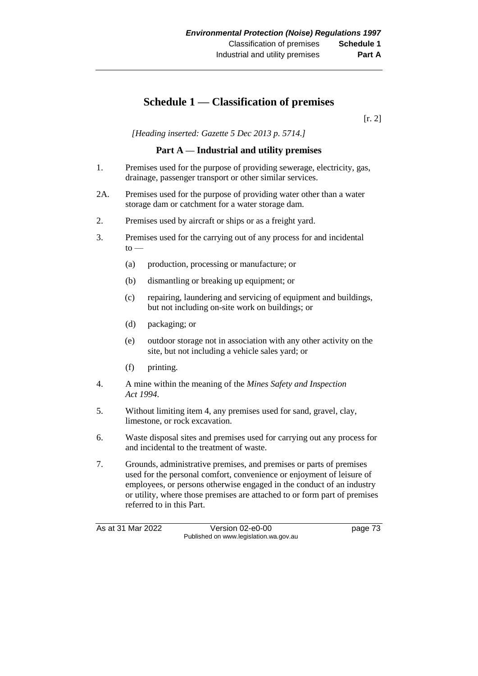# **Schedule 1 — Classification of premises**

[r. 2]

*[Heading inserted: Gazette 5 Dec 2013 p. 5714.]*

## **Part A — Industrial and utility premises**

- 1. Premises used for the purpose of providing sewerage, electricity, gas, drainage, passenger transport or other similar services.
- 2A. Premises used for the purpose of providing water other than a water storage dam or catchment for a water storage dam.
- 2. Premises used by aircraft or ships or as a freight yard.
- 3. Premises used for the carrying out of any process for and incidental  $to -$ 
	- (a) production, processing or manufacture; or
	- (b) dismantling or breaking up equipment; or
	- (c) repairing, laundering and servicing of equipment and buildings, but not including on-site work on buildings; or
	- (d) packaging; or
	- (e) outdoor storage not in association with any other activity on the site, but not including a vehicle sales yard; or
	- (f) printing.
- 4. A mine within the meaning of the *Mines Safety and Inspection Act 1994*.
- 5. Without limiting item 4, any premises used for sand, gravel, clay, limestone, or rock excavation.
- 6. Waste disposal sites and premises used for carrying out any process for and incidental to the treatment of waste.
- 7. Grounds, administrative premises, and premises or parts of premises used for the personal comfort, convenience or enjoyment of leisure of employees, or persons otherwise engaged in the conduct of an industry or utility, where those premises are attached to or form part of premises referred to in this Part.

As at 31 Mar 2022 Version 02-e0-00 page 73 Published on www.legislation.wa.gov.au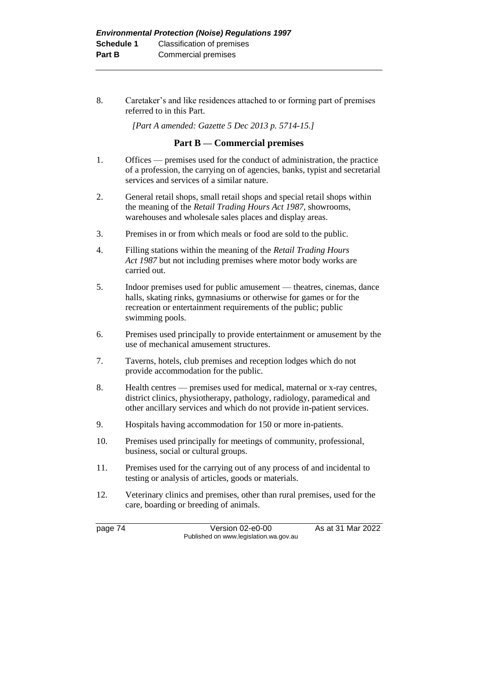8. Caretaker's and like residences attached to or forming part of premises referred to in this Part.

*[Part A amended: Gazette 5 Dec 2013 p. 5714-15.]*

#### **Part B — Commercial premises**

- 1. Offices premises used for the conduct of administration, the practice of a profession, the carrying on of agencies, banks, typist and secretarial services and services of a similar nature.
- 2. General retail shops, small retail shops and special retail shops within the meaning of the *Retail Trading Hours Act 1987*, showrooms, warehouses and wholesale sales places and display areas.
- 3. Premises in or from which meals or food are sold to the public.
- 4. Filling stations within the meaning of the *Retail Trading Hours Act 1987* but not including premises where motor body works are carried out.
- 5. Indoor premises used for public amusement theatres, cinemas, dance halls, skating rinks, gymnasiums or otherwise for games or for the recreation or entertainment requirements of the public; public swimming pools.
- 6. Premises used principally to provide entertainment or amusement by the use of mechanical amusement structures.
- 7. Taverns, hotels, club premises and reception lodges which do not provide accommodation for the public.
- 8. Health centres premises used for medical, maternal or x-ray centres, district clinics, physiotherapy, pathology, radiology, paramedical and other ancillary services and which do not provide in-patient services.
- 9. Hospitals having accommodation for 150 or more in-patients.
- 10. Premises used principally for meetings of community, professional, business, social or cultural groups.
- 11. Premises used for the carrying out of any process of and incidental to testing or analysis of articles, goods or materials.
- 12. Veterinary clinics and premises, other than rural premises, used for the care, boarding or breeding of animals.

page 74 Version 02-e0-00 As at 31 Mar 2022 Published on www.legislation.wa.gov.au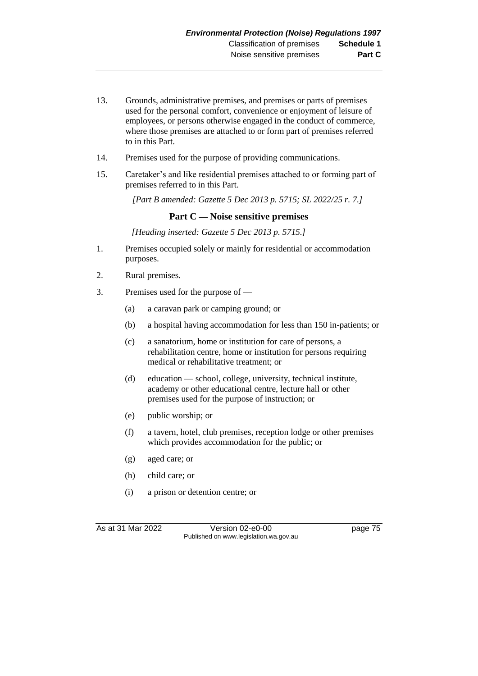- 13. Grounds, administrative premises, and premises or parts of premises used for the personal comfort, convenience or enjoyment of leisure of employees, or persons otherwise engaged in the conduct of commerce, where those premises are attached to or form part of premises referred to in this Part.
- 14. Premises used for the purpose of providing communications.
- 15. Caretaker's and like residential premises attached to or forming part of premises referred to in this Part.

*[Part B amended: Gazette 5 Dec 2013 p. 5715; SL 2022/25 r. 7.]*

## **Part C — Noise sensitive premises**

*[Heading inserted: Gazette 5 Dec 2013 p. 5715.]*

- 1. Premises occupied solely or mainly for residential or accommodation purposes.
- 2. Rural premises.
- 3. Premises used for the purpose of
	- (a) a caravan park or camping ground; or
	- (b) a hospital having accommodation for less than 150 in-patients; or
	- (c) a sanatorium, home or institution for care of persons, a rehabilitation centre, home or institution for persons requiring medical or rehabilitative treatment; or
	- (d) education school, college, university, technical institute, academy or other educational centre, lecture hall or other premises used for the purpose of instruction; or
	- (e) public worship; or
	- (f) a tavern, hotel, club premises, reception lodge or other premises which provides accommodation for the public; or
	- (g) aged care; or
	- (h) child care; or
	- (i) a prison or detention centre; or

As at 31 Mar 2022 Version 02-e0-00 Page 75 Published on www.legislation.wa.gov.au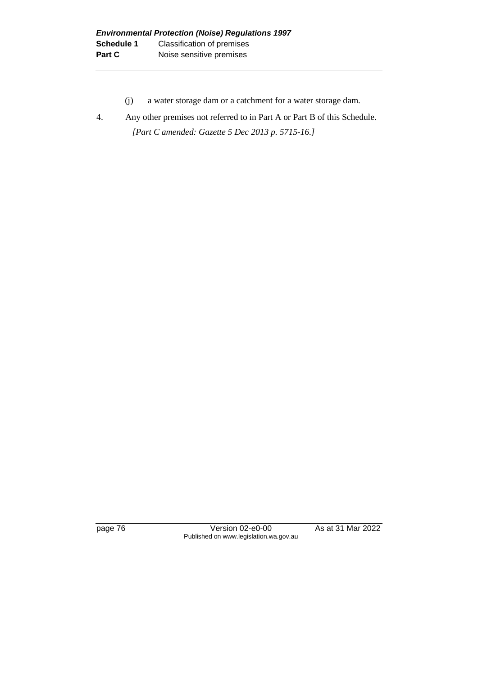- (j) a water storage dam or a catchment for a water storage dam.
- 4. Any other premises not referred to in Part A or Part B of this Schedule. *[Part C amended: Gazette 5 Dec 2013 p. 5715-16.]*

page 76 Version 02-e0-00 As at 31 Mar 2022 Published on www.legislation.wa.gov.au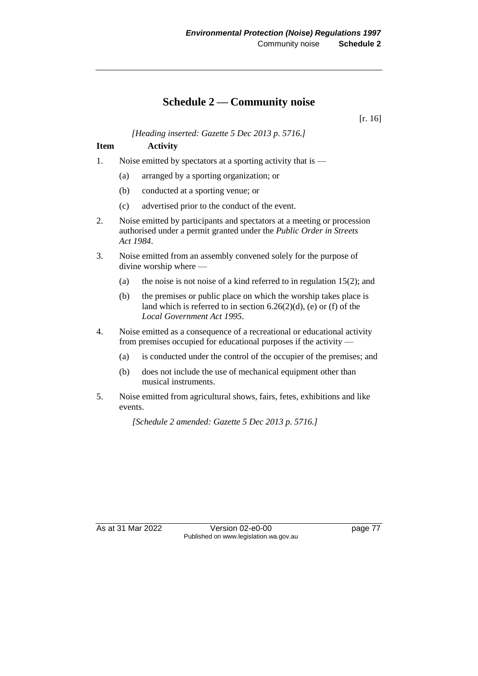# **Schedule 2 — Community noise**

[r. 16]

*[Heading inserted: Gazette 5 Dec 2013 p. 5716.]*

## **Item Activity**

- 1. Noise emitted by spectators at a sporting activity that is
	- (a) arranged by a sporting organization; or
	- (b) conducted at a sporting venue; or
	- (c) advertised prior to the conduct of the event.
- 2. Noise emitted by participants and spectators at a meeting or procession authorised under a permit granted under the *Public Order in Streets Act 1984*.
- 3. Noise emitted from an assembly convened solely for the purpose of divine worship where —
	- (a) the noise is not noise of a kind referred to in regulation  $15(2)$ ; and
	- (b) the premises or public place on which the worship takes place is land which is referred to in section  $6.26(2)(d)$ , (e) or (f) of the *Local Government Act 1995*.
- 4. Noise emitted as a consequence of a recreational or educational activity from premises occupied for educational purposes if the activity —
	- (a) is conducted under the control of the occupier of the premises; and
	- (b) does not include the use of mechanical equipment other than musical instruments.
- 5. Noise emitted from agricultural shows, fairs, fetes, exhibitions and like events.

*[Schedule 2 amended: Gazette 5 Dec 2013 p. 5716.]*

As at 31 Mar 2022 Version 02-e0-00 page 77 Published on www.legislation.wa.gov.au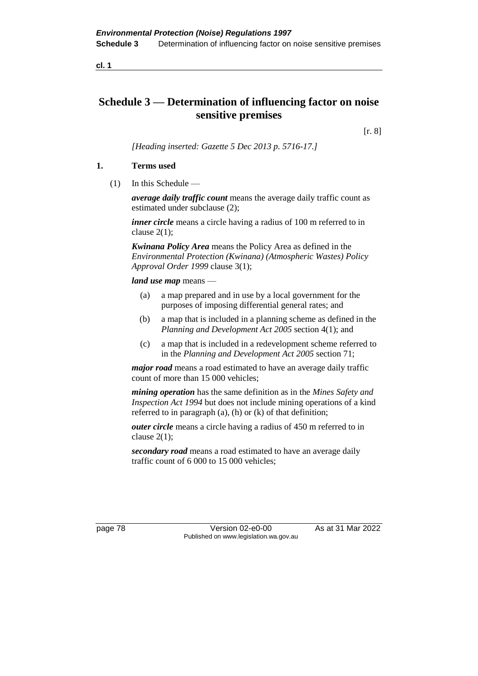# **Schedule 3 — Determination of influencing factor on noise sensitive premises**

[r. 8]

*[Heading inserted: Gazette 5 Dec 2013 p. 5716-17.]*

#### **1. Terms used**

(1) In this Schedule —

*average daily traffic count* means the average daily traffic count as estimated under subclause (2);

*inner circle* means a circle having a radius of 100 m referred to in clause  $2(1)$ ;

*Kwinana Policy Area* means the Policy Area as defined in the *Environmental Protection (Kwinana) (Atmospheric Wastes) Policy Approval Order 1999* clause 3(1);

#### *land use map* means —

- (a) a map prepared and in use by a local government for the purposes of imposing differential general rates; and
- (b) a map that is included in a planning scheme as defined in the *Planning and Development Act 2005* section 4(1); and
- (c) a map that is included in a redevelopment scheme referred to in the *Planning and Development Act 2005* section 71;

*major road* means a road estimated to have an average daily traffic count of more than 15 000 vehicles;

*mining operation* has the same definition as in the *Mines Safety and Inspection Act 1994* but does not include mining operations of a kind referred to in paragraph (a), (h) or (k) of that definition;

*outer circle* means a circle having a radius of 450 m referred to in clause  $2(1)$ ;

*secondary road* means a road estimated to have an average daily traffic count of 6 000 to 15 000 vehicles;

page 78 Version 02-e0-00 As at 31 Mar 2022 Published on www.legislation.wa.gov.au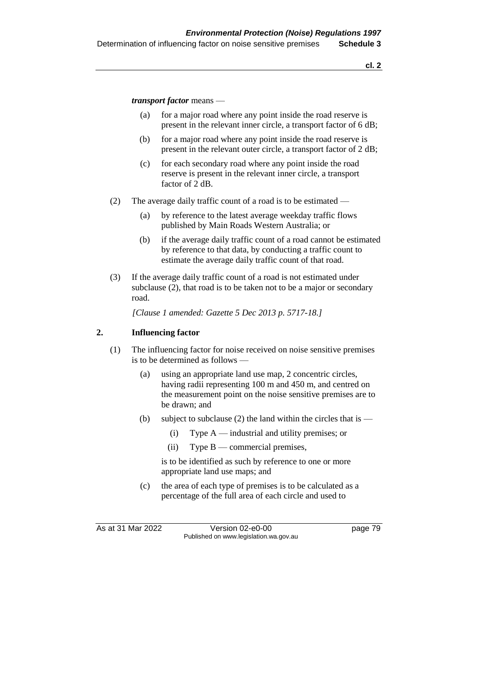*transport factor* means —

- (a) for a major road where any point inside the road reserve is present in the relevant inner circle, a transport factor of 6 dB;
- (b) for a major road where any point inside the road reserve is present in the relevant outer circle, a transport factor of 2 dB;
- (c) for each secondary road where any point inside the road reserve is present in the relevant inner circle, a transport factor of 2 dB.
- (2) The average daily traffic count of a road is to be estimated
	- (a) by reference to the latest average weekday traffic flows published by Main Roads Western Australia; or
	- (b) if the average daily traffic count of a road cannot be estimated by reference to that data, by conducting a traffic count to estimate the average daily traffic count of that road.
- (3) If the average daily traffic count of a road is not estimated under subclause (2), that road is to be taken not to be a major or secondary road.

*[Clause 1 amended: Gazette 5 Dec 2013 p. 5717-18.]*

#### **2. Influencing factor**

- (1) The influencing factor for noise received on noise sensitive premises is to be determined as follows —
	- (a) using an appropriate land use map, 2 concentric circles, having radii representing 100 m and 450 m, and centred on the measurement point on the noise sensitive premises are to be drawn; and
	- (b) subject to subclause (2) the land within the circles that is  $-$ 
		- (i) Type A industrial and utility premises; or
		- (ii) Type  $B$  commercial premises,

is to be identified as such by reference to one or more appropriate land use maps; and

(c) the area of each type of premises is to be calculated as a percentage of the full area of each circle and used to

As at 31 Mar 2022 Version 02-e0-00 page 79 Published on www.legislation.wa.gov.au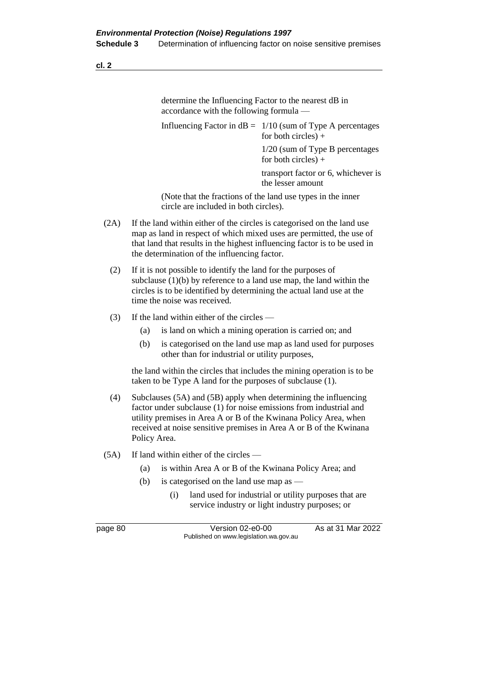determine the Influencing Factor to the nearest dB in accordance with the following formula —

Influencing Factor in  $dB = 1/10$  (sum of Type A percentages for both circles)  $+$ 1/20 (sum of Type B percentages for both circles) +

> transport factor or 6, whichever is the lesser amount

(Note that the fractions of the land use types in the inner circle are included in both circles).

- (2A) If the land within either of the circles is categorised on the land use map as land in respect of which mixed uses are permitted, the use of that land that results in the highest influencing factor is to be used in the determination of the influencing factor.
	- (2) If it is not possible to identify the land for the purposes of subclause  $(1)(b)$  by reference to a land use map, the land within the circles is to be identified by determining the actual land use at the time the noise was received.
	- (3) If the land within either of the circles
		- (a) is land on which a mining operation is carried on; and
		- (b) is categorised on the land use map as land used for purposes other than for industrial or utility purposes,

the land within the circles that includes the mining operation is to be taken to be Type A land for the purposes of subclause (1).

- (4) Subclauses (5A) and (5B) apply when determining the influencing factor under subclause (1) for noise emissions from industrial and utility premises in Area A or B of the Kwinana Policy Area, when received at noise sensitive premises in Area A or B of the Kwinana Policy Area.
- (5A) If land within either of the circles
	- (a) is within Area A or B of the Kwinana Policy Area; and
	- (b) is categorised on the land use map as
		- (i) land used for industrial or utility purposes that are service industry or light industry purposes; or

page 80 Version 02-e0-00 As at 31 Mar 2022 Published on www.legislation.wa.gov.au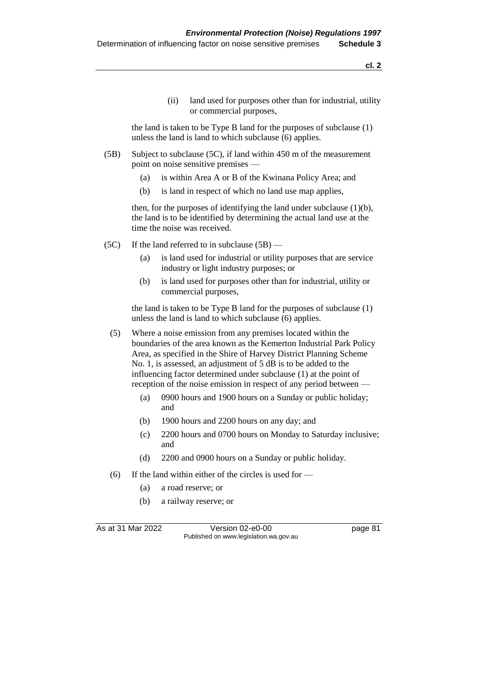(ii) land used for purposes other than for industrial, utility or commercial purposes,

the land is taken to be Type B land for the purposes of subclause (1) unless the land is land to which subclause (6) applies.

- (5B) Subject to subclause (5C), if land within 450 m of the measurement point on noise sensitive premises —
	- (a) is within Area A or B of the Kwinana Policy Area; and
	- (b) is land in respect of which no land use map applies,

then, for the purposes of identifying the land under subclause (1)(b), the land is to be identified by determining the actual land use at the time the noise was received.

- (5C) If the land referred to in subclause  $(5B)$ 
	- (a) is land used for industrial or utility purposes that are service industry or light industry purposes; or
	- (b) is land used for purposes other than for industrial, utility or commercial purposes,

the land is taken to be Type B land for the purposes of subclause (1) unless the land is land to which subclause (6) applies.

- (5) Where a noise emission from any premises located within the boundaries of the area known as the Kemerton Industrial Park Policy Area, as specified in the Shire of Harvey District Planning Scheme No. 1, is assessed, an adjustment of 5 dB is to be added to the influencing factor determined under subclause (1) at the point of reception of the noise emission in respect of any period between —
	- (a) 0900 hours and 1900 hours on a Sunday or public holiday; and
	- (b) 1900 hours and 2200 hours on any day; and
	- (c) 2200 hours and 0700 hours on Monday to Saturday inclusive; and
	- (d) 2200 and 0900 hours on a Sunday or public holiday.
- (6) If the land within either of the circles is used for
	- (a) a road reserve; or
	- (b) a railway reserve; or

As at 31 Mar 2022 Version 02-e0-00 Page 81 Published on www.legislation.wa.gov.au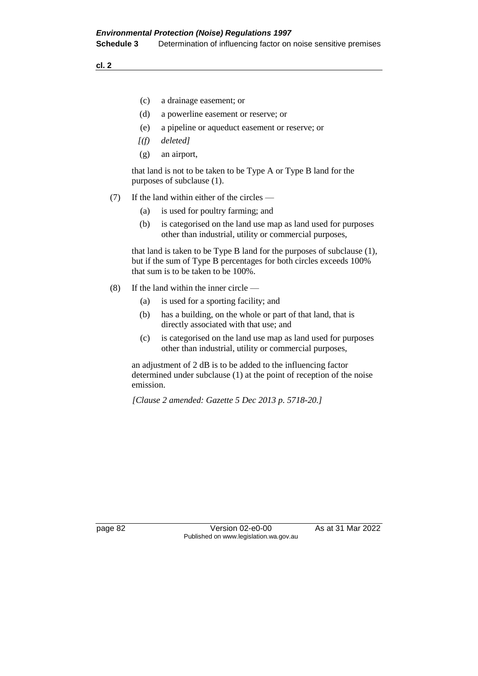- (c) a drainage easement; or
- (d) a powerline easement or reserve; or
- (e) a pipeline or aqueduct easement or reserve; or
- *[(f) deleted]*
- (g) an airport,

that land is not to be taken to be Type A or Type B land for the purposes of subclause (1).

#### (7) If the land within either of the circles —

- (a) is used for poultry farming; and
- (b) is categorised on the land use map as land used for purposes other than industrial, utility or commercial purposes,

that land is taken to be Type B land for the purposes of subclause (1), but if the sum of Type B percentages for both circles exceeds 100% that sum is to be taken to be 100%.

- (8) If the land within the inner circle
	- (a) is used for a sporting facility; and
	- (b) has a building, on the whole or part of that land, that is directly associated with that use; and
	- (c) is categorised on the land use map as land used for purposes other than industrial, utility or commercial purposes,

an adjustment of 2 dB is to be added to the influencing factor determined under subclause (1) at the point of reception of the noise emission.

*[Clause 2 amended: Gazette 5 Dec 2013 p. 5718-20.]*

page 82 Version 02-e0-00 As at 31 Mar 2022 Published on www.legislation.wa.gov.au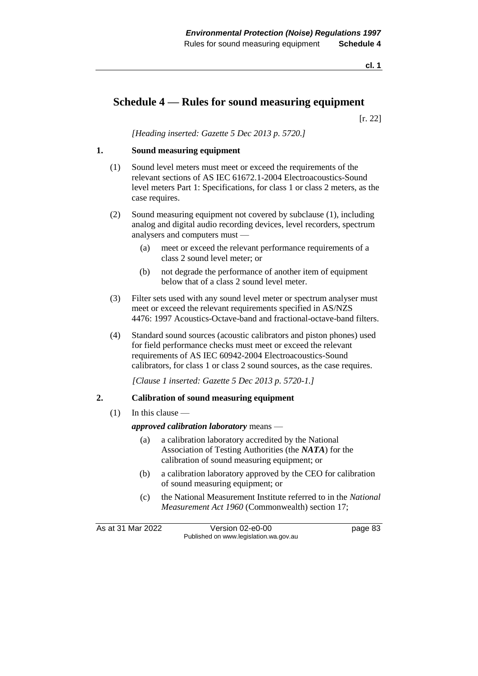# **Schedule 4 — Rules for sound measuring equipment**

[r. 22]

*[Heading inserted: Gazette 5 Dec 2013 p. 5720.]*

#### **1. Sound measuring equipment**

- (1) Sound level meters must meet or exceed the requirements of the relevant sections of AS IEC 61672.1-2004 Electroacoustics-Sound level meters Part 1: Specifications, for class 1 or class 2 meters, as the case requires.
- (2) Sound measuring equipment not covered by subclause (1), including analog and digital audio recording devices, level recorders, spectrum analysers and computers must —
	- (a) meet or exceed the relevant performance requirements of a class 2 sound level meter; or
	- (b) not degrade the performance of another item of equipment below that of a class 2 sound level meter.
- (3) Filter sets used with any sound level meter or spectrum analyser must meet or exceed the relevant requirements specified in AS/NZS 4476: 1997 Acoustics-Octave-band and fractional-octave-band filters.
- (4) Standard sound sources (acoustic calibrators and piston phones) used for field performance checks must meet or exceed the relevant requirements of AS IEC 60942-2004 Electroacoustics-Sound calibrators, for class 1 or class 2 sound sources, as the case requires.

*[Clause 1 inserted: Gazette 5 Dec 2013 p. 5720-1.]*

#### **2. Calibration of sound measuring equipment**

(1) In this clause —

*approved calibration laboratory* means —

- (a) a calibration laboratory accredited by the National Association of Testing Authorities (the *NATA*) for the calibration of sound measuring equipment; or
- (b) a calibration laboratory approved by the CEO for calibration of sound measuring equipment; or
- (c) the National Measurement Institute referred to in the *National Measurement Act 1960* (Commonwealth) section 17;

As at 31 Mar 2022 Version 02-e0-00 page 83 Published on www.legislation.wa.gov.au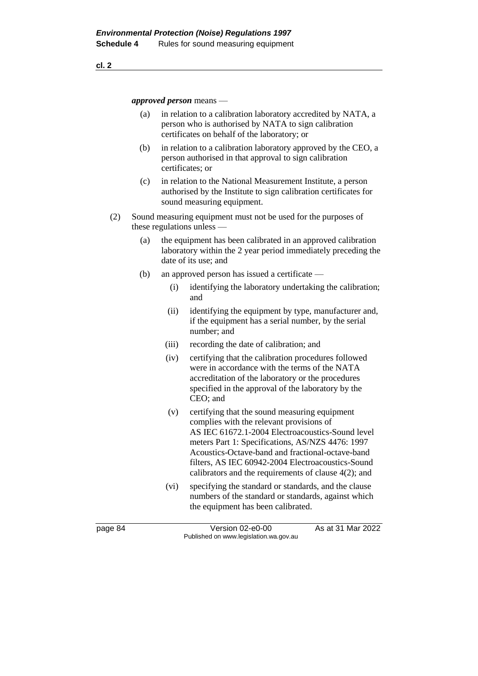*approved person* means —

- (a) in relation to a calibration laboratory accredited by NATA, a person who is authorised by NATA to sign calibration certificates on behalf of the laboratory; or
- (b) in relation to a calibration laboratory approved by the CEO, a person authorised in that approval to sign calibration certificates; or
- (c) in relation to the National Measurement Institute, a person authorised by the Institute to sign calibration certificates for sound measuring equipment.
- (2) Sound measuring equipment must not be used for the purposes of these regulations unless —
	- (a) the equipment has been calibrated in an approved calibration laboratory within the 2 year period immediately preceding the date of its use; and
	- (b) an approved person has issued a certificate
		- (i) identifying the laboratory undertaking the calibration; and
		- (ii) identifying the equipment by type, manufacturer and, if the equipment has a serial number, by the serial number; and
		- (iii) recording the date of calibration; and
		- (iv) certifying that the calibration procedures followed were in accordance with the terms of the NATA accreditation of the laboratory or the procedures specified in the approval of the laboratory by the CEO; and
		- (v) certifying that the sound measuring equipment complies with the relevant provisions of AS IEC 61672.1-2004 Electroacoustics-Sound level meters Part 1: Specifications, AS/NZS 4476: 1997 Acoustics-Octave-band and fractional-octave-band filters, AS IEC 60942-2004 Electroacoustics-Sound calibrators and the requirements of clause 4(2); and
		- (vi) specifying the standard or standards, and the clause numbers of the standard or standards, against which the equipment has been calibrated.

page 84 Version 02-e0-00 As at 31 Mar 2022 Published on www.legislation.wa.gov.au

**cl. 2**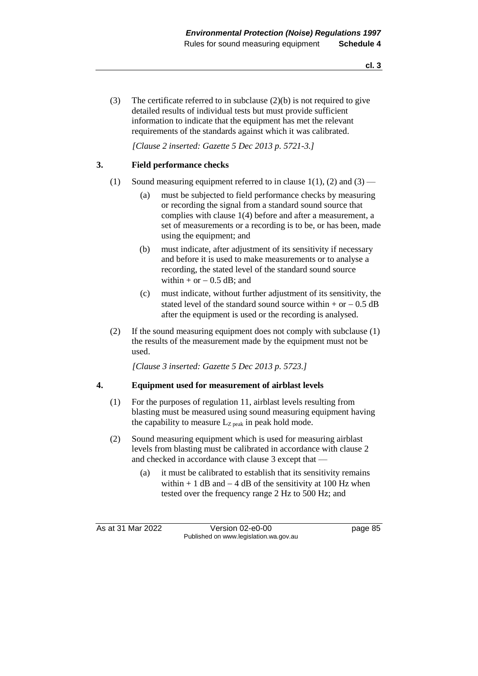(3) The certificate referred to in subclause (2)(b) is not required to give detailed results of individual tests but must provide sufficient information to indicate that the equipment has met the relevant requirements of the standards against which it was calibrated.

*[Clause 2 inserted: Gazette 5 Dec 2013 p. 5721-3.]*

#### **3. Field performance checks**

- (1) Sound measuring equipment referred to in clause  $1(1)$ , (2) and (3)
	- (a) must be subjected to field performance checks by measuring or recording the signal from a standard sound source that complies with clause 1(4) before and after a measurement, a set of measurements or a recording is to be, or has been, made using the equipment; and
	- (b) must indicate, after adjustment of its sensitivity if necessary and before it is used to make measurements or to analyse a recording, the stated level of the standard sound source within + or  $- 0.5$  dB; and
	- (c) must indicate, without further adjustment of its sensitivity, the stated level of the standard sound source within + or  $- 0.5$  dB after the equipment is used or the recording is analysed.
- (2) If the sound measuring equipment does not comply with subclause (1) the results of the measurement made by the equipment must not be used.

*[Clause 3 inserted: Gazette 5 Dec 2013 p. 5723.]*

#### **4. Equipment used for measurement of airblast levels**

- (1) For the purposes of regulation 11, airblast levels resulting from blasting must be measured using sound measuring equipment having the capability to measure  $L_{Z\,peak}$  in peak hold mode.
- (2) Sound measuring equipment which is used for measuring airblast levels from blasting must be calibrated in accordance with clause 2 and checked in accordance with clause 3 except that —
	- (a) it must be calibrated to establish that its sensitivity remains within + 1 dB and  $-$  4 dB of the sensitivity at 100 Hz when tested over the frequency range 2 Hz to 500 Hz; and

As at 31 Mar 2022 Version 02-e0-00 page 85 Published on www.legislation.wa.gov.au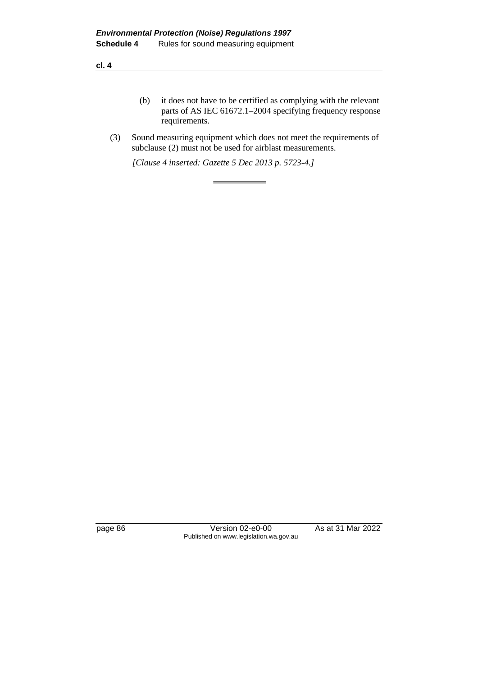- (b) it does not have to be certified as complying with the relevant parts of AS IEC 61672.1–2004 specifying frequency response requirements.
- (3) Sound measuring equipment which does not meet the requirements of subclause (2) must not be used for airblast measurements.

*[Clause 4 inserted: Gazette 5 Dec 2013 p. 5723-4.]*

page 86 **Version 02-e0-00** As at 31 Mar 2022 Published on www.legislation.wa.gov.au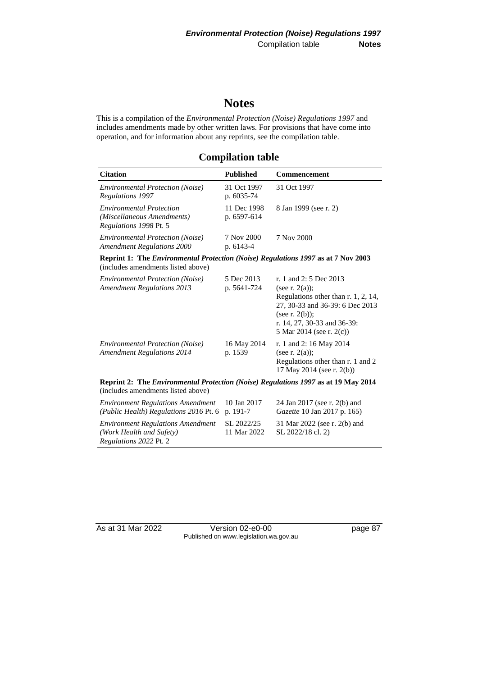# **Notes**

This is a compilation of the *Environmental Protection (Noise) Regulations 1997* and includes amendments made by other written laws. For provisions that have come into operation, and for information about any reprints, see the compilation table.

# **Compilation table**

| <b>Citation</b>                                                                                                                | <b>Published</b>           | Commencement                                                                                                                                                                                          |  |  |
|--------------------------------------------------------------------------------------------------------------------------------|----------------------------|-------------------------------------------------------------------------------------------------------------------------------------------------------------------------------------------------------|--|--|
| <b>Environmental Protection (Noise)</b><br>Regulations 1997                                                                    | 31 Oct 1997<br>p. 6035-74  | 31 Oct 1997                                                                                                                                                                                           |  |  |
| <b>Environmental Protection</b><br>(Miscellaneous Amendments)<br>Regulations 1998 Pt. 5                                        | 11 Dec 1998<br>p. 6597-614 | 8 Jan 1999 (see r. 2)                                                                                                                                                                                 |  |  |
| <b>Environmental Protection (Noise)</b><br><b>Amendment Regulations 2000</b>                                                   | 7 Nov 2000<br>p. 6143-4    | 7 Nov 2000                                                                                                                                                                                            |  |  |
| <b>Reprint 1: The Environmental Protection (Noise) Regulations 1997 as at 7 Nov 2003</b><br>(includes amendments listed above) |                            |                                                                                                                                                                                                       |  |  |
| <b>Environmental Protection (Noise)</b><br><b>Amendment Regulations 2013</b>                                                   | 5 Dec 2013<br>p. 5641-724  | r. 1 and 2: 5 Dec 2013<br>(see r. $2(a)$ );<br>Regulations other than r. 1, 2, 14,<br>27, 30-33 and 36-39: 6 Dec 2013<br>(see r. $2(b)$ );<br>r. 14, 27, 30-33 and 36-39:<br>5 Mar 2014 (see r. 2(c)) |  |  |
| <b>Environmental Protection (Noise)</b><br><b>Amendment Regulations 2014</b>                                                   | 16 May 2014<br>p. 1539     | r. 1 and 2: 16 May 2014<br>(see r. $2(a)$ );<br>Regulations other than r. 1 and 2<br>17 May 2014 (see r. 2(b))                                                                                        |  |  |
| Reprint 2: The Environmental Protection (Noise) Regulations 1997 as at 19 May 2014<br>(includes amendments listed above)       |                            |                                                                                                                                                                                                       |  |  |
| <b>Environment Regulations Amendment</b><br>(Public Health) Regulations 2016 Pt. 6                                             | 10 Jan 2017<br>p. 191-7    | 24 Jan 2017 (see r. 2(b) and<br>Gazette 10 Jan 2017 p. 165)                                                                                                                                           |  |  |
| <b>Environment Regulations Amendment</b><br>(Work Health and Safety)<br>Regulations 2022 Pt. 2                                 | SL 2022/25<br>11 Mar 2022  | 31 Mar 2022 (see r. 2(b) and<br>SL 2022/18 cl. 2)                                                                                                                                                     |  |  |

As at 31 Mar 2022 Version 02-e0-00 Page 87 Published on www.legislation.wa.gov.au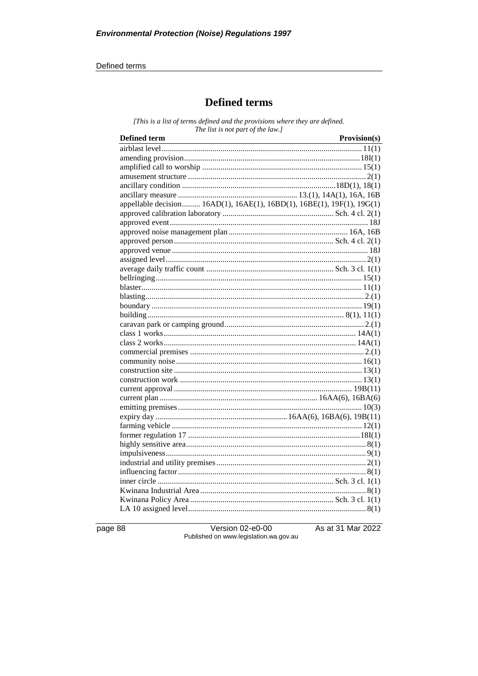#### Defined terms

# **Defined terms**

[This is a list of terms defined and the provisions where they are defined. The list is not part of the law.]

| <b>Defined term</b>                                                    | Provision(s) |
|------------------------------------------------------------------------|--------------|
|                                                                        |              |
|                                                                        |              |
|                                                                        |              |
|                                                                        |              |
|                                                                        |              |
|                                                                        |              |
| appellable decision 16AD(1), 16AE(1), 16BD(1), 16BE(1), 19F(1), 19G(1) |              |
|                                                                        |              |
|                                                                        |              |
|                                                                        |              |
|                                                                        |              |
|                                                                        |              |
|                                                                        |              |
|                                                                        |              |
|                                                                        |              |
|                                                                        |              |
|                                                                        |              |
|                                                                        |              |
|                                                                        |              |
|                                                                        |              |
|                                                                        |              |
|                                                                        |              |
|                                                                        |              |
|                                                                        |              |
|                                                                        |              |
|                                                                        |              |
|                                                                        |              |
|                                                                        |              |
|                                                                        |              |
|                                                                        |              |
|                                                                        |              |
|                                                                        |              |
|                                                                        |              |
|                                                                        |              |
|                                                                        |              |
|                                                                        |              |
|                                                                        |              |
|                                                                        |              |
|                                                                        |              |
|                                                                        |              |

page 88

Version 02-e0-00 Published on www.legislation.wa.gov.au As at 31 Mar 2022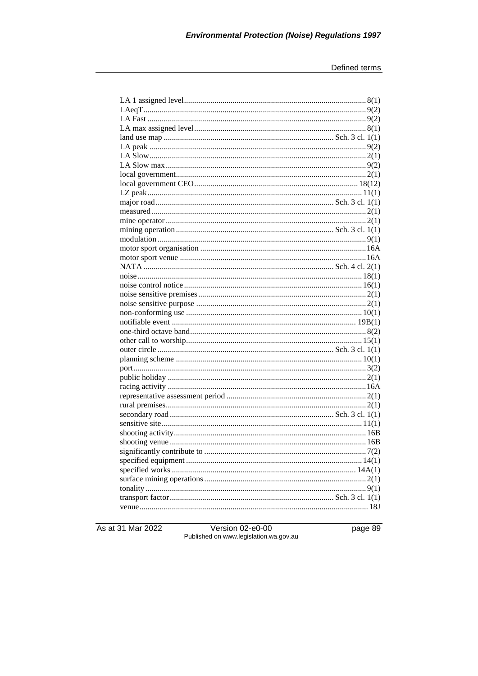As at 31 Mar 2022

Version 02-e0-00<br>Published on www.legislation.wa.gov.au

page 89